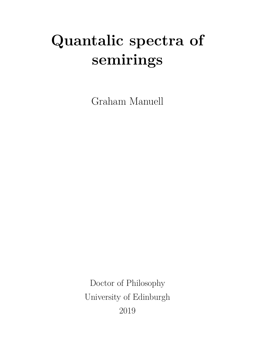# **Quantalic spectra of semirings**

Graham Manuell

Doctor of Philosophy University of Edinburgh 2019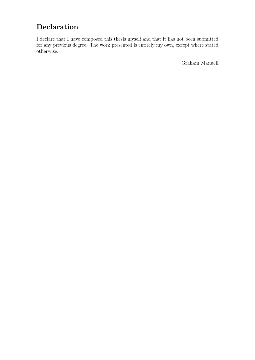# **Declaration**

I declare that I have composed this thesis myself and that it has not been submitted for any previous degree. The work presented is entirely my own, except where stated otherwise.

Graham Manuell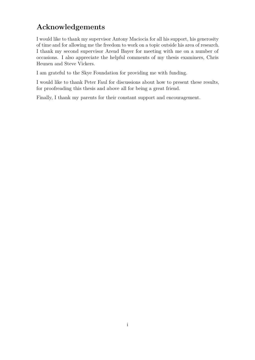# **Acknowledgements**

I would like to thank my supervisor Antony Maciocia for all his support, his generosity of time and for allowing me the freedom to work on a topic outside his area of research. I thank my second supervisor Arend Bayer for meeting with me on a number of occasions. I also appreciate the helpful comments of my thesis examiners, Chris Heunen and Steve Vickers.

I am grateful to the Skye Foundation for providing me with funding.

I would like to thank Peter Faul for discussions about how to present these results, for proofreading this thesis and above all for being a great friend.

Finally, I thank my parents for their constant support and encouragement.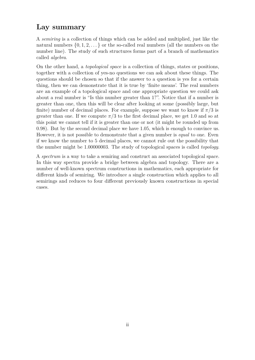# **Lay summary**

A *semiring* is a collection of things which can be added and multiplied, just like the natural numbers  $\{0, 1, 2, \ldots\}$  or the so-called real numbers (all the numbers on the number line). The study of such structures forms part of a branch of mathematics called *algebra*.

On the other hand, a *topological space* is a collection of things, states or positions, together with a collection of yes-no questions we can ask about these things. The questions should be chosen so that if the answer to a question is yes for a certain thing, then we can demonstrate that it is true by 'finite means'. The real numbers are an example of a topological space and one appropriate question we could ask about a real number is "Is this number greater than 1?". Notice that if a number is greater than one, then this will be clear after looking at some (possibly large, but finite) number of decimal places. For example, suppose we want to know if  $\pi/3$  is greater than one. If we compute  $\pi/3$  to the first decimal place, we get 1.0 and so at this point we cannot tell if it is greater than one or not (it might be rounded up from 0*.*98). But by the second decimal place we have 1*.*05, which is enough to convince us. However, it is not possible to demonstrate that a given number is *equal* to one. Even if we know the number to 5 decimal places, we cannot rule out the possibility that the number might be 1*.*00000003. The study of topological spaces is called *topology*.

A *spectrum* is a way to take a semiring and construct an associated topological space. In this way spectra provide a bridge between algebra and topology. There are a number of well-known spectrum constructions in mathematics, each appropriate for different kinds of semiring. We introduce a single construction which applies to all semirings and reduces to four different previously known constructions in special cases.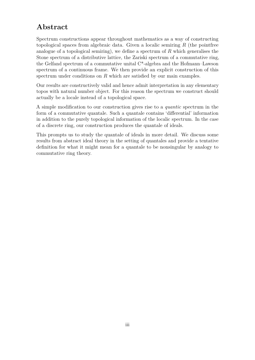# **Abstract**

Spectrum constructions appear throughout mathematics as a way of constructing topological spaces from algebraic data. Given a localic semiring *R* (the pointfree analogue of a topological semiring), we define a spectrum of *R* which generalises the Stone spectrum of a distributive lattice, the Zariski spectrum of a commutative ring, the Gelfand spectrum of a commutative unital C\*-algebra and the Hofmann–Lawson spectrum of a continuous frame. We then provide an explicit construction of this spectrum under conditions on *R* which are satisfied by our main examples.

Our results are constructively valid and hence admit interpretation in any elementary topos with natural number object. For this reason the spectrum we construct should actually be a locale instead of a topological space.

A simple modification to our construction gives rise to a *quantic* spectrum in the form of a commutative quantale. Such a quantale contains 'differential' information in addition to the purely topological information of the localic spectrum. In the case of a discrete ring, our construction produces the quantale of ideals.

This prompts us to study the quantale of ideals in more detail. We discuss some results from abstract ideal theory in the setting of quantales and provide a tentative definition for what it might mean for a quantale to be nonsingular by analogy to commutative ring theory.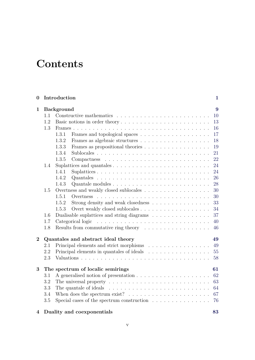# **Contents**

| $\boldsymbol{0}$ |     | Introduction                                                                     | $\mathbf{1}$ |  |
|------------------|-----|----------------------------------------------------------------------------------|--------------|--|
| $\mathbf{1}$     |     | <b>Background</b>                                                                | 9            |  |
|                  | 1.1 |                                                                                  | 10           |  |
|                  | 1.2 | Basic notions in order theory                                                    | 13           |  |
|                  | 1.3 |                                                                                  | 16           |  |
|                  |     | 1.3.1                                                                            | 17           |  |
|                  |     | 1.3.2                                                                            | 18           |  |
|                  |     | 1.3.3<br>Frames as propositional theories                                        | 19           |  |
|                  |     | 1.3.4                                                                            | 21           |  |
|                  |     | 1.3.5                                                                            | 22           |  |
|                  | 1.4 |                                                                                  | 24           |  |
|                  |     | 1.4.1                                                                            | 24           |  |
|                  |     | 1.4.2                                                                            | 26           |  |
|                  |     | 1.4.3                                                                            | 28           |  |
|                  | 1.5 | Overtness and weakly closed sublocales                                           | 30           |  |
|                  |     | 1.5.1                                                                            | 30           |  |
|                  |     | Strong density and weak closedness<br>1.5.2                                      | 33           |  |
|                  |     | 1.5.3                                                                            | 34           |  |
|                  | 1.6 | Dualisable suplattices and string diagrams                                       | 37           |  |
|                  | 1.7 | Categorical logic                                                                | 40           |  |
|                  | 1.8 | Results from commutative ring theory $\dots \dots \dots \dots \dots \dots$       | 46           |  |
| $\overline{2}$   |     | Quantales and abstract ideal theory                                              | 49           |  |
|                  | 2.1 | Principal elements and strict morphisms                                          | 49           |  |
|                  | 2.2 | Principal elements in quantales of ideals                                        | 55           |  |
|                  | 2.3 |                                                                                  | 58           |  |
| 3                |     | The spectrum of localic semirings                                                | 61           |  |
|                  | 3.1 |                                                                                  | 62           |  |
|                  | 3.2 |                                                                                  | 63           |  |
|                  | 3.3 | The quantale of ideals $\ldots \ldots \ldots \ldots \ldots \ldots \ldots \ldots$ | 64           |  |
|                  | 3.4 | When does the spectrum exist? $\ldots \ldots \ldots \ldots \ldots \ldots \ldots$ | 67           |  |
|                  | 3.5 | Special cases of the spectrum construction $\ldots \ldots \ldots \ldots \ldots$  | 76           |  |

### **4 Duality and coexponentials [83](#page-92-0)**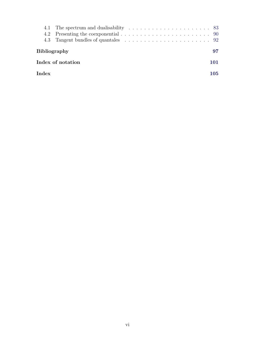| <b>Bibliography</b> |  | 97  |  |  |  |  |  |  |  |
|---------------------|--|-----|--|--|--|--|--|--|--|
| Index of notation   |  |     |  |  |  |  |  |  |  |
| $_{\mathrm{Index}}$ |  | 105 |  |  |  |  |  |  |  |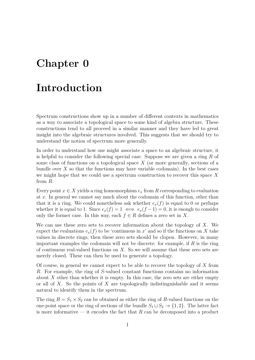# <span id="page-10-0"></span>**Chapter 0**

# **Introduction**

Spectrum constructions show up in a number of different contexts in mathematics as a way to associate a topological space to some kind of algebra structure. These constructions tend to all proceed in a similar manner and they have led to great insight into the algebraic structures involved. This suggests that we should try to understand the notion of spectrum more generally.

In order to understand how one might associate a space to an algebraic structure, it is helpful to consider the following special case. Suppose we are given a ring *R* of some class of functions on a topological space *X* (or more generally, sections of a bundle over  $X$  so that the functions may have variable codomain). In the best cases we might hope that we could use a spectrum construction to recover this space *X* from *R*.

Every point  $x \in X$  yields a ring homomorphism  $e_x$  from R corresponding to evaluation at *x*. In general we cannot say much about the codomain of this function, other than that it is a ring. We could nonetheless ask whether  $e_x(f)$  is equal to 0 or perhaps whether it is equal to 1. Since  $e_x(f) = 1 \iff e_x(f-1) = 0$ , it is enough to consider only the former case. In this way, each  $f \in R$  defines a zero set in X.

We can use these zero sets to recover information about the topology of *X*. We expect the evaluations  $e_x(f)$  to be 'continuous in x' and so if the functions on X take values in discrete rings, then these zero sets should be clopen. However, in many important examples the codomain will not be discrete: for example, if *R* is the ring of continuous real-valued functions on *X*. So we will assume that these zero sets are merely closed. These can then be used to generate a topology.

Of course, in general we cannot expect to be able to recover the topology of *X* from *R*. For example, the ring of *S*-valued constant functions contains no information about  $X$  other than whether it is empty. In this case, the zero sets are either empty or all of *X*. So the points of *X* are topologically indistinguishable and it seems natural to identify them in the spectrum.

The ring  $R = S_1 \times S_2$  can be obtained as either the ring of R-valued functions on the one-point space or the ring of sections of the bundle  $S_1 \sqcup S_2 \rightarrow \{1,2\}$ . The latter fact is more informative — it encodes the fact that *R* can be decomposed into a product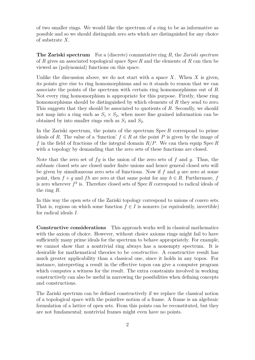of two smaller rings. We would like the spectrum of a ring to be as informative as possible and so we should distinguish zero sets which are distinguished for any choice of substrate *X*.

**The Zariski spectrum** For a (discrete) commutative ring *R*, the *Zariski spectrum* of *R* gives an associated topological space Spec *R* and the elements of *R* can then be viewed as (polynomial) functions on this space.

Unlike the discussion above, we do not start with a space *X*. When *X* is given, its points give rise to ring homomorphisms and so it stands to reason that we can associate the points of the spectrum with certain ring homomorphisms out of *R*. Not every ring homomorphism is appropriate for this purpose. Firstly, these ring homomorphisms should be distinguished by which elements of *R* they send to zero. This suggests that they should be associated to quotients of *R*. Secondly, we should not map into a ring such as  $S_1 \times S_2$ , when more fine grained information can be obtained by into smaller rings such as  $S_1$  and  $S_2$ .

In the Zariski spectrum, the points of the spectrum Spec *R* correspond to prime ideals of *R*. The value of a 'function'  $f \in R$  at the point *P* is given by the image of *f* in the field of fractions of the integral domain *R/P*. We can then equip Spec *R* with a topology by demanding that the zero sets of these functions are closed.

Note that the zero set of *fg* is the union of the zero sets of *f* and *g*. Thus, the subbasic closed sets are closed under finite unions and hence general closed sets will be given by simultaneous zero sets of functions. Now if *f* and *g* are zero at some point, then  $f + q$  and  $fh$  are zero at that same point for any  $h \in R$ . Furthermore, f is zero wherever  $f^2$  is. Therefore closed sets of  $Spec R$  correspond to radical ideals of the ring *R*.

In this way the open sets of the Zariski topology correspond to unions of cozero sets. That is, regions on which some function  $f \in I$  is nonzero (or equivalently, invertible) for radical ideals *I*.

**Constructive considerations** This approach works well in classical mathematics with the axiom of choice. However, without choice axioms rings might fail to have sufficiently many prime ideals for the spectrum to behave appropriately. For example, we cannot show that a nontrivial ring always has a nonempty spectrum. It is desirable for mathematical theories to be *constructive*. A constructive result has much greater applicability than a classical one, since it holds in any topos. For instance, interpreting a result in the effective topos can give a computer program which computes a witness for the result. The extra constraints involved in working constructively can also be useful in narrowing the possibilities when defining concepts and constructions.

The Zariski spectrum can be defined constructively if we replace the classical notion of a topological space with the pointfree notion of a frame. A frame is an algebraic formulation of a lattice of open sets. From this points can be reconstituted, but they are not fundamental; nontrivial frames might even have no points.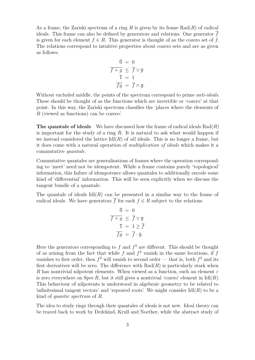As a frame, the Zariski spectrum of a ring *R* is given by its frame Rad(*R*) of radical ideals. This frame can also be defined by generators and relations. One generator *f* is given for each element  $f \in R$ . This generator is thought of as the cozero set of f. The relations correspond to intuitive properties about cozero sets and are as given as follows:

$$
\begin{array}{rcl}\n\overline{0} &=& 0\\
\overline{f+g} &\leq & \overline{f} \vee \overline{g} \\
\overline{1} &=& 1\\
\overline{fg} &=& \overline{f} \wedge \overline{g}.\n\end{array}
$$

Without excluded middle, the points of the spectrum correspond to prime *anti-ideals*. These should be thought of as the functions which are invertible or 'cozero' at that point. In this way, the Zariski spectrum classifies the 'places where the elements of *R* (viewed as functions) can be cozero'.

**The quantale of ideals** We have discussed how the frame of radical ideals Rad(*R*) is important for the study of a ring *R*. It is natural to ask what would happen if we instead considered the lattice  $\text{Id}(R)$  of *all* ideals. This is no longer a frame, but it does come with a natural operation of *multiplication of ideals* which makes it a commutative *quantale*.

Commutative quantales are generalisations of frames where the operation corresponding to 'meet' need not be idempotent. While a frame contains purely 'topological' information, this failure of idempotence allows quantales to additionally encode some kind of 'differential' information. This will be seen explicitly when we discuss the tangent bundle of a quantale.

The quantale of ideals  $Id(R)$  can be presented in a similar way to the frame of radical ideals. We have generators  $\overline{f}$  for each  $f \in R$  subject to the relations

$$
\begin{array}{rcl}\n\overline{0} & = & 0 \\
\overline{f+g} & \leq & \overline{f} \vee \overline{g} \\
\overline{1} & = & 1 \geq \overline{f} \\
\overline{fg} & = & \overline{f} \cdot \overline{g}.\n\end{array}
$$

Here the generators corresponding to  $f$  and  $f^2$  are different. This should be thought of as arising from the fact that while  $f$  and  $f^2$  vanish in the same locations, if  $f$ vanishes to first order, then  $f^2$  will vanish to second order — that is, both  $f^2$  and its first derivatives will be zero. The difference with  $Rad(R)$  is particularly stark when *R* has nontrivial nilpotent elements. When viewed as a function, such an element *ε* is zero everywhere on Spec R, but it still gives a nontrivial 'cozero' element in  $\text{Id}(R)$ . This behaviour of nilpotents is understood in algebraic geometry to be related to 'infinitesimal tangent vectors' and 'repeated roots'. We might consider Idl(*R*) to be a kind of *quantic spectrum* of *R*.

The idea to study rings through their quantales of ideals is not new. Ideal theory can be traced back to work by Dedekind, Krull and Noether, while the abstract study of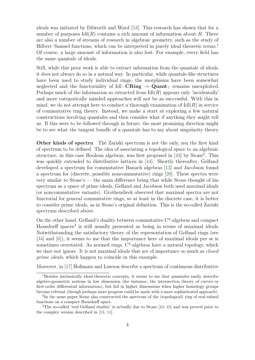ideals was initiated by Dilworth and Ward [\[53\]](#page-109-0). This research has shown that for a number of purposes  $\text{Id}(R)$  contains a rich amount of information about R. There are also a number of streams of research in algebraic geometry, such as the study of Hilbert–Samuel functions, which can be interpreted in purely ideal theoretic terms.[1](#page-13-0) Of course, a large amount of information is also lost. For example, every field has the same quantale of ideals.

Still, while this prior work is able to extract information from the quantale of ideals, it does not always do so in a natural way. In particular, while quantale-like structures have been used to study individual rings, the morphisms have been somewhat neglected and the functoriality of Idl:  $\text{CRing} \rightarrow \text{Quant}_{\tau}$  remains unexploited. Perhaps much of the information so extracted from  $\text{Id}(R)$  appears only 'incidentally' and more categorically minded approaches will not be as successful. With this in mind, we do not attempt here to conduct a thorough examination of  $\text{Id}(R)$  in service of commutative ring theory. Instead, we make a start at exploring a few natural constructions involving quantales and then consider what if anything they might tell us. If this were to be followed through in future, the most promising direction might be to see what the tangent bundle of a quantale has to say about singularity theory.

**Other kinds of spectra** The Zariski spectrum is not the only, nor the first kind of spectrum to be defined. The idea of associating a topological space to an algebraic structure, in this case Boolean algebras, was first proposed in [\[43\]](#page-108-0) by Stone<sup>[2](#page-13-1)</sup>. This was quickly extended to distributive lattices in [\[44\]](#page-108-1). Shortly thereafter, Gelfand developed a spectrum for commutative Banach algebras [\[13\]](#page-106-1) and Jacobson found a spectrum for (discrete, possibly noncommutative) rings [\[20\]](#page-107-0). These spectra were very similar to Stone's — the main difference being that while Stone thought of his spectrum as a space of prime ideals, Gelfand and Jacobson both used maximal ideals (or noncommutative variants). Grothendieck observed that maximal spectra are not functorial for general commutative rings, so at least in the discrete case, it is better to consider prime ideals, as in Stone's original definition. This is the so-called Zariski spectrum described above.

On the other hand, Gelfand's duality between commutative  $C^*$ -algebras and compact Hausdorff spaces<sup>[3](#page-13-2)</sup> is still usually presented as being in terms of maximal ideals. Notwithstanding the satisfactory theory of the representation of Gelfand rings (see [\[34\]](#page-108-2) and [\[6\]](#page-106-2)), it seems to me that the importance here of maximal ideals per se is sometimes overstated. As normed rings, C\*-algebras have a natural topology, which we dare not ignore. It is not maximal ideals that are of importance so much as *closed prime ideals*, which happen to coincide in this example.

Moreover, in [\[17\]](#page-107-1) Hofmann and Lawson describe a spectrum of continuous distributive

<span id="page-13-0"></span><sup>&</sup>lt;sup>1</sup>Besides intrinsically ideal-theoretic concepts, it seems to me that quantales easily describe algebro-geometric notions in low dimension (for instance, the intersection theory of curves or first-order differential information), but fail in higher dimensions when higher homology groups become relevant (though perhaps more progress could be made with a more sophisticated approach).

<span id="page-13-1"></span><sup>&</sup>lt;sup>2</sup>In the same paper Stone also constructed the spectrum of the (topological) ring of real-valued functions on a compact Hausdorff space.

<span id="page-13-2"></span><sup>&</sup>lt;sup>3</sup>The so-called 'real Gelfand duality' is actually due to Stone [\[43,](#page-108-0) [45\]](#page-108-3) and was proved prior to the complex version described in [\[13,](#page-106-1) [14\]](#page-106-3).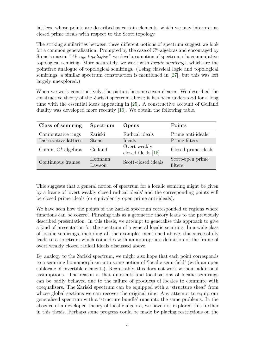lattices, whose points are described as certain elements, which we may interpret as closed prime ideals with respect to the Scott topology.

The striking similarities between these different notions of spectrum suggest we look for a common generalisation. Prompted by the case of  $C^*$ -algebras and encouraged by Stone's maxim *"Always topologise"*, we develop a notion of spectrum of a commutative topological semiring. More accurately, we work with *localic semirings*, which are the pointfree analogue of topological semirings. (Using classical logic and topological semirings, a similar spectrum construction is mentioned in [\[27\]](#page-107-2), but this was left largely unexplored.)

When we work constructively, the picture becomes even clearer. We described the constructive theory of the Zariski spectrum above; it has been understood for a long time with the essential ideas appearing in [\[25\]](#page-107-3). A constructive account of Gelfand duality was developed more recently [\[16\]](#page-107-4). We obtain the following table.

| Class of semiring     | Spectrum             | Opens                              | Points                      |
|-----------------------|----------------------|------------------------------------|-----------------------------|
| Commutative rings     | Zariski              | Radical ideals                     | Prime anti-ideals           |
| Distributive lattices | <b>Stone</b>         | Ideals                             | Prime filters               |
| Comm. $C^*$ -algebras | Gelfand              | Overt weakly<br>closed ideals [15] | Closed prime ideals         |
| Continuous frames     | $Hofmann-$<br>Lawson | Scott-closed ideals                | Scott-open prime<br>filters |

This suggests that a general notion of spectrum for a localic semiring might be given by a frame of 'overt weakly closed radical ideals' and the corresponding points will be closed prime ideals (or equivalently open prime anti-ideals).

We have seen how the points of the Zariski spectrum corresponded to regions where 'functions can be cozero'. Phrasing this as a geometric theory leads to the previously described presentation. In this thesis, we attempt to generalise this approach to give a kind of presentation for the spectrum of a general localic semiring. In a wide class of localic semirings, including all the examples mentioned above, this successfully leads to a spectrum which coincides with an appropriate definition of the frame of overt weakly closed radical ideals discussed above.

By analogy to the Zariski spectrum, we might also hope that each point corresponds to a semiring homomorphism into some notion of 'localic semi-field' (with an open sublocale of invertible elements). Regrettably, this does not work without additional assumptions. The reason is that quotients and localisations of localic semirings can be badly behaved due to the failure of products of locales to commute with coequalisers. The Zariski spectrum can be equipped with a 'structure sheaf' from whose global sections we can recover the original ring. Any attempt to equip our generalised spectrum with a 'structure bundle' runs into the same problems. In the absence of a developed theory of localic algebra, we have not explored this further in this thesis. Perhaps some progress could be made by placing restrictions on the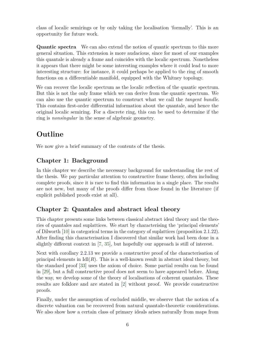class of localic semirings or by only taking the localisation 'formally'. This is an opportunity for future work.

**Quantic spectra** We can also extend the notion of quantic spectrum to this more general situation. This extension is more audacious, since for most of our examples this quantale is already a frame and coincides with the localic spectrum. Nonetheless it appears that there might be some interesting examples where it could lead to more interesting structure: for instance, it could perhaps be applied to the ring of smooth functions on a differentiable manifold, equipped with the Whitney topology.

We can recover the localic spectrum as the localic reflection of the quantic spectrum. But this is not the only frame which we can derive from the quantic spectrum. We can also use the quantic spectrum to construct what we call the *tangent bundle*. This contains first-order differential information about the quantale, and hence the original localic semiring. For a discrete ring, this can be used to determine if the ring is *nonsingular* in the sense of algebraic geometry.

# **Outline**

We now give a brief summary of the contents of the thesis.

### **[Chapter 1: Background](#page-18-0)**

In this chapter we describe the necessary background for understanding the rest of the thesis. We pay particular attention to constructive frame theory, often including complete proofs, since it is rare to find this information in a single place. The results are not new, but many of the proofs differ from those found in the literature (if explicit published proofs exist at all).

### **[Chapter 2: Quantales and abstract ideal theory](#page-58-0)**

This chapter presents some links between classical abstract ideal theory and the theories of quantales and suplattices. We start by characterising the 'principal elements' of Dilworth [\[10\]](#page-106-4) in categorical terms in the category of suplattices (proposition [2.1.22\)](#page-63-0). After finding this characterisation I discovered that similar work had been done in a slightly different context in [\[7,](#page-106-5) [35\]](#page-108-4), but hopefully our approach is still of interest.

Next with corollary [2.2.13](#page-67-1) we provide a constructive proof of the characterisation of principal elements in  $\text{Id}(R)$ . This is a well-known result in abstract ideal theory, but the standard proof [\[33\]](#page-108-5) uses the axiom of choice. Some partial results can be found in [\[29\]](#page-107-6), but a full constructive proof does not seem to have appeared before. Along the way, we develop some of the theory of localisations of coherent quantales. These results are folklore and are stated in [\[2\]](#page-106-6) without proof. We provide constructive proofs.

Finally, under the assumption of excluded middle, we observe that the notion of a discrete valuation can be recovered from natural quantale-theoretic considerations. We also show how a certain class of primary ideals arises naturally from maps from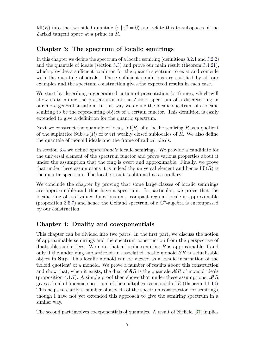Idl(*R*) into the two-sided quantale  $\langle \varepsilon | \varepsilon^2 = 0 \rangle$  and relate this to subspaces of the Zariski tangent space at a prime in *R*.

### **[Chapter 3: The spectrum of localic semirings](#page-70-0)**

In this chapter we define the spectrum of a localic semiring (definitions [3.2.1](#page-73-1) and [3.2.2\)](#page-73-2) and the quantale of ideals (section [3.3\)](#page-73-0) and prove our main result (theorem [3.4.21\)](#page-83-0), which provides a sufficient condition for the quantic spectrum to exist and coincide with the quantale of ideals. These sufficient conditions are satisfied by all our examples and the spectrum construction gives the expected results in each case.

We start by describing a generalised notion of presentation for frames, which will allow us to mimic the presentation of the Zariski spectrum of a discrete ring in our more general situation. In this way we define the localic spectrum of a localic semiring to be the representing object of a certain functor. This definition is easily extended to give a definition for the quantic spectrum.

Next we construct the quantale of ideals  $\text{Id}(R)$  of a localic semiring R as a quotient of the suplattice  $\text{Sub}_\text{OW}(R)$  of overt weakly closed sublocales of R. We also define the quantale of monoid ideals and the frame of radical ideals.

In section [3.4](#page-76-0) we define *approximable* localic semirings. We provide a candidate for the universal element of the spectrum functor and prove various properties about it under the assumption that the ring is overt and approximable. Finally, we prove that under these assumptions it is indeed the universal element and hence  $Id(R)$  is the quantic spectrum. The localic result is obtained as a corollary.

We conclude the chapter by proving that some large classes of localic semirings are approximable and thus have a spectrum. In particular, we prove that the localic ring of real-valued functions on a compact regular locale is approximable (proposition [3.5.7\)](#page-87-0) and hence the Gelfand spectrum of a C\*-algebra is encompassed by our construction.

### **[Chapter 4: Duality and coexponentials](#page-92-0)**

This chapter can be divided into two parts. In the first part, we discuss the notion of approximable semirings and the spectrum construction from the perspective of dualisable suplattices. We note that a localic semiring *R* is approximable if and only if the underlying suplattice of an associated localic monoid S*R* is a dualisable object in **Sup**. This localic monoid can be viewed as a localic incarnation of the 'holoid quotient' of a monoid. We prove a number of results about this construction and show that, when it exists, the dual of  $\mathcal{S}R$  is the quantale  $\mathcal{M}R$  of monoid ideals (proposition [4.1.7\)](#page-95-0). A simple proof then shows that under these assumptions, M*R* gives a kind of 'monoid spectrum' of the multiplicative monoid of *R* (theorem [4.1.10\)](#page-97-0). This helps to clarify a number of aspects of the spectrum construction for semirings, though I have not yet extended this approach to give the semiring spectrum in a similar way.

The second part involves coexponentials of quantales. A result of Niefield [\[37\]](#page-108-6) implies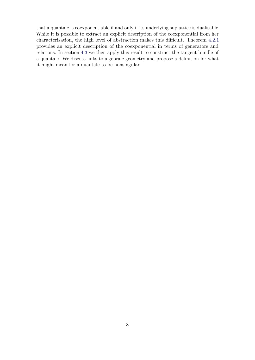that a quantale is coexponentiable if and only if its underlying suplattice is dualisable. While it is possible to extract an explicit description of the coexponential from her characterisation, the high level of abstraction makes this difficult. Theorem [4.2.1](#page-99-1) provides an explicit description of the coexponential in terms of generators and relations. In section [4.3](#page-101-0) we then apply this result to construct the tangent bundle of a quantale. We discuss links to algebraic geometry and propose a definition for what it might mean for a quantale to be nonsingular.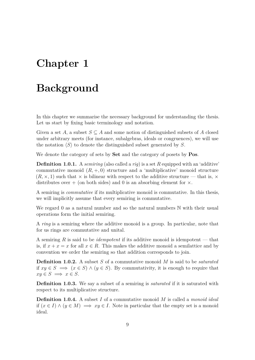# <span id="page-18-0"></span>**Chapter 1**

# **Background**

In this chapter we summarise the necessary background for understanding the thesis. Let us start by fixing basic terminology and notation.

Given a set *A*, a subset  $S \subseteq A$  and some notion of distinguished subsets of *A* closed under arbitrary meets (for instance, subalgebras, ideals or congruences), we will use the notation  $\langle S \rangle$  to denote the distinguished subset generated by *S*.

We denote the category of sets by **Set** and the category of posets by **Pos**.

**Definition 1.0.1.** A *semiring* (also called a *rig*) is a set *R* equipped with an 'additive' commutative monoid  $(R, +, 0)$  structure and a 'multiplicative' monoid structure  $(R, \times, 1)$  such that  $\times$  is bilinear with respect to the additive structure — that is,  $\times$ distributes over  $+$  (on both sides) and 0 is an absorbing element for  $\times$ .

A semiring is *commutative* if its multiplicative monoid is commutative. In this thesis, we will implicitly assume that every semiring is commutative.

We regard 0 as a natural number and so the natural numbers  $\mathbb N$  with their usual operations form the initial semiring.

A *ring* is a semiring where the additive monoid is a group. In particular, note that for us rings are commutative and unital.

A semiring *R* is said to be *idempotent* if its additive monoid is idempotent — that is, if  $x + x = x$  for all  $x \in R$ . This makes the additive monoid a semilattice and by convention we order the semiring so that addition corresponds to join.

**Definition 1.0.2.** A subset *S* of a commutative monoid *M* is said to be *saturated* if  $xy \in S$  ⇒  $(x \in S) \land (y \in S)$ . By commutativity, it is enough to require that  $xy \in S \implies x \in S$ .

**Definition 1.0.3.** We say a subset of a semiring is *saturated* if it is saturated with respect to its multiplicative structure.

**Definition 1.0.4.** A subset *I* of a commutative monoid *M* is called a *monoid ideal* if  $(x ∈ I) ∧ (y ∈ M) \implies xy ∈ I$ . Note in particular that the empty set is a monoid ideal.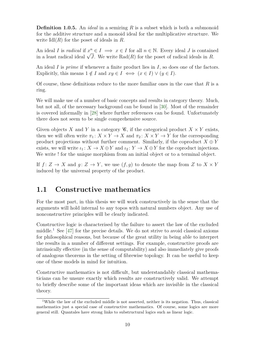**Definition 1.0.5.** An *ideal* in a semiring *R* is a subset which is both a submonoid for the additive structure and a monoid ideal for the multiplicative structure. We write Idl(*R*) for the poset of ideals in *R*.

An ideal *I* is *radical* if  $x^n \in I \implies x \in I$  for all  $n \in \mathbb{N}$ . Every ideal *J* is contained An ideal *I* is *raateal* if  $x^2 \in I \implies x \in I$  for all  $n \in \mathbb{N}$ . Every ideal *J* is contained in *R*.<br>in a least radical ideal  $\sqrt{J}$ . We write Rad(*R*) for the poset of radical ideals in *R*.

An ideal *I* is *prime* if whenever a finite product lies in *I*, so does one of the factors. Explicitly, this means  $1 \notin I$  and  $xy \in I \iff (x \in I) \vee (y \in I)$ .

Of course, these definitions reduce to the more familiar ones in the case that *R* is a ring.

We will make use of a number of basic concepts and results in category theory. Much, but not all, of the necessary background can be found in [\[30\]](#page-107-7). Most of the remainder is covered informally in [\[28\]](#page-107-8) where further references can be found. Unfortunately there does not seem to be single comprehensive source.

Given objects *X* and *Y* in a category  $\mathcal{C}$ , if the categorical product  $X \times Y$  exists, then we will often write  $\pi_1: X \times Y \to X$  and  $\pi_2: X \times Y \to Y$  for the corresponding product projections without further comment. Similarly, if the coproduct  $X \oplus Y$ exists, we will write  $\iota_1: X \to X \oplus Y$  and  $\iota_2: Y \to X \oplus Y$  for the coproduct injections. We write ! for the unique morphism from an initial object or to a terminal object.

If  $f: Z \to X$  and  $q: Z \to Y$ , we use  $(f, q)$  to denote the map from *Z* to  $X \times Y$ induced by the universal property of the product.

### <span id="page-19-0"></span>**1.1 Constructive mathematics**

For the most part, in this thesis we will work constructively in the sense that the arguments will hold internal to any topos with natural numbers object. Any use of nonconstructive principles will be clearly indicated.

Constructive logic is characterised by the failure to assert the law of the excluded middle.<sup>[1](#page-19-1)</sup> See [\[47\]](#page-108-7) for the precise details. We do not strive to avoid classical axioms for philosophical reasons, but because of the great utility in being able to interpret the results in a number of different settings. For example, constructive proofs are intrinsically effective (in the sense of computability) and also immediately give proofs of analogous theorems in the setting of fibrewise topology. It can be useful to keep one of these models in mind for intuition.

Constructive mathematics is not difficult, but understandably classical mathematicians can be unsure exactly which results are constructively valid. We attempt to briefly describe some of the important ideas which are invisible in the classical theory.

<span id="page-19-1"></span><sup>&</sup>lt;sup>1</sup>While the law of the excluded middle is not asserted, neither is its negation. Thus, classical mathematics just a special case of constructive mathematics. Of course, some logics are more general still. Quantales have strong links to substructural logics such as linear logic.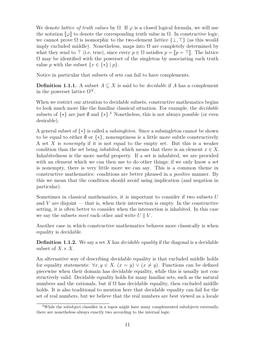We denote *lattice of truth values* by  $\Omega$ . If  $\varphi$  is a closed logical formula, we will use the notation  $\llbracket \varphi \rrbracket$  to denote the corresponding truth value in  $\Omega$ . In constructive logic, we cannot prove  $\Omega$  is isomorphic to the two-element lattice  $\{\perp, \top\}$  (as this would imply excluded middle). Nonetheless, maps into  $\Omega$  are completely determined by what they send to  $\top$  (i.e. true), since every  $p \in \Omega$  satisfies  $p = ||p| = \top$ . The lattice  $\Omega$  may be identified with the powerset of the singleton by associating each truth value *p* with the subset  $\{x \in \{*\} \mid p\}.$ 

Notice in particular that subsets of sets can fail to have complements.

**Definition 1.1.1.** A subset  $A \subseteq X$  is said to be *decidable* if *A* has a complement in the powerset lattice  $\Omega^X$ .

When we restrict our attention to decidable subsets, constructive mathematics begins to look much more like the familiar classical situation. For example, the *decidable* subsets of  $\{*\}$  are just  $\emptyset$  and  $\{*\}$ .<sup>[2](#page-20-0)</sup> Nonetheless, this is not always possible (or even desirable).

A general subset of {∗} is called a *subsingleton*. Since a subsingleton cannot be shown to be equal to either  $\emptyset$  or  $\{*\}$ , nonemptiness is a little more subtle constructively. A set *X* is *nonempty* if it is not equal to the empty set. But this is a weaker condition than the set being *inhabited*, which means that there is an element  $x \in X$ . Inhabitedness is the more useful property. If a set is inhabited, we are provided with an element which we can then use to do other things; if we only know a set is nonempty, there is very little more we can say. This is a common theme in constructive mathematics: conditions are better phrased in a *positive* manner. By this we mean that the condition should avoid using implication (and negation in particular).

Sometimes in classical mathematics, it is important to consider if two subsets *U* and  $V$  are disjoint — that is, when their intersection is empty. In the constructive setting, it is often better to consider when the intersection is inhabited. In this case we say the subsets *meet* each other and write  $U \, \delta V$ .

Another case in which constructive mathematics behaves more classically is when equality is decidable.

**Definition 1.1.2.** We say a set *X* has *decidable equality* if the diagonal is a decidable subset of  $X \times X$ .

An alternative way of describing decidable equality is that excluded middle holds for equality statements:  $\forall x, y \in X$ .  $(x = y) \vee (x \neq y)$ . Functions can be defined piecewise when their domain has decidable equality, while this is usually not constructively valid. Decidable equality holds for many familiar sets, such as the natural numbers and the rationals, but if  $\Omega$  has decidable equality, then excluded middle holds. It is also traditional to mention here that decidable equality can fail for the set of real numbers, but we believe that the real numbers are best viewed as a locale

<span id="page-20-0"></span><sup>2</sup>While the subobject classifier in a topos might have many complemented subobjects externally, there are nonetheless always exactly two according to the internal logic.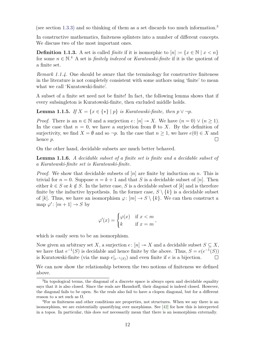(see section [1.3.3\)](#page-28-0) and so thinking of them as a set discards too much information.[3](#page-21-0)

In constructive mathematics, finiteness splinters into a number of different concepts. We discuss two of the most important ones.

**Definition 1.1.3.** A set is called *finite* if it is isomorphic to  $[n] := \{x \in \mathbb{N} \mid x < n\}$ for some  $n \in \mathbb{N}^4$  $n \in \mathbb{N}^4$ . A set is *finitely indexed* or *Kuratowski-finite* if it is the quotient of a finite set.

*Remark 1.1.4.* One should be aware that the terminology for constructive finiteness in the literature is not completely consistent with some authors using 'finite' to mean what we call 'Kuratowski-finite'.

A subset of a finite set need not be finite! In fact, the following lemma shows that if every subsingleton is Kuratowski-finite, then excluded middle holds.

**Lemma 1.1.5.** *If*  $X = \{x \in \{*\} \mid p\}$  *is Kuratowski-finite, then*  $p \vee \neg p$ *.* 

*Proof.* There is an  $n \in \mathbb{N}$  and a surjection  $e: [n] \rightarrow X$ . We have  $(n = 0) \vee (n \ge 1)$ . In the case that  $n = 0$ , we have a surjection from  $\emptyset$  to X. By the definition of surjectivity, we find  $X = \emptyset$  and so  $\neg p$ . In the case that  $n \geq 1$ , we have  $e(0) \in X$  and hence *p*.  $\Box$ 

On the other hand, decidable subsets are much better behaved.

**Lemma 1.1.6.** *A decidable subset of a finite set is finite and a decidable subset of a Kuratowski-finite set is Kuratowski-finite.*

*Proof.* We show that decidable subsets of [*n*] are finite by induction on *n*. This is trivial for  $n = 0$ . Suppose  $n = k + 1$  and that *S* is a decidable subset of [*n*]. Then either  $k \in S$  or  $k \notin S$ . In the latter case, *S* is a decidable subset of [*k*] and is therefore finite by the inductive hypothesis. In the former case,  $S \setminus \{k\}$  is a decidable subset of [k]. Thus, we have an isomorphism  $\varphi: [m] \to S \setminus \{k\}$ . We can then construct a map  $\varphi' : [m+1] \to S$  by

$$
\varphi'(x) = \begin{cases} \varphi(x) & \text{if } x < m \\ k & \text{if } x = m \end{cases},
$$

which is easily seen to be an isomorphism.

Now given an arbitrary set *X*, a surjection  $e: [n] \rightarrow X$  and a decidable subset  $S \subseteq X$ , we have that  $e^{-1}(S)$  is decidable and hence finite by the above. Thus,  $S = e(e^{-1}(S))$ is Kuratowski-finite (via the map  $e|_{e^{-1}(S)}$ ) and even finite if *e* is a bijection.  $\Box$ 

We can now show the relationship between the two notions of finiteness we defined above.

<span id="page-21-0"></span><sup>&</sup>lt;sup>3</sup>In topological terms, the diagonal of a discrete space is always open and decidable equality says that it is also closed. Since the reals are Hausdorff, their diagonal is indeed closed. However, the diagonal fails to be open. So the reals also fail to have a clopen diagonal, but for a different reason to a set such as  $\Omega$ .

<span id="page-21-1"></span><sup>4</sup>For us finiteness and other conditions are properties, not structures. When we say there is an isomorphism, we are existentially quantifying over morphisms. See [\[42\]](#page-108-8) for how this is interpreted in a topos. In particular, this does *not* necessarily mean that there is an isomorphism externally.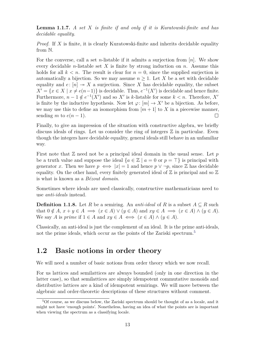**Lemma 1.1.7.** *A set X is finite if and only if it is Kuratowski-finite and has decidable equality.*

*Proof.* If X is finite, it is clearly Kuratowski-finite and inherits decidable equality from N.

For the converse, call a set *n*-listable if it admits a surjection from [*n*]. We show every decidable *n*-listable set *X* is finite by strong induction on *n*. Assume this holds for all  $k < n$ . The result is clear for  $n = 0$ , since the supplied surjection is automatically a bijection. So we may assume  $n \geq 1$ . Let X be a set with decidable equality and  $e: [n] \rightarrow X$  a surjection. Since X has decidable equality, the subset  $X' = \{x \in X \mid x \neq e(n-1)\}\$ is decidable. Thus,  $e^{-1}(X')$  is decidable and hence finite. Furthermore,  $n-1 \notin e^{-1}(X')$  and so X' is *k*-listable for some  $k < n$ . Therefore, X' is finite by the inductive hypothesis. Now let  $\varphi: [m] \to X'$  be a bijection. As before, we may use this to define an isomorphism from  $[m+1]$  to X in a piecewise manner, sending *m* to  $e(n-1)$ .  $\Box$ 

Finally, to give an impression of the situation with constructive algebra, we briefly discuss ideals of rings. Let us consider the ring of integers  $\mathbb Z$  in particular. Even though the integers have decidable equality, general ideals still behave in an unfamiliar way.

First note that Z need not be a principal ideal domain in the usual sense. Let *p* be a truth value and suppose the ideal  ${a \in \mathbb{Z} \mid a = 0 \text{ or } p = \top }$  is principal with generator *x*. Then we have  $p \iff |x| = 1$  and hence  $p \lor \neg p$ , since Z has decidable equality. On the other hand, every finitely generated ideal of  $\mathbb Z$  is principal and so  $\mathbb Z$ is what is known as a *Bézout domain*.

Sometimes where ideals are used classically, constructive mathematicians need to use *anti-ideals* instead.

**Definition 1.1.8.** Let *R* be a semiring. An *anti-ideal* of *R* is a subset  $A \subseteq R$  such that  $0 \notin A$ ,  $x + y \in A \implies (x \in A) \vee (y \in A)$  and  $xy \in A \implies (x \in A) \wedge (y \in A)$ . We say *A* is *prime* if  $1 \in A$  and  $xy \in A \iff (x \in A) \land (y \in A)$ .

Classically, an anti-ideal is just the complement of an ideal. It is the prime anti-ideals, not the prime ideals, which occur as the points of the Zariski spectrum.<sup>[5](#page-22-1)</sup>

### <span id="page-22-0"></span>**1.2 Basic notions in order theory**

We will need a number of basic notions from order theory which we now recall.

For us lattices and semilattices are always bounded (only in one direction in the latter case), so that semilattices are simply idempotent commutative monoids and distributive lattices are a kind of idempotent semirings. We will move between the algebraic and order-theoretic descriptions of these structures without comment.

<span id="page-22-1"></span><sup>5</sup>Of course, as we discuss below, the Zariski spectrum should be thought of as a locale, and it might not have 'enough points'. Nonetheless, having an idea of what the points are is important when viewing the spectrum as a classifying locale.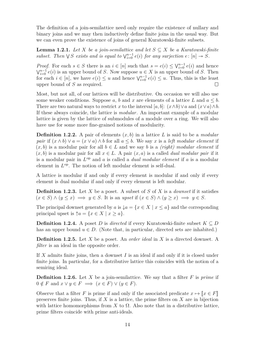The definition of a join-semilattice need only require the existence of nullary and binary joins and we may then inductively define finite joins in the usual way. But we can even prove the existence of joins of general Kuratowski-finite subsets.

**Lemma 1.2.1.** *Let X be a join-semilattice and let*  $S \subseteq X$  *be a Kuratowski-finite subset.* Then  $\vee$  *S exists* and *is equal to*  $\vee_{i=0}^{n-1} e(i)$  *for any surjection*  $e: [n] \rightarrow S$ *.* 

*Proof.* For each  $s \in S$  there is an  $i \in [n]$  such that  $s = e(i) \leq \sqrt{i} \cdot 0$  and hence  $\bigvee_{i=0}^{n-1} e(i)$  is an upper bound of *S*. Now suppose  $u \in X$  is an upper bound of *S*. Then for each  $i \in [n]$ , we have  $e(i) \leq u$  and hence  $\bigvee_{i=0}^{n-1} e(i) \leq u$ . Thus, this is the least upper bound of *S* as required.  $\Box$ 

Most, but not all, of our lattices will be distributive. On occasion we will also use some weaker conditions. Suppose  $a, b$  and  $x$  are elements of a lattice  $L$  and  $a \leq b$ . There are two natural ways to restrict *x* to the interval [ $a, b$ ]:  $(x \wedge b) \vee a$  and  $(x \vee a) \wedge b$ . If these always coincide, the lattice is *modular*. An important example of a modular lattice is given by the lattice of submodules of a module over a ring. We will also have use for some more fine-grained notions of modularity.

**Definition 1.2.2.** A pair of elements (*x, b*) in a lattice *L* is said to be a *modular pair* if  $(x \wedge b) \vee a = (x \vee a) \wedge b$  for all  $a \leq b$ . We say *x* is a *left modular element* if  $(x, b)$  is a modular pair for all  $b \in L$  and we say *b* is a *(right)* modular element if  $(x, b)$  is a modular pair for all  $x \in L$ . A pair  $(x, a)$  is a called *dual modular pair* if it is a modular pair in *L* op and *a* is called a *dual modular element* if *a* is a modular element in  $L^{\text{op}}$ . The notion of left modular element is self-dual.

A lattice is modular if and only if every element is modular if and only if every element is dual modular if and only if every element is left modular.

**Definition 1.2.3.** Let *X* be a poset. A subset of *S* of *X* is a *downset* if it satisfies  $(x \in S) \land (y \leq x) \implies y \in S$ . It is an *upset* if  $(x \in S) \land (y \geq x) \implies y \in S$ .

The principal downset generated by *a* is  $\downarrow a = \{x \in X \mid x \leq a\}$  and the corresponding principal upset is  $\uparrow a = \{x \in X \mid x \geq a\}.$ 

**Definition 1.2.4.** A poset *D* is *directed* if every Kuratowski-finite subset  $K \subseteq D$ has an upper bound  $u \in D$ . (Note that, in particular, directed sets are inhabited.)

**Definition 1.2.5.** Let *X* be a poset. An *order ideal* in *X* is a directed downset. A *filter* is an ideal in the opposite order.

If *X* admits finite joins, then a downset *I* is an ideal if and only if it is closed under finite joins. In particular, for a distributive lattice this coincides with the notion of a semiring ideal.

**Definition 1.2.6.** Let *X* be a join-semilattice. We say that a filter *F* is *prime* if  $0 \notin F$  and  $x \lor y \in F \implies (x \in F) \lor (y \in F)$ .

Observe that a filter *F* is prime if and only if the associated predicate  $x \mapsto [x \in F]$ preserves finite joins. Thus, if *X* is a lattice, the prime filters on *X* are in bijection with lattice homomorphisms from *X* to  $\Omega$ . Also note that in a distributive lattice, prime filters coincide with prime anti-ideals.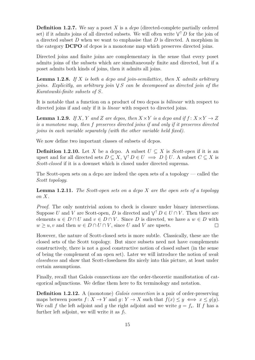**Definition 1.2.7.** We say a poset *X* is a *dcpo* (directed-complete partially ordered set) if it admits joins of all directed subsets. We will often write  $\bigvee^{\uparrow} D$  for the join of a directed subset *D* when we want to emphasise that *D* is directed. A morphism in the category **DCPO** of dcpos is a monotone map which preserves directed joins.

Directed joins and finite joins are complementary in the sense that every poset admits joins of the subsets which are simultaneously finite and directed, but if a poset admits both kinds of joins, then it admits all joins.

**Lemma 1.2.8.** *If X is both a dcpo and join-semilattice, then X admits arbitrary joins. Explicitly, an arbitrary join* W *S can be decomposed as directed join of the Kuratowski-finite subsets of S.*

It is notable that a function on a product of two dcpos is *bilinear* with respect to directed joins if and only if it is *linear* with respect to directed joins.

**Lemma 1.2.9.** *If X, Y and Z are dcpos, then*  $X \times Y$  *is a dcpo and if*  $f: X \times Y \rightarrow Z$ *is a monotone map, then f preserves directed joins if and only if it preserves directed joins in each variable separately (with the other variable held fixed).*

We now define two important classes of subsets of dcpos.

**Definition 1.2.10.** Let *X* be a dcpo. A subset  $U \subseteq X$  is *Scott-open* if it is an upset and for all directed sets  $D \subseteq X$ ,  $\bigvee^{\uparrow} D \in U \implies D \vee U$ . A subset  $C \subseteq X$  is *Scott-closed* if it is a downset which is closed under directed suprema.

The Scott-open sets on a dcpo are indeed the open sets of a topology — called the *Scott topology*.

**Lemma 1.2.11.** *The Scott-open sets on a dcpo X are the open sets of a topology on X.*

*Proof.* The only nontrivial axiom to check is closure under binary intersections. Suppose *U* and *V* are Scott-open, *D* is directed and  $\bigvee^{f} D \in U \cap V$ . Then there are elements  $u \in D \cap U$  and  $v \in D \cap V$ . Since D is directed, we have a  $w \in D$  with  $w \geq u, v$  and then  $w \in D \cap U \cap V$ , since *U* and *V* are upsets.  $\Box$ 

However, the nature of Scott-closed sets is more subtle. Classically, these are the closed sets of the Scott topology. But since subsets need not have complements constructively, there is not a good constructive notion of closed subset (in the sense of being the complement of an open set). Later we will introduce the notion of *weak closedness* and show that Scott-closedness fits nicely into this picture, at least under certain assumptions.

Finally, recall that Galois connections are the order-theoretic manifestation of categorical adjunctions. We define them here to fix terminology and notation.

**Definition 1.2.12.** A (monotone) *Galois connection* is a pair of order-preserving maps between posets  $f: X \to Y$  and  $g: Y \to X$  such that  $f(x) \leq y \iff x \leq g(y)$ . We call *f* the left adjoint and *g* the right adjoint and we write  $g = f_*$ . If *f* has a further left adjoint, we will write it as  $f_!$ .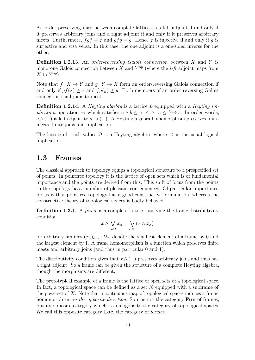An order-preserving map between complete lattices is a left adjoint if and only if it preserves arbitrary joins and a right adjoint if and only if it preserves arbitrary meets. Furthermore,  $fgf = f$  and  $gfg = g$ . Hence f is injective if and only if g is surjective and visa versa. In this case, the one adjoint is a one-sided inverse for the other.

**Definition 1.2.13.** An *order-reversing Galois connection* between *X* and *Y* is monotone Galois connection between  $X$  and  $Y^{\text{op}}$  (where the *left* adjoint maps from  $X$  to  $Y^{\text{op}}$ ).

Note that  $f: X \to Y$  and  $q: Y \to X$  form an order-reversing Galois connection if and only if  $gf(x) \geq x$  and  $fg(y) \geq y$ . Both members of an order-reversing Galois connection send joins to meets.

**Definition 1.2.14.** A *Heyting algebra* is a lattice *L* equipped with a *Heyting implication* operation  $\rightarrow$  which satisfies  $a \wedge b \leq c \iff a \leq b \rightarrow c$ . In order words,  $a \wedge (-)$  is left adjoint to  $a \rightarrow (-)$ . A Heyting algebra homomorphism preserves finite meets, finite joins and implication.

The lattice of truth values  $\Omega$  is a Heyting algebra, where  $\rightarrow$  is the usual logical implication.

### <span id="page-25-0"></span>**1.3 Frames**

The classical approach to topology equips a topological structure to a prespecified set of points. In pointfree topology it is the lattice of open sets which is of fundamental importance and the points are derived from this. This shift of focus from the points to the topology has a number of pleasant consequences. Of particular importance for us is that pointfree topology has a good constructive formulation, whereas the constructive theory of topological spaces is badly behaved.

**Definition 1.3.1.** A *frame* is a complete lattice satisfying the frame distributivity condition

$$
x \wedge \bigvee_{\alpha \in I} x_{\alpha} = \bigvee_{\alpha \in I} (x \wedge x_{\alpha})
$$

for arbitrary families  $(x_{\alpha})_{\alpha \in I}$ . We denote the smallest element of a frame by 0 and the largest element by 1. A frame homomorphism is a function which preserves finite meets and arbitrary joins (and thus in particular 0 and 1).

The distributivity condition gives that  $x \wedge (-)$  preserves arbitrary joins and thus has a right adjoint. So a frame can be given the structure of a complete Heyting algebra, though the morphisms are different.

The prototypical example of a frame is the lattice of open sets of a topological space. In fact, a topological space can be defined as a set *X* equipped with a subframe of the powerset of *X*. Note that a continuous map of topological spaces induces a frame homomorphism *in the opposite direction*. So it is not the category **Frm** of frames, but its opposite category which is analogous to the category of topological spaces. We call this opposite category **Loc**, the category of *locales*.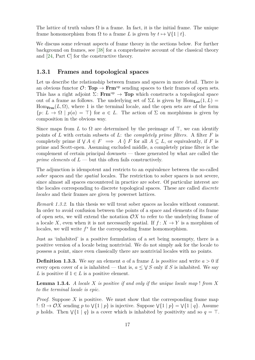The lattice of truth values  $\Omega$  is a frame. In fact, it is the initial frame. The unique frame homomorphism from  $\Omega$  to a frame *L* is given by  $t \mapsto \sqrt{\{1 \mid t\}}$ .

We discuss some relevant aspects of frame theory in the sections below. For further background on frames, see [\[38\]](#page-108-9) for a comprehensive account of the classical theory and [\[24,](#page-107-9) Part C] for the constructive theory.

### <span id="page-26-0"></span>**1.3.1 Frames and topological spaces**

Let us describe the relationship between frames and spaces in more detail. There is an obvious functor  $\mathcal{O} \colon \mathbf{Top} \to \mathbf{Frm}^{\mathrm{op}}$  sending spaces to their frames of open sets. This has a right adjoint  $\Sigma$ : **Frm**<sup>op</sup>  $\rightarrow$  **Top** which constructs a topological space out of a frame as follows. The underlying set of  $\Sigma L$  is given by  $\text{Hom}_{\text{Loc}}(1, L)$  $Hom_{\text{Frm}}(L, \Omega)$ , where 1 is the terminal locale, and the open sets are of the form  ${p: L \to \Omega \mid p(a) = \top}$  for  $a \in L$ . The action of  $\Sigma$  on morphisms is given by composition in the obvious way.

Since maps from *L* to  $\Omega$  are determined by the preimage of  $\top$ , we can identify points of *L* with certain subsets of *L*: the *completely prime filters*. A filter *F* is completely prime if  $\bigvee A \in F \implies A \between F$  for all  $A \subseteq L$ , or equivalently, if *F* is prime and Scott-open. Assuming excluded middle, a completely prime filter is the complement of certain principal downsets — those generated by what are called the *prime elements* of  $L$  — but this often fails constructively.

The adjunction is idempotent and restricts to an equivalence between the so-called *sober* spaces and the *spatial* locales. The restriction to sober spaces is not severe, since almost all spaces encountered in practice are sober. Of particular interest are the locales corresponding to discrete topological spaces. These are called *discrete locales* and their frames are given by powerset lattices.

*Remark 1.3.2.* In this thesis we will treat sober spaces as locales without comment. In order to avoid confusion between the points of a space and elements of its frame of open sets, we will extend the notation  $\mathcal{O}X$  to refer to the underlying frame of a locale *X*, even when it is not necessarily spatial. If  $f: X \to Y$  is a morphism of locales, we will write  $f^*$  for the corresponding frame homomorphism.

Just as 'inhabited' is a positive formulation of a set being nonempty, there is a positive version of a locale being nontrivial. We do not simply ask for the locale to possess a point, since even classically there are nontrivial locales with no points.

**Definition 1.3.3.** We say an element *a* of a frame *L* is *positive* and write *a >* 0 if every open cover of *a* is inhabited — that is,  $a \leq \sqrt{S}$  only if *S* is inhabited. We say *L* is positive if  $1 \in L$  is a positive element.

**Lemma 1.3.4.** *A locale X is positive if and only if the unique locale map* ! *from X to the terminal locale is epic.*

*Proof.* Suppose *X* is positive. We must show that the corresponding frame map  $\therefore$  Ω → *OX* sending *p* to  $\sqrt{1 | p}$  is injective. Suppose  $\sqrt{1 | p}$  =  $\sqrt{1 | q}$ . Assume p holds. Then  $\sqrt{\{1 \mid q\}}$  is a cover which is inhabited by positivity and so  $q = \top$ .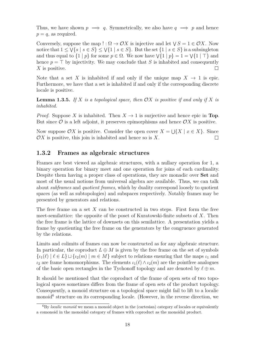Thus, we have shown  $p \implies q$ . Symmetrically, we also have  $q \implies p$  and hence  $p = q$ , as required.

Conversely, suppose the map  $! : \Omega \to \mathcal{O}X$  is injective and let  $\forall S = 1 \in \mathcal{O}X$ . Now notice that  $1 \leq \sqrt{s} \mid s \in S$   $\leq \sqrt{1} \mid s \in S$ . But the set  $\{1 \mid s \in S\}$  is a subsingleton and thus equal to  $\{1 \mid p\}$  for some  $p \in \Omega$ . We now have  $\forall \{1 \mid p\} = 1 = \forall \{1 \mid \top\}$  and hence  $p = \top$  by injectivity. We may conclude that *S* is inhabited and consequently *X* is positive.  $\Box$ 

Note that a set X is inhabited if and only if the unique map  $X \to 1$  is epic. Furthermore, we have that a set is inhabited if and only if the corresponding discrete locale is positive.

**Lemma 1.3.5.** If X is a topological space, then  $OX$  is positive if and only if X is *inhabited.*

*Proof.* Suppose X is inhabited. Then  $X \to 1$  is surjective and hence epic in **Top**. But since  $\mathcal{O}$  is a left adjoint, it preserves epimorphisms and hence  $\mathcal{O}X$  is positive.

Now suppose  $\mathcal{O}X$  is positive. Consider the open cover  $X = \bigcup \{X \mid x \in X\}$ . Since  $\mathcal{O}X$  is positive, this join is inhabited and hence so is  $X$ .  $\Box$ 

#### <span id="page-27-0"></span>**1.3.2 Frames as algebraic structures**

Frames are best viewed as algebraic structures, with a nullary operation for 1, a binary operation for binary meet and one operation for joins of each cardinality. Despite them having a proper class of operations, they are monadic over **Set** and most of the usual notions from universal algebra are available. Thus, we can talk about *subframes* and *quotient frames*, which by duality correspond loosely to quotient spaces (as well as subtopologies) and subspaces respectively. Notably frames may be presented by generators and relations.

The free frame on a set *X* can be constructed in two steps. First form the free meet-semilattice: the opposite of the poset of Kuratowski-finite subsets of *X*. Then the free frame is the lattice of downsets on this semilattice. A presentation yields a frame by quotienting the free frame on the generators by the congruence generated by the relations.

Limits and colimits of frames can now be constructed as for any algebraic structure. In particular, the coproduct  $L \oplus M$  is given by the free frame on the set of symbols  $\{i_1(\ell) \mid \ell \in L\} \sqcup \{i_2(m) \mid m \in M\}$  subject to relations ensuring that the maps  $i_1$  and  $i_2$  are frame homomorphisms. The elements  $i_1(\ell) \wedge i_2(m)$  are the pointfree analogues of the basic open rectangles in the Tychonoff topology and are denoted by  $\ell \oplus m$ .

It should be mentioned that the coproduct of the frame of open sets of two topological spaces sometimes differs from the frame of open sets of the product topology. Consequently, a monoid structure on a topological space might fail to lift to a localic monoid<sup>[6](#page-27-1)</sup> structure on its corresponding locale. (However, in the reverse direction, we

<span id="page-27-1"></span><sup>6</sup>By *localic monoid* we mean a monoid object in the (cartesian) category of locales or equivalently a comonoid in the monoidal category of frames with coproduct as the monoidal product.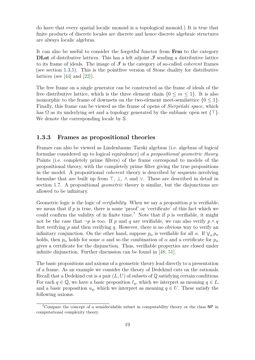do have that every spatial localic monoid is a topological monoid.) It is true that finite products of discrete locales are discrete and hence discrete algebraic structures are always localic algebras.

It can also be useful to consider the forgetful functor from **Frm** to the category **DLat** of distributive lattices. This has a left adjoint  $\mathcal{F}$  sending a distributive lattice to its frame of ideals. The image of  $\mathcal{F}$  is the category of so-called *coherent* frames (see section [1.3.5\)](#page-31-0). This is the pointfree version of Stone duality for distributive lattices (see  $[44]$  and  $[22]$ ).

The free frame on a single generator can be constructed as the frame of ideals of the free distributive lattice, which is the three element chain  ${0 \leq m \leq 1}$ . It is also isomorphic to the frame of downsets on the two-element meet-semilattice  ${0 \leq 1}$ . Finally, this frame can be viewed as the frame of opens of *Sierpiński space*, which has  $\Omega$  as its underlying set and a topology generated by the subbasic open set  $\{\top\}.$ We denote the corresponding locale by S.

#### <span id="page-28-0"></span>**1.3.3 Frames as propositional theories**

Frames can also be viewed as Lindenbaum–Tarski algebras (i.e. algebras of logical formulae considered up to logical equivalence) of a *propositional geometric theory*. Points (i.e. completely prime filters) of the frame correspond to models of the propositional theory, with the completely prime filter giving the true propositions in the model. A propositional *coherent* theory is described by sequents involving formulae that are built up from  $\top$ ,  $\bot$ ,  $\land$  and  $\lor$ . These are described in detail in section [1.7.](#page-49-0) A propositional *geometric* theory is similar, but the disjunctions are allowed to be infinitary.

Geometric logic is the logic of *verifiability*. When we say a proposition *p* is verifiable, we mean that if *p* is true, there is some 'proof' or 'certificate' of this fact which we could confirm the validity of in finite time.<sup>[7](#page-28-1)</sup> Note that if  $p$  is verifiable, it might not be the case that  $\neg p$  is too. If *p* and *q* are verifiable, we can also verify  $p \wedge q$ first verifying *p* and then verifying *q*. However, there is no obvious way to verify an infinitary conjunction. On the other hand, suppose  $p_{\alpha}$  is verifiable for all  $\alpha$ . If  $\vee_{\alpha} p_{\alpha}$ holds, then  $p_{\alpha}$  holds for some  $\alpha$  and so the combination of  $\alpha$  and a certificate for  $p_{\alpha}$ gives a certificate for the disjunction. Thus, verifiable properties are closed under infinite disjunction. Further discussion can be found in [\[48,](#page-108-10) [51\]](#page-108-11).

The basic propositions and axioms of a geometric theory lead directly to a presentation of a frame. As an example we consider the theory of Dedekind cuts on the rationals. Recall that a Dedekind cut is a pair  $(L, U)$  of subsets of  $\mathbb Q$  satisfying certain conditions. For each  $q \in \mathbb{Q}$ , we have a basic proposition  $\ell_q$ , which we interpret as meaning  $q \in L$ , and a basic proposition  $u_q$ , which we interpret as meaning  $q \in U$ . These satisfy the following axioms.

<span id="page-28-1"></span><sup>7</sup>Compare the concept of a semidecidable subset in computability theory or the class NP in computational complexity theory.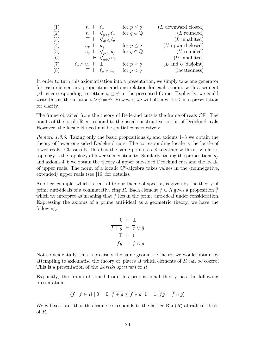| (1) | $\ell_q$ $\vdash \ell_p$                     | for $p \leq q$         | (L downward closed)                   |
|-----|----------------------------------------------|------------------------|---------------------------------------|
| (2) | $\ell_q$ $\vdash \bigvee_{p>q} \ell_p$       | for $q \in \mathbb{Q}$ | $(L$ rounded)                         |
| (3) | $T \vdash \bigvee_{q \in \mathbb{Q}} \ell_q$ |                        | $(L \text{ inhabited})$               |
| (4) | $u_p \vdash u_q$                             | for $p \leq q$         | $(U$ upward closed)                   |
| (5) | $u_q$ $\vdash \bigvee_{p < q} u_p$           | for $q \in \mathbb{Q}$ | $(U$ rounded)                         |
| (6) | $\top \vdash \bigvee_{q \in \mathbb{Q}} u_q$ |                        | $(U \text{ inhabited})$               |
| (7) | $\ell_p \wedge u_q$ $\vdash \perp$           | for $p \geq q$         | $(L \text{ and } U \text{ disjoint})$ |
| (8) | $\top \vdash \ell_p \vee u_q$                | for $p < q$            | (locatedness)                         |

In order to turn this axiomatisation into a presentation, we simply take one generator for each elementary proposition and one relation for each axiom, with a sequent  $\varphi \vdash \psi$  corresponding to setting  $\varphi \leq \psi$  in the presented frame. Explicitly, we could write this as the relation  $\varphi \vee \psi = \psi$ . However, we will often write  $\leq$  in a presentation for clarity.

The frame obtained from the theory of Dedekind cuts is the frame of reals OR. The points of the locale R correspond to the usual constructive notion of Dedekind reals. However, the locale R need not be spatial constructively.

*Remark 1.3.6.* Taking only the basic propositions  $\ell_p$  and axioms 1–3 we obtain the theory of lower one-sided Dedekind cuts. The corresponding locale is the locale of lower reals. Classically, this has the same points as R together with  $\infty$ , while its topology is the topology of lower semicontinuity. Similarly, taking the propositions  $u_p$ and axioms 4–6 we obtain the theory of upper one-sided Dedekind cuts and the locale of upper reals. The norm of a localic  $C^*$ -algebra takes values in the (nonnegative, extended) upper reals (see [\[16\]](#page-107-4) for details).

Another example, which is central to our theme of spectra, is given by the theory of prime anti-ideals of a commutative ring *R*. Each element  $f \in R$  gives a proposition  $\overline{f}$ which we interpret as meaning that f lies in the prime anti-ideal under consideration. Expressing the axioms of a prime anti-ideal as a geometric theory, we have the following.

$$
\begin{array}{c}\n\overline{0} & \vdash \perp \\
\overline{f+g} & \vdash \overline{f} \lor \overline{g} \\
\overline{\top} & \vdash \overline{1} \\
\overline{fg} & \vdash \overline{f} \land \overline{g}\n\end{array}
$$

Not coincidentally, this is precisely the same geometric theory we would obtain by attempting to axiomatise the theory of 'places at which elements of *R* can be cozero'. This is a presentation of the *Zariski spectrum* of *R*.

Explicitly, the frame obtained from this propositional theory has the following presentation.

$$
\langle \overline{f} : f \in R \mid \overline{0} = 0, \overline{f + g} \le \overline{f} \lor \overline{g}, \overline{1} = 1, \overline{fg} = \overline{f} \land \overline{g} \rangle
$$

We will see later that this frame corresponds to the lattice  $Rad(R)$  of radical ideals of *R*.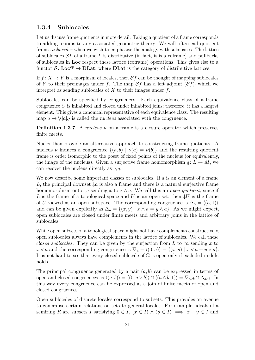### <span id="page-30-0"></span>**1.3.4 Sublocales**

Let us discuss frame quotients in more detail. Taking a quotient of a frame corresponds to adding axioms to any associated geometric theory. We will often call quotient frames *sublocales* when we wish to emphasise the analogy with subspaces. The lattice of sublocales S*L* of a frame *L* is distributive (in fact, it is a coframe) and pullbacks of sublocales in **Loc** respect these lattice (coframe) operations. This gives rise to a functor  $S: Loc^{op} \to DLat$ , where **DLat** is the category of distributive lattices.

If  $f: X \to Y$  is a morphism of locales, then  $Sf$  can be thought of mapping sublocales of *Y* to their preimages under *f*. The map  $Sf$  has a left adjoint  $(Sf)$ , which we interpret as sending sublocales of *X* to their images under *f*.

Sublocales can be specified by congruences. Each equivalence class of a frame congruence *C* is inhabited and closed under inhabited joins; therefore, it has a largest element. This gives a canonical representative of each equivalence class. The resulting map  $a \mapsto \mathsf{V}[a]_C$  is called the *nucleus* associated with the congruence.

**Definition 1.3.7.** A *nucleus ν* on a frame is a closure operator which preserves finite meets.

Nuclei then provide an alternative approach to constructing frame quotients. A nucleus *ν* induces a congruence  $\{(a, b) | \nu(a) = \nu(b)\}\$  and the resulting quotient frame is order isomorphic to the poset of fixed points of the nucleus (or equivalently, the image of the nucleus). Given a surjective frame homomorphism  $q: L \rightarrow M$ , we can recover the nucleus directly as *q*∗*q*.

We now describe some important classes of sublocales. If *a* is an element of a frame *L*, the principal downset  $\downarrow a$  is also a frame and there is a natural surjective frame homomorphism onto  $\downarrow a$  sending x to  $x \wedge a$ . We call this an *open quotient*, since if *L* is the frame of a topological space and *U* is an open set, then  $\downarrow U$  is the frame of *U* viewed as an open subspace. The corresponding congruence is  $\Delta_a = \langle (a, 1) \rangle$ and can be given explicitly as  $\Delta_a = \{(x, y) \mid x \wedge a = y \wedge a\}$ . As we might expect, open sublocales are closed under finite meets and arbitrary joins in the lattice of sublocales.

While open subsets of a topological space might not have complements constructively, open sublocales always have complements in the lattice of sublocales. We call these *closed sublocales*. They can be given by the surjection from *L* to  $\uparrow a$  sending *x* to  $x \vee a$  and the corresponding congruence is  $\nabla_a = \langle (0, a) \rangle = \{ (x, y) | x \vee a = y \vee a \}.$ It is not hard to see that every closed sublocale of  $\Omega$  is open only if excluded middle holds.

The principal congruence generated by a pair  $(a, b)$  can be expressed in terms of open and closed congruences as  $\langle (a, b) \rangle = \langle (0, a \vee b) \rangle \cap \langle (a \wedge b, 1) \rangle = \nabla_{a \vee b} \cap \Delta_{a \wedge b}$ . In this way every congruence can be expressed as a join of finite meets of open and closed congruences.

Open sublocales of discrete locales correspond to subsets. This provides an avenue to generalise certain relations on sets to general locales. For example, ideals of a semiring *R* are subsets *I* satisfying  $0 \in I$ ,  $(x \in I) \wedge (y \in I) \implies x + y \in I$  and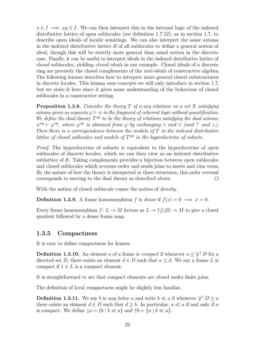$x \in I \implies xy \in I$ . We can then interpret this in the internal logic of the indexed distributive lattice of open sublocales (see definition [1.7.12\)](#page-52-0), as in section [1.7,](#page-49-0) to describe open ideals of localic semirings. We can also interpret the same axioms in the indexed distributive lattice  $\mathcal S$  of all sublocales to define a general notion of ideal, though this will be strictly more general than usual notion in the discrete case. Finally, it can be useful to interpret ideals in the indexed distributive lattice of *closed* sublocales, yielding *closed ideals* in our example. Closed ideals of a discrete ring are precisely the closed complements of the *anti-ideals* of constructive algebra. The following lemma describes how to interpret more general closed substructures in discrete locales. This lemma uses concepts we will only introduce in section [1.7,](#page-49-0) but we state it here since it gives some understanding of the behaviour of closed sublocales in a constructive setting.

**Proposition 1.3.8.** *Consider the theory T of n-ary relations on a set X satisfying axioms given as sequents*  $\varphi \vdash \psi$  *in the fragment of coherent logic without quantification.* We define the dual theory  $T^{\rm op}$  *to be the theory of relations satisfying the dual axioms,*  $\psi^{\text{op}} \vdash \varphi^{\text{op}}$ , where  $\varphi^{\text{op}}$  *is obtained from*  $\varphi$  *by exchanging*  $\wedge$  *and*  $\vee$  *(and*  $\top$  *and*  $\bot$ *). Then there is a correspondence between the models of T in the indexed distributive lattice of closed sublocales and models of*  $T^{op}$  *in the hyperdoctrine of subsets.* 

*Proof.* The hyperdoctrine of subsets is equivalent to the hyperdoctrine of open sublocales of discrete locales, which we can then view as an indexed distributive sublattice of  $S$ . Taking complements provides a bijection between open sublocales and closed sublocales which reverses order and sends joins to meets and visa versa. By the nature of how the theory is interpreted in these structures, this order reversal corresponds to moving to the dual theory as described above.  $\Box$ 

With the notion of closed sublocale comes the notion of *density*.

**Definition 1.3.9.** A frame homomorphism *f* is *dense* if  $f(x) = 0 \implies x = 0$ .

Every frame homomorphism  $f: L \to M$  factors as  $L \to \uparrow f_*(0) \to M$  to give a closed quotient followed by a dense frame map.

#### <span id="page-31-0"></span>**1.3.5 Compactness**

It is easy to define compactness for frames.

**Definition 1.3.10.** An element *a* of a frame is *compact* if whenever  $a \leq \sqrt{\ }D$  for a directed set *D*, there exists an element  $d \in D$  such that  $a \leq d$ . We say a frame *L* is compact if  $1 \in L$  is a compact element.

It is straightforward to see that compact elements are closed under finite joins.

The definition of local compactness might be slightly less familiar.

**Definition 1.3.11.** We say *b* is *way below a* and write  $b \ll a$  if whenever  $\sqrt{\ }D \ge a$ there exists an element  $d \in D$  such that  $d \geq b$ . In particular,  $a \ll a$  if and only if a is compact. We define  $\downarrow a = \{b \mid b \ll a\}$  and  $\uparrow b = \{a \mid b \ll a\}.$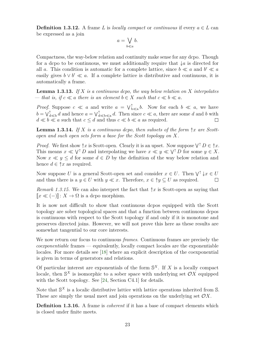**Definition 1.3.12.** A frame *L* is *locally compact* or *continuous* if every  $a \in L$  can be expressed as a join

$$
a=\bigvee_{b\ll a}b.
$$

Compactness, the way-below relation and continuity make sense for any dcpo. Though for a dcpo to be continuous, we must additionally require that  $\downarrow a$  is directed for all *a*. This condition is automatic for a complete lattice, since  $b \ll a$  and  $b' \ll a$ easily gives  $b \vee b' \ll a$ . If a complete lattice is distributive and continuous, it is automatically a frame.

<span id="page-32-0"></span>**Lemma 1.3.13.** *If X is a continuous dcpo, the way below relation on X interpolates*  $-$  *that is, if*  $c \ll a$  *there is an element*  $b \in X$  *such that*  $c \ll b \ll a$ *.* 

*Proof.* Suppose  $c \ll a$  and write  $a = \bigvee_{b \ll a}^{\uparrow} b$ . Now for each  $b \ll a$ , we have  $b = \bigvee_{d \leq b}^{\uparrow} d$  and hence  $a = \bigvee_{d \leq b \leq a}^{\uparrow} d$ . Then since  $c \ll a$ , there are some *d* and *b* with  $d \ll b \ll a$  such that  $c \leq d$  and thus  $c \ll b \ll a$  as required.  $\Box$ 

<span id="page-32-1"></span>**Lemma 1.3.14.** If X is a continuous dcpo, then subsets of the form  $\hat{\tau}$ x are Scott*open and such open sets form a base for the Scott topology on X.*

*Proof.* We first show  $\hat{\tau}x$  is Scott-open. Clearly it is an upset. Now suppose  $\bigvee^{\hat{\tau}} D \in \hat{\tau}x$ . This means  $x \ll \bigvee^{\uparrow} D$  and interpolating we have  $x \ll y \ll \bigvee^{\uparrow} D$  for some  $y \in X$ . Now  $x \ll y \leq d$  for some  $d \in D$  by the definition of the way below relation and hence  $d \in \mathbb{\hat{}}x$  as required.

Now suppose *U* is a general Scott-open set and consider  $x \in U$ . Then  $\forall^{\uparrow} \downarrow x \in U$ and thus there is a  $y \in U$  with  $y \ll x$ . Therefore,  $x \in \hat{y} \subseteq U$  as required.  $\Box$ 

*Remark 1.3.15.* We can also interpret the fact that  $x$  is Scott-open as saying that  $\lllceil x \ll (-) \rrceil$ : *X* → Ω is a dcpo morphism.

It is now not difficult to show that continuous dcpos equipped with the Scott topology are sober topological spaces and that a function between continuous dcpos is continuous with respect to the Scott topology if and only if it is monotone and preserves directed joins. However, we will not prove this here as these results are somewhat tangential to our core interests.

We now return our focus to continuous *frames*. Continuous frames are precisely the *coexponentiable* frames — equivalently, locally compact locales are the exponentiable locales. For more details see [\[18\]](#page-107-11) where an explicit description of the coexponential is given in terms of generators and relations.

Of particular interest are exponentials of the form S *<sup>X</sup>*. If *X* is a locally compact locale, then  $S^X$  is isomorphic to a sober space with underlying set  $\mathcal{O}Y$  equipped with the Scott topology. See [\[24,](#page-107-9) Section C4.1] for details.

Note that  $\mathbb{S}^X$  is a localic distributive lattice with lattice operations inherited from S. These are simply the usual meet and join operations on the underlying set O*X*.

**Definition 1.3.16.** A frame is *coherent* if it has a base of compact elements which is closed under finite meets.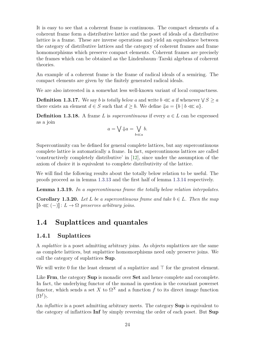It is easy to see that a coherent frame is continuous. The compact elements of a coherent frame form a distributive lattice and the poset of ideals of a distributive lattice is a frame. These are inverse operations and yield an equivalence between the category of distributive lattices and the category of coherent frames and frame homomorphisms which preserve compact elements. Coherent frames are precisely the frames which can be obtained as the Lindenbaum–Tarski algebras of coherent theories.

An example of a coherent frame is the frame of radical ideals of a semiring. The compact elements are given by the finitely generated radical ideals.

We are also interested in a somewhat less well-known variant of local compactness.

**Definition 1.3.17.** We say *b* is *totally below a* and write  $b \ll a$  if whenever  $\sqrt{S} \geq a$ there exists an element  $d \in S$  such that  $d \geq b$ . We define  $\{a = \{b \mid b \ll a\}.$ 

**Definition 1.3.18.** A frame L is *supercontinuous* if every  $a \in L$  can be expressed as a join

$$
a = \bigvee \Downarrow a = \bigvee_{b \ll a} b.
$$

Supercontinuity can be defined for general complete lattices, but any supercontinuous complete lattice is automatically a frame. In fact, supercontinuous lattices are called 'constructively completely distributive' in [\[12\]](#page-106-7), since under the assumption of the axiom of choice it is equivalent to complete distributivity of the lattice.

We will find the following results about the totally below relation to be useful. The proofs proceed as in lemma [1.3.13](#page-32-0) and the first half of lemma [1.3.14](#page-32-1) respectively.

**Lemma 1.3.19.** *In a supercontinuous frame the totally below relation interpolates.*

**Corollary 1.3.20.** *Let*  $L$  *be a supercontinuous frame and take*  $b \in L$ *. Then the map*  $\n **□**$   $\mathbb{I}: L → \Omega$  *preserves arbitrary joins.* 

## <span id="page-33-0"></span>**1.4 Suplattices and quantales**

#### <span id="page-33-1"></span>**1.4.1 Suplattices**

A *suplattice* is a poset admitting arbitrary joins. As objects suplattices are the same as complete lattices, but suplattice homomorphisms need only preserve joins. We call the category of suplattices **Sup**.

We will write 0 for the least element of a suplattice and  $\top$  for the greatest element.

Like **Frm**, the category **Sup** is monadic over **Set** and hence complete and cocomplete. In fact, the underlying functor of the monad in question is the covariant powerset functor, which sends a set *X* to  $\Omega^X$  and a function *f* to its direct image function  $(\Omega^f)$ <sub>!</sub>.

An *inflattice* is a poset admitting arbitrary meets. The category **Sup** is equivalent to the category of inflattices **Inf** by simply reversing the order of each poset. But **Sup**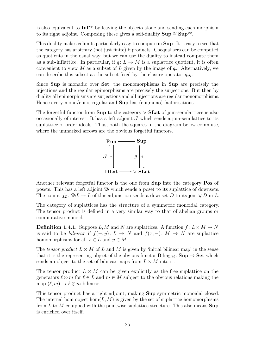is also equivalent to **Inf**<sup>op</sup> by leaving the objects alone and sending each morphism to its right adjoint. Composing these gives a self-duality  $\textbf{Sup} \cong \textbf{Sup}^{\text{op}}$ .

This duality makes colimits particularly easy to compute in **Sup**. It is easy to see that the category has arbitrary (not just finite) biproducts. Coequalisers can be computed as quotients in the usual way, but we can use the duality to instead compute them as a sub-inflattice. In particular, if  $q: L \to M$  is a suplattice quotient, it is often convenient to view *M* as a subset of *L* given by the image of  $q_*$ . Alternatively, we can describe this subset as the subset fixed by the closure operator  $q_*q$ .

Since **Sup** is monadic over **Set**, the monomorphisms in **Sup** are precisely the injections and the regular epimorphisms are precisely the surjections. But then by duality all epimorphisms are surjections and all injections are regular monomorphisms. Hence every mono/epi is regular and **Sup** has (epi,mono)-factorisations.

The forgetful functor from **Sup** to the category ∨-**SLat** of join-semilattices is also occasionally of interest. It has a left adjoint  $\mathcal I$  which sends a join-semilattice to its suplattice of order ideals. Thus, both the squares in the diagram below commute, where the unmarked arrows are the obvious forgetful functors.



Another relevant forgetful functor is the one from **Sup** into the category **Pos** of posets. This has a left adjoint  $\mathfrak D$  which sends a poset to its suplattice of downsets. The counit  $j_L$ :  $\mathfrak{D}L \to L$  of this adjunction sends a downset *D* to its join  $\bigvee D$  in *L*.

The category of suplattices has the structure of a symmetric monoidal category. The tensor product is defined in a very similar way to that of abelian groups or commutative monoids.

**Definition 1.4.1.** Suppose *L, M* and *N* are suplattices. A function  $f: L \times M \rightarrow N$ is said to be *bilinear* if  $f(-, y): L \to N$  and  $f(x, -): M \to N$  are suplattice homomorphisms for all  $x \in L$  and  $y \in M$ .

The *tensor product*  $L \otimes M$  of  $L$  and  $M$  is given by 'initial bilinear map' in the sense that it is the representing object of the obvious functor  $\text{Bilin}_{LM}$ :  $\text{Sup } \rightarrow \text{Set}$  which sends an object to the set of bilinear maps from  $L \times M$  into it.

The tensor product  $L \otimes M$  can be given explicitly as the free suplattice on the generators  $\ell \otimes m$  for  $\ell \in L$  and  $m \in M$  subject to the obvious relations making the map  $(\ell, m) \mapsto \ell \otimes m$  bilinear.

This tensor product has a right adjoint, making **Sup** symmetric monoidal closed. The internal hom object  $hom(L, M)$  is given by the set of suplattice homomorphisms from *L* to *M* equipped with the pointwise suplattice structure. This also means **Sup** is enriched over itself.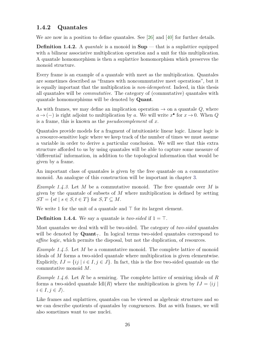### <span id="page-35-0"></span>**1.4.2 Quantales**

We are now in a position to define quantales. See [\[26\]](#page-107-12) and [\[40\]](#page-108-12) for further details.

**Definition 1.4.2.** A *quantale* is a monoid in **Sup** — that is a suplattice equipped with a bilinear associative multiplication operation and a unit for this multiplication. A quantale homomorphism is then a suplattice homomorphism which preserves the monoid structure.

Every frame is an example of a quantale with meet as the multiplication. Quantales are sometimes described as "frames with noncommutative meet operations", but it is equally important that the multiplication is *non-idempotent*. Indeed, in this thesis all quantales will be *commutative*. The category of (commutative) quantales with quantale homomorphisms will be denoted by **Quant**.

As with frames, we may define an implication operation  $\rightarrow$  on a quantale  $Q$ , where  $a \rightarrow (-)$  is right adjoint to multiplication by *a*. We will write  $x^{\bullet}$  for  $x \rightarrow 0$ . When *Q* is a frame, this is known as the *pseudocomplement* of *x*.

Quantales provide models for a fragment of intuitionistic linear logic. Linear logic is a resource-sensitive logic where we keep track of the number of times we must assume a variable in order to derive a particular conclusion. We will see that this extra structure afforded to us by using quantales will be able to capture some measure of 'differential' information, in addition to the topological information that would be given by a frame.

An important class of quantales is given by the free quantale on a commutative monoid. An analogue of this construction will be important in chapter [3.](#page-70-0)

*Example 1.4.3.* Let *M* be a commutative monoid. The free quantale over *M* is given by the quantale of subsets of *M* where multiplication is defined by setting  $ST = \{st \mid s \in S, t \in T\}$  for  $S, T \subseteq M$ .

We write 1 for the unit of a quantale and  $\top$  for its largest element.

**Definition 1.4.4.** We say a quantale is *two-sided* if  $1 = \top$ .

Most quantales we deal with will be two-sided. The category of *two-sided* quantales will be denoted by  $\mathbf{Quant}_{\tau}$ . In logical terms two-sided quantales correspond to *affine* logic, which permits the disposal, but not the duplication, of resources.

*Example 1.4.5.* Let *M* be a commutative monoid. The complete lattice of monoid ideals of *M* forms a two-sided quantale where multiplication is given elementwise. Explicitly,  $IJ = \{ij \mid i \in I, j \in J\}$ . In fact, this is the free two-sided quantale on the commutative monoid *M*.

*Example 1.4.6.* Let *R* be a semiring. The complete lattice of semiring ideals of *R* forms a two-sided quantale  $\text{Id}(R)$  where the multiplication is given by  $IJ = \langle ij |$  $i \in I, j \in J$ .

Like frames and suplattices, quantales can be viewed as algebraic structures and so we can describe quotients of quantales by congruences. But as with frames, we will also sometimes want to use nuclei.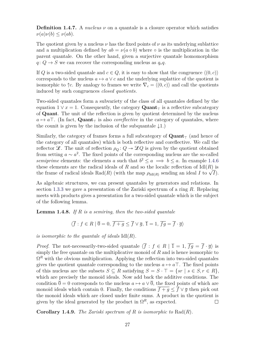**Definition 1.4.7.** A *nucleus ν* on a quantale is a closure operator which satisfies  $\nu(a)\nu(b) \leq \nu(ab).$ 

The quotient given by a nucleus  $\nu$  has the fixed points of  $\nu$  as its underlying sublattice and a multiplication defined by  $ab = \nu(a \circ b)$  where  $\circ$  is the multiplication in the parent quantale. On the other hand, given a surjective quantale homomorphism  $q: Q \to S$  we can recover the corresponding nucleus as  $q_*q$ .

If *Q* is a two-sided quantale and  $c \in Q$ , it is easy to show that the congruence  $\langle (0, c) \rangle$ corresponds to the nucleus  $a \mapsto a \vee c$  and the underlying suplattice of the quotient is isomorphic to  $\uparrow c$ . By analogy to frames we write  $\nabla_c = \langle (0, c) \rangle$  and call the quotients induced by such congruences *closed quotients*.

Two-sided quantales form a subvariety of the class of all quantales defined by the equation  $1 \vee x = 1$ . Consequently, the category **Quant**<sub> $\tau$ </sub> is a reflective subcategory of **Quant**. The unit of the reflection is given by quotient determined by the nucleus  $a \mapsto a \top$ . (In fact, **Quant**<sub> $\top$ </sub> is also *coreflective* in the category of quantales, where the counit is given by the inclusion of the subquantale  $\downarrow$ 1.)

Similarly, the category of frames forms a full subcategory of  $\mathbf{Quant}_{\tau}$  (and hence of the category of all quantales) which is both reflective and coreflective. We call the reflector  $\mathscr{L}$ . The unit of reflection  $\rho_Q: Q \to \mathscr{L}Q$  is given by the quotient obtained from setting  $a \sim a^2$ . The fixed points of the corresponding nucleus are the so-called *semiprime* elements: the elements *a* such that  $b^2 \le a \implies b \le a$ . In example [1.4.6](#page-35-0) these elements are the radical ideals of  $R$  and so the localic reflection of  $\text{Id}(R)$  is these elements are the radical ideals of *R* and so the localic reflection of  $\text{Id}(R)$  is the frame of radical ideals  $\text{Rad}(R)$  (with the map  $\rho_{\text{Id}(R)}$  sending an ideal *I* to  $\sqrt{I}$ ).

As algebraic structures, we can present quantales by generators and relations. In section [1.3.3](#page-28-0) we gave a presentation of the Zariski spectrum of a ring *R*. Replacing meets with products gives a presentation for a two-sided quantale which is the subject of the following lemma.

**Lemma 1.4.8.** *If R is a semiring, then the two-sided quantale*

<span id="page-36-0"></span>
$$
\langle \overline{f} : f \in R \mid \overline{0} = 0, \overline{f + g} \le \overline{f} \lor \overline{g}, \overline{1} = 1, \overline{fg} = \overline{f} \cdot \overline{g} \rangle
$$

*is isomorphic to the quantale of ideals* Idl(*R*)*.*

*Proof.* The not-necessarily-two-sided quantale  $\langle \overline{f} : f \in R | \overline{1} = 1, \overline{f} = 1, \overline{f} = \overline{f} \cdot \overline{q}$  is simply the free quantale on the multiplicative monoid of *R* and is hence isomorphic to  $\Omega^R$  with the obvious multiplication. Applying the reflection into two-sided quantales gives the quotient quantale corresponding to the nucleus  $a \mapsto a^{\text{T}}$ . The fixed points of this nucleus are the subsets  $S \subseteq R$  satisfying  $S = S \cdot \top = \{sr \mid s \in S, r \in R\},\$ which are precisely the monoid ideals. Now add back the additive conditions. The condition  $\overline{0} = 0$  corresponds to the nucleus  $a \mapsto a \vee \overline{0}$ , the fixed points of which are monoid ideals which contain 0. Finally, the conditions  $\overline{f+q} < \overline{f} \vee \overline{q}$  then pick out the monoid ideals which are closed under finite sums. A product in the quotient is given by the ideal generated by the product in  $\Omega^R$ , as expected.  $\Box$ 

**Corollary 1.4.9.** *The Zariski spectrum of R is isomorphic to* Rad(*R*)*.*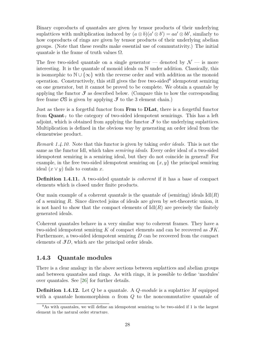Binary coproducts of quantales are given by tensor products of their underlying suplattices with multiplication induced by  $(a \otimes b)(a' \otimes b') = aa' \otimes bb'$ , similarly to how coproducts of rings are given by tensor products of their underlying abelian groups. (Note that these results make essential use of commutativity.) The initial quantale is the frame of truth values  $\Omega$ .

The free two-sided quantale on a single generator — denoted by  $\mathcal{N}$  — is more interesting. It is the quantale of monoid ideals on N under addition. Classically, this is isomorphic to  $\mathbb{N} \cup \{\infty\}$  with the reverse order and with addition as the monoid operation. Constructively, this still gives the free two-sided<sup>[8](#page-37-0)</sup> idempotent semiring on one generator, but it cannot be proved to be complete. We obtain a quantale by applying the functor  $\mathcal{F}$  as described below. (Compare this to how the corresponding free frame  $\mathcal{O}S$  is given by applying  $\mathcal I$  to the 3 element chain.)

Just as there is a forgetful functor from **Frm** to **DLat**, there is a forgetful functor from **Quant**<sub> $\tau$ </sub> to the category of two-sided idempotent semirings. This has a left adjoint, which is obtained from applying the functor  $\mathcal{F}$  to the underlying suplattices. Multiplication is defined in the obvious way by generating an order ideal from the elementwise product.

*Remark 1.4.10.* Note that this functor is given by taking *order ideals*. This is not the same as the functor Idl, which takes *semiring ideals*. Every order ideal of a two-sided idempotent semiring is a semiring ideal, but they do not coincide in general! For example, in the free two-sided idempotent semiring on  $\{x, y\}$  the principal semiring ideal  $(x \vee y)$  fails to contain *x*.

**Definition 1.4.11.** A two-sided quantale is *coherent* if it has a base of compact elements which is closed under finite products.

Our main example of a coherent quantale is the quantale of (semiring) ideals  $\text{Id}(R)$ of a semiring *R*. Since directed joins of ideals are given by set-theoretic union, it is not hard to show that the compact elements of  $\text{Id}(R)$  are precisely the finitely generated ideals.

Coherent quantales behave in a very similar way to coherent frames. They have a two-sided idempotent semiring  $K$  of compact elements and can be recovered as  $\mathcal{F}K$ . Furthermore, a two-sided idempotent semiring *D* can be recovered from the compact elements of  $J\mathcal{D}$ , which are the principal order ideals.

### **1.4.3 Quantale modules**

There is a clear analogy in the above sections between suplattices and abelian groups and between quantales and rings. As with rings, it is possible to define 'modules' over quantales. See [\[26\]](#page-107-0) for further details.

**Definition 1.4.12.** Let *Q* be a quantale. A *Q-module* is a suplattice *M* equipped with a quantale homomorphism  $\alpha$  from  $Q$  to the noncommutative quantale of

<span id="page-37-0"></span><sup>8</sup>As with quantales, we will define an idempotent semiring to be two-sided if 1 is the largest element in the natural order structure.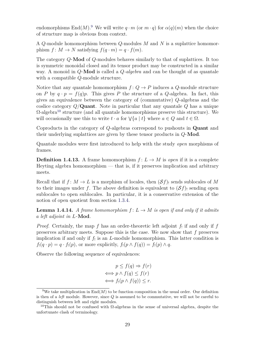endomorphisms  $\text{End}(M)$ <sup>[9](#page-38-0)</sup>. We will write  $q \cdot m$  (or  $m \cdot q$ ) for  $\alpha(q)(m)$  when the choice of structure map is obvious from context.

A *Q*-module homomorphism between *Q*-modules *M* and *N* is a suplattice homomorphism  $f: M \to N$  satisfying  $f(q \cdot m) = q \cdot f(m)$ .

The category *Q*-**Mod** of *Q*-modules behaves similarly to that of suplattices. It too is symmetric monoidal closed and its tensor product may be constructed in a similar way. A monoid in *Q*-**Mod** is called a *Q-algebra* and can be thought of as quantale with a compatible *Q*-module structure.

Notice that any quantale homomorphism  $f: Q \to P$  induces a *Q*-module structure on *P* by  $q \cdot p = f(q)p$ . This gives *P* the structure of a *Q*-algebra. In fact, this gives an equivalence between the category of (commutative) *Q*-algebras and the coslice category *Q/***Quant**. Note in particular that any quantale *Q* has a unique  $\Omega$ -algebra<sup>[10](#page-38-1)</sup> structure (and all quantale homomorphisms preserve this structure). We will occasionally use this to write  $t \cdot a$  for  $\forall \{a \mid t\}$  where  $a \in Q$  and  $t \in \Omega$ .

Coproducts in the category of *Q*-algebras correspond to pushouts in **Quant** and their underlying suplattices are given by these tensor products in *Q*-**Mod**.

Quantale modules were first introduced to help with the study *open* morphisms of frames.

**Definition 1.4.13.** A frame homomorphism  $f: L \to M$  is *open* if it is a complete Heyting algebra homomorphism — that is, if it preserves implication and arbitrary meets.

Recall that if  $f: M \to L$  is a morphism of locales, then  $(\mathcal{S}f)$  sends sublocales of M to their images under f. The above definition is equivalent to  $(\mathcal{S}f)$  sending open sublocales to open sublocales. In particular, it is a conservative extension of the notion of open quotient from section [1.3.4.](#page-30-0)

<span id="page-38-2"></span>**Lemma 1.4.14.** *A frame homomorphism*  $f: L \to M$  *is open if and only if it admits a left adjoint in L-***Mod***.*

*Proof.* Certainly, the map  $f$  has an order-theoretic left adjoint  $f_!$  if and only if  $f_!$ preserves arbitrary meets. Suppose this is the case. We now show that *f* preserves implication if and only if  $f_!$  is an *L*-module homomorphism. This latter condition is  $f_1(q \cdot p) = q \cdot f_1(p)$ , or more explicitly,  $f_1(p \wedge f(q)) = f_1(p) \wedge q$ .

Observe the following sequence of equivalences:

$$
p \le f(q) \Rightarrow f(r)
$$
  

$$
\iff p \land f(q) \le f(r)
$$
  

$$
\iff f_!(p \land f(q)) \le r.
$$

<span id="page-38-0"></span><sup>&</sup>lt;sup>9</sup>We take multiplication in  $End(M)$  to be function composition in the usual order. Our definition is then of a *left* module. However, since *Q* is assumed to be commutative, we will not be careful to distinguish between left and right modules.

<span id="page-38-1"></span><sup>&</sup>lt;sup>10</sup>This should not be confused with  $Ω$ -algebras in the sense of universal algebra, despite the unfortunate clash of terminology.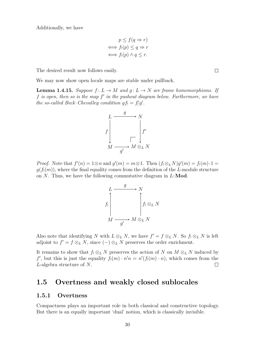Additionally, we have

$$
p \le f(q \Rightarrow r)
$$
  

$$
\iff f_1(p) \le q \Rightarrow r
$$
  

$$
\iff f_1(p) \land q \le r.
$$

The desired result now follows easily.

<span id="page-39-0"></span>We may now show open locale maps are stable under pullback.

**Lemma 1.4.15.** *Suppose*  $f: L \to M$  *and*  $g: L \to N$  *are frame homomorphisms. If f is open, then so is the map f* 0 *in the pushout diagram below. Furthermore, we have the so-called Beck–Chevalley condition*  $gf_! = f'_!g'$ .



*Proof.* Note that  $f'(n) = 1 \otimes n$  and  $g'(m) = m \otimes 1$ . Then  $(f_! \otimes_L N)g'(m) = f_!(m) \cdot 1 =$  $g(f_1(m))$ , where the final equality comes from the definition of the *L*-module structure on *N*. Thus, we have the following commutative diagram in *L*-**Mod**.



Also note that identifying *N* with  $L \otimes_L N$ , we have  $f' = f \otimes_L N$ . So  $f_! \otimes_L N$  is left adjoint to  $f' = f \otimes_L N$ , since  $(-) \otimes_L N$  preserves the order enrichment.

It remains to show that  $f_! \otimes_L N$  preserves the action of *N* on  $M \otimes_L N$  induced by *f*<sup>'</sup>, but this is just the equality  $f_!(m) \cdot n'n = n'(f_!(m) \cdot n)$ , which comes from the *L*-algebra structure of *N*.  $\Box$ 

### **1.5 Overtness and weakly closed sublocales**

#### **1.5.1 Overtness**

Compactness plays an important role in both classical and constructive topology. But there is an equally important 'dual' notion, which is classically invisible.

 $\Box$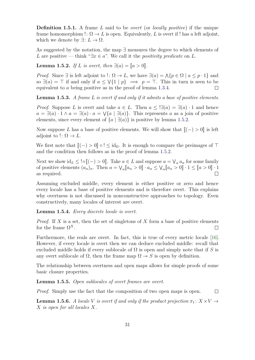**Definition 1.5.1.** A frame *L* said to be *overt* (or *locally positive*) if the unique frame homomorphism  $\colon \Omega \to L$  is open. Equivalently, L is overt if ! has a left adjoint, which we denote by  $\exists: L \to \Omega$ .

<span id="page-40-0"></span>As suggested by the notation, the map ∃ measures the degree to which elements of *L* are positive — think " $\exists x \in a$ ". We call it the *positivity predicate* on *L*.

**Lemma 1.5.2.** *If L is overt, then*  $\exists (a) = [a > 0].$ 

*Proof.* Since  $\exists$  is left adjoint to !:  $\Omega \to L$ , we have  $\exists (a) = \Lambda \{p \in \Omega \mid a \leq p \cdot 1\}$  and so  $\exists(a) = \top$  if and only if  $a \leq \forall \{1 \mid p\} \implies p = \top$ . This in turn is seen to be equivalent to *a* being positive as in the proof of lemma [1.3.4.](#page-26-0)  $\Box$ 

**Lemma 1.5.3.** *A frame L is overt if and only if it admits a base of positive elements.*

*Proof.* Suppose *L* is overt and take  $a \in L$ . Then  $a \leq \exists (a) = \exists (a) \cdot 1$  and hence  $a = \exists (a) \cdot 1 \land a = \exists (a) \cdot a = \forall \{a \mid \exists (a)\}.$  This represents *a* as a join of positive elements, since every element of  $\{a \mid \exists (a)\}$  is positive by lemma [1.5.2.](#page-40-0)

Now suppose *L* has a base of positive elements. We will show that  $\llbracket (-) > 0 \rrbracket$  is left adjoint to  $\Omega \to L$ .

We first note that  $[[(-) > 0] \circ ! \leq id_{\Omega}$ . It is enough to compare the preimages of  $\top$ and the condition then follows as in the proof of lemma [1.5.2.](#page-40-0)

Next we show  $id_L \leq | \circ \llbracket (-) > 0 \rrbracket$ . Take  $a \in L$  and suppose  $a = \bigvee_a a_\alpha$  for some family of positive elements  $(a_1)$ . Then  $a = \bigvee \llbracket a > 0 \rrbracket$ ,  $a \leq \bigvee \llbracket a > 0 \rrbracket$ ,  $1 \leq \llbracket a > 0 \rrbracket$ ,  $1 \leq \llbracket a > 0 \rrbracket$ . of positive elements  $(a_{\alpha})_{\alpha}$ . Then  $a = \bigvee_{\alpha} [a_{\alpha} > 0] \cdot a_{\alpha} \leq \bigvee_{\alpha} [a_{\alpha} > 0] \cdot 1 \leq [a > 0] \cdot 1$ as required.

Assuming excluded middle, every element is either positive or zero and hence every locale has a base of positive elements and is therefore overt. This explains why overtness is not discussed in nonconstructive approaches to topology. Even constructively, many locales of interest are overt.

#### <span id="page-40-3"></span>**Lemma 1.5.4.** *Every discrete locale is overt.*

*Proof.* If *X* is a set, then the set of singletons of *X* form a base of positive elements for the frame  $\Omega^X$ . П

Furthermore, the reals are overt. In fact, this is true of every metric locale [\[16\]](#page-107-1). However, if every locale is overt then we can deduce excluded middle: recall that excluded middle holds if every sublocale of  $\Omega$  is open and simply note that if *S* is any overt sublocale of  $\Omega$ , then the frame map  $\Omega \rightarrow S$  is open by definition.

The relationship between overtness and open maps allows for simple proofs of some basic closure properties.

<span id="page-40-1"></span>**Lemma 1.5.5.** *Open sublocales of overt frames are overt.*

<span id="page-40-2"></span>*Proof.* Simply use the fact that the composition of two open maps is open.  $\Box$ 

**Lemma 1.5.6.** *A locale V is overt if and only if the product projection*  $\pi_1: X \times V \rightarrow$ *X is open for all locales X.*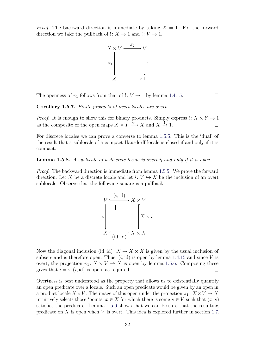*Proof.* The backward direction is immediate by taking  $X = 1$ . For the forward direction we take the pullback of  $\colon X \to 1$  and  $\colon V \to 1$ .



The openness of  $\pi_1$  follows from that of !:  $V \rightarrow 1$  by lemma [1.4.15.](#page-39-0)

**Corollary 1.5.7.** *Finite products of overt locales are overt.*

*Proof.* It is enough to show this for binary products. Simply express  $\colon X \times Y \to 1$ as the composite of the open maps  $X \times Y \xrightarrow{\pi_1} X$  and  $X \xrightarrow{!} 1$ .  $\Box$ 

 $\Box$ 

For discrete locales we can prove a converse to lemma [1.5.5.](#page-40-1) This is the 'dual' of the result that a sublocale of a compact Hausdorff locale is closed if and only if it is compact.

**Lemma 1.5.8.** *A sublocale of a discrete locale is overt if and only if it is open.*

*Proof.* The backward direction is immediate from lemma [1.5.5.](#page-40-1) We prove the forward direction. Let X be a discrete locale and let  $i: V \hookrightarrow X$  be the inclusion of an overt sublocale. Observe that the following square is a pullback.



Now the diagonal inclusion (id, id):  $X \to X \times X$  is given by the usual inclusion of subsets and is therefore open. Thus,  $(i, id)$  is open by lemma [1.4.15](#page-39-0) and since  $V$  is overt, the projection  $\pi_1: X \times V \to X$  is open by lemma [1.5.6.](#page-40-2) Composing these gives that  $i = \pi_1(i, id)$  is open, as required.  $\Box$ 

Overtness is best understood as the property that allows us to existentially quantify an open predicate over a locale. Such an open predicate would be given by an open in a product locale  $X \times V$ . The image of this open under the projection  $\pi_1: X \times V \to X$ intuitively selects those 'points'  $x \in X$  for which there is some  $v \in V$  such that  $(x, v)$ satisfies the predicate. Lemma [1.5.6](#page-40-2) shows that we can be sure that the resulting predicate on *X* is open when *V* is overt. This idea is explored further in section [1.7.](#page-49-0)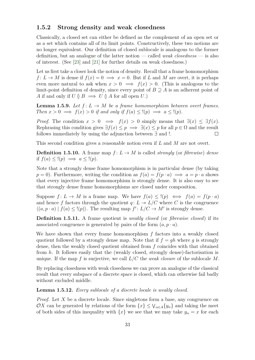### **1.5.2 Strong density and weak closedness**

Classically, a closed set can either be defined as the complement of an open set or as a set which contains all of its limit points. Constructively, these two notions are no longer equivalent. Our definition of closed sublocale is analogous to the former definition, but an analogue of the latter notion — called *weak closedness* — is also of interest. (See [\[23\]](#page-107-2) and [\[21\]](#page-107-3) for further details on weak closedness.)

Let us first take a closer look the notion of density. Recall that a frame homomorphism  $f: L \to M$  is dense if  $f(x) = 0 \implies x = 0$ . But if *L* and *M* are overt, it is perhaps even more natural to ask when  $x > 0 \implies f(x) > 0$ . (This is analogous to the limit-point definition of density, since every point of  $B \supseteq A$  is an adherent point of *A* if and only if  $U \rvert B \implies U \rvert A$  for all open  $U$ .)

**Lemma 1.5.9.** *Let*  $f: L \to M$  *be a frame homomorphism between overt frames. Then*  $x > 0 \implies f(x) > 0$  *if and only if*  $f(a) \leq f(p) \implies a \leq f(p)$ .

*Proof.* The condition  $x > 0 \implies f(x) > 0$  simply means that  $\exists (x) \leq \exists f(x)$ . Rephrasing this condition gives  $\exists f(x) \leq p \implies \exists (x) \leq p$  for all  $p \in \Omega$  and the result follows immediately by using the adjunction between ∃ and !.  $\Box$ 

This second condition gives a reasonable notion even if *L* and *M* are not overt.

**Definition 1.5.10.** A frame map  $f: L \to M$  is called *strongly* (or *fibrewise*) *dense* if  $f(a) \leq (p) \implies a \leq (p)$ .

Note that a strongly dense frame homomorphism is in particular dense (by taking  $p = 0$ . Furthermore, writing the condition as  $f(a) = f(p \cdot a) \implies a = p \cdot a$  shows that every injective frame homomorphism is strongly dense. It is also easy to see that strongly dense frame homomorphisms are closed under composition.

Suppose  $f: L \to M$  is a frame map. We have  $f(a) \leq \ell(p) \iff f(a) = f(p \cdot a)$ and hence f factors through the quotient  $q: L \rightarrow L/C$  where C is the congruence  $\langle (a, p \cdot a) | f(a) \leq (p) \rangle$ . The resulting map  $f' : L/C \to M'$  is strongly dense.

**Definition 1.5.11.** A frame quotient is *weakly closed* (or *fibrewise closed*) if its associated congruence is generated by pairs of the form  $(a, p \cdot a)$ .

We have shown that every frame homomorphism *f* factors into a weakly closed quotient followed by a strongly dense map. Note that if  $f = gh$  where g is strongly dense, then the weakly closed quotient obtained from *f* coincides with that obtained from *h*. It follows easily that the (weakly closed, strongly dense)-factorisation is unique. If the map *f* is surjective, we call *L/C* the *weak closure* of the sublocale *M*.

By replacing closedness with weak closedness we can prove an analogue of the classical result that every subspace of a discrete space is closed, which can otherwise fail badly without excluded middle.

**Lemma 1.5.12.** *Every sublocale of a discrete locale is weakly closed.*

*Proof.* Let *X* be a discrete locale. Since singletons form a base, any congruence on OX can be generated by relations of the form  $\{x\} \leq \bigvee_{\alpha \in A} \{y_{\alpha}\}\$  and taking the meet of both sides of this inequality with  $\{x\}$  we see that we may take  $y_\alpha = x$  for each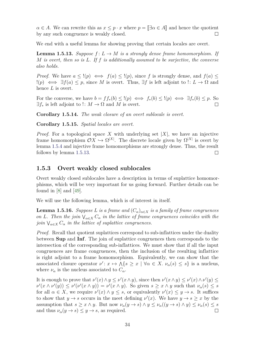$\alpha \in A$ . We can rewrite this as  $x \leq p \cdot x$  where  $p = \llbracket \exists \alpha \in A \rrbracket$  and hence the quotient by any such congruence is weakly closed. by any such congruence is weakly closed.

<span id="page-43-0"></span>We end with a useful lemma for showing proving that certain locales are overt.

**Lemma 1.5.13.** *Suppose*  $f: L \to M$  *is a strongly dense frame homomorphism.* If *M is overt, then so is L. If f is additionally assumed to be surjective, the converse also holds.*

*Proof.* We have  $a \leq (p) \iff f(a) \leq (p)$ , since f is strongly dense, and  $f(a) \leq$  $!(p) \iff ∃f(a) \leq p$ , since *M* is overt. Thus,  $∃f$  is left adjoint to  $! : L \to \Omega$  and hence *L* is overt.

For the converse, we have  $b = ff_*(b) \leq (p) \iff f_*(b) \leq (p) \iff \exists f_*(b) \leq p$ . So  $\exists f_*$  is left adjoint to !:  $M \to \Omega$  and M is overt.  $\Box$ 

**Corollary 1.5.14.** *The weak closure of an overt sublocale is overt.*

**Corollary 1.5.15.** *Spatial locales are overt.*

*Proof.* For a topological space *X* with underlying set |*X*|, we have an injective frame homomorphism  $\mathcal{O}X \hookrightarrow \Omega^{|X|}$ . The discrete locale given by  $\Omega^{|X|}$  is overt by lemma [1.5.4](#page-40-3) and injective frame homomorphisms are strongly dense. Thus, the result follows by lemma [1.5.13.](#page-43-0)  $\Box$ 

#### **1.5.3 Overt weakly closed sublocales**

Overt weakly closed sublocales have a description in terms of suplattice homomorphisms, which will be very important for us going forward. Further details can be found in [\[8\]](#page-106-0) and [\[49\]](#page-108-0).

<span id="page-43-1"></span>We will use the following lemma, which is of interest in itself.

**Lemma 1.5.16.** *Suppose L is a frame and*  $(C_{\alpha})_{\alpha \in X}$  *is a family of frame congruences on L.* Then the join  $\bigvee_{\alpha \in X} C_{\alpha}$  *in the lattice of frame congruences coincides with the join*  $\bigvee_{\alpha \in X} C_{\alpha}$  *in the lattice of suplattice congruences.* 

*Proof.* Recall that quotient suplattices correspond to sub-inflattices under the duality between **Sup** and **Inf**. The join of suplattice congruences then corresponds to the intersection of the corresponding sub-inflattices. We must show that if all the input congruences are frame congruences, then the inclusion of the resulting inflattice is right adjoint to a frame homomorphism. Equivalently, we can show that the associated closure operator  $\nu' : x \mapsto \Lambda\{s \geq x \mid \forall \alpha \in X$ .  $\nu_\alpha(s) \leq s\}$  is a nucleus, where  $\nu_{\alpha}$  is the nucleus associated to  $C_{\alpha}$ .

It is enough to prove that  $\nu'(x) \wedge y \leq \nu'(x \wedge y)$ , since then  $\nu'(x \wedge y) \leq \nu'(x) \wedge \nu'(y) \leq$  $\nu'(x \wedge \nu'(y)) \leq \nu'(\nu'(x \wedge y)) = \nu'(x \wedge y)$ . So given  $s \geq x \wedge y$  such that  $\nu_\alpha(s) \leq s$ for all  $\alpha \in X$ , we require  $\nu'(x) \wedge y \leq s$ , or equivalently  $\nu'(x) \leq y \rightarrow s$ . It suffices to show that  $y \to s$  occurs in the meet defining  $\nu'(x)$ . We have  $y \to s \geq x$  by the assumption that  $s \geq x \wedge y$ . But now  $\nu_\alpha(y \to s) \wedge y \leq \nu_\alpha((y \to s) \wedge y) \leq \nu_\alpha(s) \leq s$ and thus  $\nu_{\alpha}(y \to s) \leq y \to s$ , as required.  $\Box$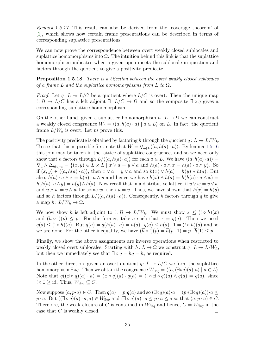*Remark 1.5.17.* This result can also be derived from the 'coverage theorem' of [\[1\]](#page-106-1), which shows how certain frame presentations can be described in terms of corresponding suplattice presentations.

We can now prove the correspondence between overt weakly closed sublocales and suplattice homomorphisms into  $\Omega$ . The intuition behind this link is that the suplattice homomorphism indicates when a given open meets the sublocale in question and factors through the quotient to give a positivity predicate.

**Proposition 1.5.18.** *There is a bijection between the overt weakly closed sublocales of a frame L and the suplattice homomorphisms from L to* Ω*.*

*Proof.* Let  $q: L \rightarrow L/C$  be a quotient where  $L/C$  is overt. Then the unique map !: Ω → *L/C* has a left adjoint ∃: *L/C* → Ω and so the composite ∃ ◦ *q* gives a corresponding suplattice homomorphism.

On the other hand, given a suplattice homomorphism  $h: L \to \Omega$  we can construct a weakly closed congruence  $W_h = \langle (a, h(a) \cdot a) | a \in L \rangle$  on *L*. In fact, the quotient frame  $L/W_h$  is overt. Let us prove this.

The positivity predicate is obtained by factoring *h* through the quotient  $q: L \twoheadrightarrow L/W_h$ . To see that this is possible first note that  $W = \bigvee_{a \in L} \langle (a, h(a) \cdot a) \rangle$ . By lemma [1.5.16](#page-43-1) this join may be taken in the lattice of suplattice congruences and so we need only show that *h* factors through  $L/\langle (a, h(a) \cdot a) \rangle$  for each  $a \in L$ . We have  $\langle (a, h(a) \cdot a) \rangle$  =  $\nabla_a \wedge \Delta_{h(a)\cdot a} = \{(x, y) \in L \times L \mid x \vee a = y \vee a \text{ and } h(a)\cdot a \wedge x = h(a)\cdot a \wedge y\}.$  So if  $(x, y) \in \langle (a, h(a) \cdot a) \rangle$ , then  $x \vee a = y \vee a$  and so  $h(x) \vee h(a) = h(y) \vee h(a)$ . But also,  $h(a) \cdot a \wedge x = h(a) \cdot a \wedge y$  and hence we have  $h(x) \wedge h(a) = h(h(a) \cdot a \wedge x) =$  $h(h(a) \cdot a \wedge y) = h(y) \wedge h(a)$ . Now recall that in a distributive lattice, if  $u \vee w = v \vee w$ and  $u \wedge w = v \wedge w$  for some *w*, then  $u = v$ . Thus, we have shown that  $h(x) = h(y)$ and so *h* factors through  $L/\langle (a, h(a) \cdot a) \rangle$ . Consequently, *h* factors through *q* to give a map  $\overline{h}: L/W_h \to \Omega$ .

We now show  $\bar{h}$  is left adjoint to  $\colon \Omega \to L/W_h$ . We must show  $x \leq (\colon \circ \bar{h})(x)$ and  $(\bar{h} \circ \bar{h})(p) \leq p$ . For the former, take *a* such that  $x = q(a)$ . Then we need *q*(*a*) ≤ (! ◦ *h*)(*a*). But *q*(*a*) = *q*(*h*(*a*) · *a*) = *h*(*a*) · *q*(*a*) ≤ *h*(*a*) · 1 = (! ◦ *h*)(*a*) and so we are done. For the other inequality, we have  $(\bar{h} \circ \cdot)(p) = \bar{h}(p \cdot 1) = p \cdot \bar{h}(1) \leq p$ .

Finally, we show the above assignments are inverse operations when restricted to weakly closed overt sublocales. Starting with  $h: L \to \Omega$  we construct  $q: L \to L/W_h$ , but then we immediately see that  $\exists \circ q = \overline{h}q = h$ , as required.

In the other direction, given an overt quotient  $q: L \rightarrow L/C$  we form the suplattice homomorphism  $\exists \circ q$ . Then we obtain the congruence  $W_{\exists \circ q} = \langle (a, (\exists \circ q)(a) \cdot a) \mid a \in L \rangle$ . Note that  $q((\exists \circ q)(a) \cdot a) = (\exists \circ q)(a) \cdot q(a) = (!\circ \exists \circ q)(a) \wedge q(a) = q(a),$  since  $!\circ \exists \geq id$ . Thus,  $W_{\exists \circ q}$  ⊆ *C*.

Now suppose  $(a, p \cdot a) \in C$ . Then  $q(a) = p \cdot q(a)$  and so  $(\exists \circ q)(a) \cdot a = (p \cdot (\exists \circ q)(a)) \cdot a \le$  $p \cdot a$ . But  $((\exists \circ q)(a) \cdot a, a) \in W_{\exists \circ q}$  and  $(\exists \circ q)(a) \cdot a \leq p \cdot a \leq a$  so that  $(a, p \cdot a) \in C$ . Therefore, the weak closure of *C* is contained in  $W_{\exists q}$  and hence,  $C = W_{\exists q}$  in the case that *C* is weakly closed.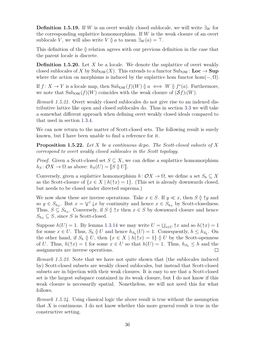**Definition 1.5.19.** If *W* is an overt weakly closed sublocale, we will write  $\exists_W$  for the corresponding suplattice homomorphism. If *W* is the weak closure of an overt sublocale *V*, we will also write *V*  $\delta$  *a* to mean  $\exists w(a) = \top$ .

This definition of the  $\delta$  relation agrees with our previous definition in the case that the parent locale is discrete.

**Definition 1.5.20.** Let X be a locale. We denote the suplattice of overt weakly closed sublocales of *X* by  $\text{Sub}_{\text{OW}}(X)$ . This extends to a functor  $\text{Sub}_{\text{OW}}\colon \mathbf{Loc}\to \mathbf{Sup}$ where the action on morphisms is induced by the suplattice hom functor hom $(-, \Omega)$ .

If  $f: X \to Y$  is a locale map, then  $\text{Sub}_{\text{OW}}(f)(W) \varnothing a \iff W \varnothing f^*(a)$ . Furthermore, we note that  $\text{Sub}_{\text{OW}}(f)(W)$  coincides with the weak closure of  $(\mathcal{S}f)(W)$ .

*Remark 1.5.21.* Overt weakly closed sublocales do not give rise to an indexed distributive lattice like open and closed sublocales do. Thus in section [3.3](#page-73-0) we will take a somewhat different approach when defining overt weakly closed ideals compared to that used in section [1.3.4.](#page-30-0)

We can now return to the matter of Scott-closed sets. The following result is surely known, but I have been unable to find a reference for it.

**Proposition 1.5.22.** *Let X be a continuous dcpo. The Scott-closed subsets of X correspond to overt weakly closed sublocales in the Scott topology.*

*Proof.* Given a Scott-closed set  $S \subseteq X$ , we can define a suplattice homomorphism  $h_S: \mathcal{O}X \to \Omega$  as above:  $h_S(U) = \llbracket S \ \emptyset \ U \rrbracket$ .

Conversely, given a suplattice homomorphism  $h: \mathcal{O}X \to \Omega$ , we define a set  $S_h \subset X$ as the Scott-closure of  $\{x \in X \mid h(\hat{\tau}x) = 1\}$ . (This set is already downwards closed, but needs to be closed under directed suprema.)

We now show these are inverse operations. Take  $x \in S$ . If  $y \ll x$ , then  $S \mathfrak{g} \uparrow y$  and so  $y \in S_{h_S}$ . But  $x = \bigvee^{\uparrow} \downarrow x$  by continuity and hence  $x \in S_{h_S}$  by Scott-closedness. Thus,  $S \subseteq S_{h_S}$ . Conversely, if  $S \nsubseteq \mathcal{F}$  then  $x \in S$  by downward closure and hence  $S_{h_S} \subseteq S$ , since *S* is Scott-closed.

Suppose  $h(U) = 1$ . By lemma [1.3.14](#page-32-0) we may write  $U = \bigcup_{x \in U} \hat{\uparrow}x$  and so  $h(\hat{\uparrow}x) = 1$ for some  $x \in U$ . Thus,  $S_h \nsubseteq U$  and hence  $h_{S_h}(U) = 1$ . Consequently,  $h \leq h_{S_h}$ . On the other hand, if  $S_h \nsubseteq U$ , then  $\{x \in X \mid h(\hat{\tau}x) = 1\} \nsubseteq U$  by the Scott-openness of *U*. Thus,  $h(\uparrow x) = 1$  for some  $x \in U$  so that  $h(U) = 1$ . Thus,  $h_{S_h} \leq h$  and the assignments are inverse operations.  $\Box$ 

*Remark 1.5.23.* Note that we have not quite shown that (the sublocales induced by) Scott-closed subsets are weakly closed sublocales, but instead that Scott-closed subsets are in bijection with their weak closures. It is easy to see that a Scott-closed set is the largest subspace contained in its weak closure, but I do not know if this weak closure is necessarily spatial. Nonetheless, we will not need this for what follows.

*Remark 1.5.24.* Using classical logic the above result is true without the assumption that *X* is continuous. I do not know whether this more general result is true in the constructive setting.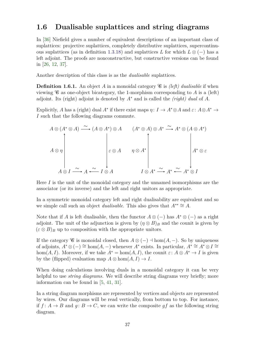## **1.6 Dualisable suplattices and string diagrams**

In [\[36\]](#page-108-1) Niefield gives a number of equivalent descriptions of an important class of suplattices: projective suplattices, completely distributive suplattices, supercontinu-ous suplattices (as in definition [1.3.18\)](#page-33-0) and suplattices *L* for which  $L \otimes (-)$  has a left adjoint. The proofs are nonconstructive, but constructive versions can be found in [\[26,](#page-107-0) [12,](#page-106-2) [37\]](#page-108-2).

Another description of this class is as the *dualisable* suplattices.

**Definition 1.6.1.** An object A in a monoidal category  $\mathscr{C}$  is *(left) dualisable* if when viewing  $\mathscr C$  as one-object bicategory, the 1-morphism corresponding to *A* is a (left) adjoint. Its (right) adjoint is denoted by *A*<sup>∗</sup> and is called the *(right) dual* of *A*.

Explicitly, *A* has a (right) dual *A*<sup>\*</sup> if there exist maps  $\eta: I \to A^* \otimes A$  and  $\varepsilon: A \otimes A^* \to A$ *I* such that the following diagrams commute.

$$
A \otimes (A^* \otimes A) \xrightarrow{\sim} (A \otimes A^*) \otimes A \qquad (A^* \otimes A) \otimes A^* \xrightarrow{\sim} A^* \otimes (A \otimes A^*)
$$
  

$$
\downarrow \varepsilon \otimes A \qquad \eta \otimes A^*
$$
  

$$
A \otimes I \xrightarrow{\sim} A \xleftarrow{\sim} I \otimes A \qquad \qquad I \otimes A^* \xrightarrow{\sim} A^* \xleftarrow{\sim} A^* \otimes I
$$

Here *I* is the unit of the monoidal category and the unnamed isomorphisms are the associator (or its inverse) and the left and right unitors as appropriate.

In a symmetric monoidal category left and right dualisability are equivalent and so we simple call such an object *dualisable*. This also gives that  $A^{**} \cong A$ .

Note that if *A* is left dualisable, then the functor  $A \otimes (-)$  has  $A^* \otimes (-)$  as a right adjoint. The unit of the adjunction is given by  $(\eta \otimes B)_B$  and the counit is given by  $(\varepsilon \otimes B)_B$  up to composition with the appropriate unitors.

If the category  $\mathscr C$  is monoidal closed, then  $A \otimes (-) \dashv \text{hom}(A, -)$ . So by uniqueness of adjoints,  $A^* \otimes (-) \cong \text{hom}(A, -)$  whenever  $A^*$  exists. In particular,  $A^* \cong A^* \otimes I \cong$ hom(*A, I*). Moreover, if we take  $A^* = \text{hom}(A, I)$ , the counit  $\varepsilon: A \otimes A^* \to I$  is given by the (flipped) evaluation map  $A \otimes \text{hom}(A, I) \rightarrow I$ .

When doing calculations involving duals in a monoidal category it can be very helpful to use *string diagrams*. We will describe string diagrams very briefly; more information can be found in [\[5,](#page-106-3) [41,](#page-108-3) [31\]](#page-107-4).

In a string diagram morphisms are represented by vertices and objects are represented by wires. Our diagrams will be read vertically, from bottom to top. For instance, if  $f: A \to B$  and  $g: B \to C$ , we can write the composite  $gf$  as the following string diagram.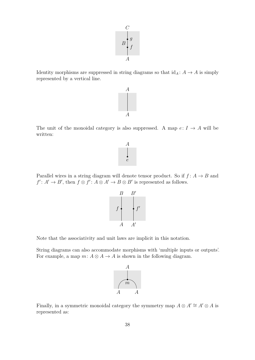$$
\begin{array}{c}\nC \\
B \\
f \\
A\n\end{array}
$$

Identity morphisms are suppressed in string diagrams so that  $\mathrm{id}_A\colon A\to A$  is simply represented by a vertical line.

*A*

The unit of the monoidal category is also suppressed. A map  $e: I \rightarrow A$  will be written:

*A*

Parallel wires in a string diagram will denote tensor product. So if  $f: A \rightarrow B$  and  $f' : A' \to B'$ , then  $f \otimes f' : A \otimes A' \to B \otimes B'$  is represented as follows.

 $f \leftarrow f'$ 

*A*0

*B*0

Note that the associativity and unit laws are implicit in this notation.

*A*

*B*

String diagrams can also accommodate morphisms with 'multiple inputs or outputs'. For example, a map  $m: A \otimes A \rightarrow A$  is shown in the following diagram.



Finally, in a symmetric monoidal category the symmetry map  $A \otimes A' \cong A' \otimes A$  is represented as:



*e*



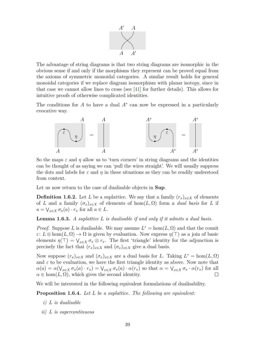

The advantage of string diagrams is that two string diagrams are isomorphic in the obvious sense if and only if the morphisms they represent can be proved equal from the axioms of symmetric monoidal categories. A similar result holds for general monoidal categories if we replace diagram isomorphism with planar isotopy, since in that case we cannot allow lines to cross (see [\[41\]](#page-108-3) for further details). This allows for intuitive proofs of otherwise complicated identities.

The conditions for  $A$  to have a dual  $A^*$  can now be expressed in a particularly evocative way.



So the maps  $\varepsilon$  and  $\eta$  allow us to 'turn corners' in string diagrams and the identities can be thought of as saying we can 'pull the wires straight'. We will usually suppress the dots and labels for  $\varepsilon$  and  $\eta$  in these situations as they can be readily understood from context.

Let us now return to the case of dualisable objects in **Sup**.

**Definition 1.6.2.** Let *L* be a suplattice. We say that a family  $(r_x)_{x \in X}$  of elements of *L* and a family  $(\sigma_x)_{x \in X}$  of elements of hom $(L, \Omega)$  form a *dual basis* for *L* if  $a = \bigvee_{x \in X} \sigma_x(a) \cdot r_x$  for all  $a \in L$ .

**Lemma 1.6.3.** *A suplattice L is dualisable if and only if it admits a dual basis.*

*Proof.* Suppose *L* is dualisable. We may assume  $L^* = \text{hom}(L, \Omega)$  and that the counit  $\varepsilon: L \otimes \text{hom}(L, \Omega) \to \Omega$  is given by evaluation. Now express  $\eta(\top)$  as a join of basic elements  $\eta(\top) = \bigvee_{x \in X} \sigma_x \otimes r_x$ . The first 'triangle' identity for the adjunction is precisely the fact that  $(r_x)_{x \in X}$  and  $(\sigma_x)_{x \in X}$  give a dual basis.

Now suppose  $(r_x)_{x \in X}$  and  $(\sigma_x)_{x \in X}$  are a dual basis for *L*. Taking  $L^* = \text{hom}(L, \Omega)$ and  $\varepsilon$  to be evaluation, we have the first triangle identity as above. Now note that  $\alpha(a) = \alpha(\bigvee_{x \in X} \sigma_x(a) \cdot r_x) = \bigvee_{x \in X} \sigma_x(a) \cdot \alpha(r_x)$  so that  $\alpha = \bigvee_{x \in X} \sigma_x \cdot \alpha(r_x)$  for all  $\alpha \in \text{hom}(L, \Omega)$ , which gives the second identity.  $\Box$ 

We will be interested in the following equivalent formulations of dualisability.

**Proposition 1.6.4.** *Let L be a suplattice. The following are equivalent:*

- *i) L is dualisable*
- *ii) L is supercontinuous*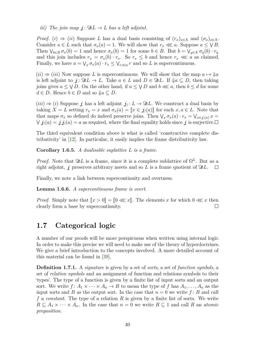*iii*) The join map  $\mathbf{i} : \mathfrak{D}L \to L$  has a left adjoint.

*Proof.* (*i*)  $\Rightarrow$  (*ii*) Suppose *L* has a dual basis consisting of  $(r_x)_{x \in X}$  and  $(\sigma_x)_{x \in X}$ . Consider  $a \in L$  such that  $\sigma_x(a) = 1$ . We will show that  $r_x \ll a$ . Suppose  $a \leq \sqrt{B}$ . Then  $\bigvee_{b \in B} \sigma_x(b) = 1$  and hence  $\sigma_x(b) = 1$  for some  $b \in B$ . But  $b = \bigvee_{y \in X} \sigma_y(b) \cdot r_y$ and this join includes  $r_x = \sigma_x(b) \cdot r_x$ . So  $r_x \leq b$  and hence  $r_x \ll a$  as claimed. Finally, we have  $a = \bigvee_x \sigma_x(a) \cdot r_x \leq \bigvee_{r \ll a} r$  and so *L* is supercontinuous.

 $(iii) \Rightarrow (iii)$  Now suppose L is supercontinuous. We will show that the map  $a \mapsto \mathcal{J}a$ is left adjoint to  $j: \mathfrak{D}L \to L$ . Take  $a \in L$  and  $D \in \mathfrak{D}L$ . If  $\mathfrak{p}_a \subseteq D$ , then taking joins gives  $a \leq \sqrt{D}$ . On the other hand, if  $a \leq \sqrt{D}$  and  $b \ll a$ , then  $b \leq d$  for some  $d \in D$ . Hence  $b \in D$  and so  $\mathcal{J}a \subseteq D$ .

 $(iii) \Rightarrow (i)$  Suppose *j* has a left adjoint  $j_! : L \to \mathfrak{D}L$ . We construct a dual basis by taking  $X = L$  setting  $r_x = x$  and  $\sigma_x(a) = [x \in \mathcal{I}](a)]$  for each  $x, a \in L$ . Note that that maps  $\sigma_x$  so defined do indeed preserve joins. Then  $\bigvee_x \sigma_x(a) \cdot r_x = \bigvee_{x \in \mathcal{Y}(a)} x =$  $\forall j_!(a) = j_*(a) = a$  as required, where the final equality holds since j is surjective.

The third equivalent condition above is what is called 'constructive complete distributivity' in [\[12\]](#page-106-2). In particular, it easily implies the frame distributivity law.

**Corollary 1.6.5.** *A dualisable suplattice L is a frame.*

*Proof.* Note that  $\mathfrak{D}L$  is a frame, since it is a complete sublattice of  $\Omega^L$ . But as a right adjoint,  $j$  preserves arbitrary meets and so  $L$  is a frame quotient of  $\mathfrak{D}L$ .  $\Box$ 

Finally, we note a link between supercontinuity and overtness.

**Lemma 1.6.6.** *A supercontinuous frame is overt.*

*Proof.* Simply note that  $[x > 0] = [0 \ll x]$ . The elements *x* for which  $0 \ll x$  then clearly form a base by supercontinuity. clearly form a base by supercontinuity.

## <span id="page-49-0"></span>**1.7 Categorical logic**

A number of our proofs will be more perspicuous when written using internal logic. In order to make this precise we will need to make use of the theory of hyperdoctrines. We give a brief introduction to the concepts involved. A more detailed account of this material can be found in [\[39\]](#page-108-4).

**Definition 1.7.1.** A *signature* is given by a set of *sorts*, a set of *function symbols*, a set of *relation symbols* and an assignment of function and relations symbols to their 'types'. The type of a function is given by a finite list of input sorts and an output sort. We write  $f: A_1 \times \cdots \times A_n \to B$  to mean the type of f has  $A_1, \ldots, A_n$  as the input sorts and *B* as the output sort. In the case that  $n = 0$  we write  $f : B$  and call *f* a *constant*. The type of a relation *R* is given by a finite list of sorts. We write  $R \subseteq A_1 \times \cdots \times A_n$ . In the case that  $n = 0$  we write  $R \subseteq 1$  and call R an *atomic proposition*.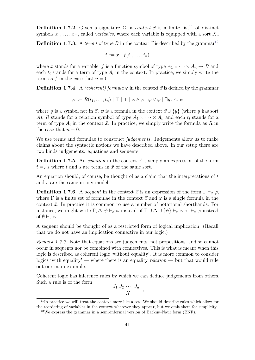**Definition 1.7.2.** Given a signature  $\Sigma$ , a *context*  $\vec{x}$  is a finite list<sup>[11](#page-50-0)</sup> of distinct symbols  $x_1, \ldots, x_m$ , called *variables*, where each variable is equipped with a sort  $X_i$ .

**Definition 1.7.3.** A *term t* of type *B* in the context  $\vec{x}$  is described by the grammar<sup>[12](#page-50-1)</sup>

$$
t ::= x \mid f(t_1, \ldots, t_n)
$$

where *x* stands for a variable, *f* is a function symbol of type  $A_1 \times \cdots \times A_n \to B$  and each  $t_i$  stands for a term of type  $A_i$  in the context. In practice, we simply write the term as f in the case that  $n = 0$ .

**Definition 1.7.4.** A *(coherent) formula*  $\varphi$  in the context  $\vec{x}$  is defined by the grammar

$$
\varphi ::= R(t_1, \ldots, t_n) | \top | \bot | \varphi \wedge \varphi | \varphi \vee \varphi | \exists y : A. \ \psi
$$

where *y* is a symbol not in  $\vec{x}$ ,  $\psi$  is a formula in the context  $\vec{x} \cup {\{y\}}$  (where *y* has sort *A*), *R* stands for a relation symbol of type  $A_1 \times \cdots \times A_n$  and each  $t_i$  stands for a term of type  $A_i$  in the context  $\vec{x}$ . In practice, we simply write the formula as  $R$  in the case that  $n = 0$ .

We use terms and formulae to construct *judgements*. Judgements allow us to make claims about the syntactic notions we have described above. In our setup there are two kinds judgements: equations and sequents.

**Definition 1.7.5.** An *equation* in the context  $\vec{x}$  is simply an expression of the form  $t = \vec{x}$  *s* where *t* and *s* are terms in  $\vec{x}$  of the same sort.

An equation should, of course, be thought of as a claim that the interpretations of *t* and *s* are the same in any model.

**Definition 1.7.6.** A *sequent* in the context  $\vec{x}$  is an expression of the form  $\Gamma \vdash_{\vec{x}} \varphi$ , where  $\Gamma$  is a finite set of formulae in the context  $\vec{x}$  and  $\varphi$  is a single formula in the context  $\vec{x}$ . In practice it is common to use a number of notational shorthands. For instance, we might write  $\Gamma$ ,  $\Delta$ ,  $\psi \vdash_{\vec{x}} \varphi$  instead of  $\Gamma \cup \Delta \cup \{\psi\} \vdash_{\vec{x}} \varphi$  or  $\vdash_{\vec{x}} \varphi$  instead of  $\emptyset \vdash_{\vec{x}} \varphi$ .

A sequent should be thought of as a restricted form of logical implication. (Recall that we do not have an implication connective in our logic.)

*Remark 1.7.7.* Note that equations are judgements, not propositions, and so cannot occur in sequents nor be combined with connectives. This is what is meant when this logic is described as coherent logic 'without equality'. It is more common to consider logics 'with equality' — where there is an equality *relation* — but that would rule out our main example.

Coherent logic has inference rules by which we can deduce judgements from others. Such a rule is of the form

$$
\frac{J_1 J_2 \cdots J_n}{K}
$$

*,*

<span id="page-50-0"></span><sup>&</sup>lt;sup>11</sup>In practice we will treat the context more like a set. We should describe rules which allow for the reordering of variables in the context wherever they appear, but we omit them for simplicity.

<span id="page-50-1"></span><sup>&</sup>lt;sup>12</sup>We express the grammar in a semi-informal version of Backus–Naur form (BNF).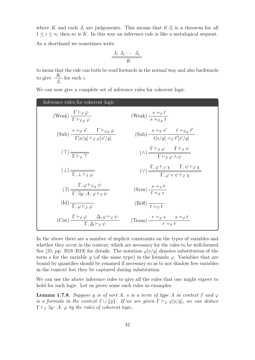where  $K$  and each  $J_i$  are judgements. This means that if  $J_i$  is a theorem for all  $1 \leq i \leq n$ , then so is *K*. In this way an inference rule is like a metalogical sequent.

As a shorthand we sometimes write

$$
\frac{J_1 J_2 \cdots J_n}{K}
$$

to mean that the rule can both be read forwards in the normal way and also backwards to give  $\frac{K}{I}$  $J_i$ for each *i*.

We can now give a complete set of inference rules for coherent logic.

| Inference rules for coherent logic                                                                                                                    |                                                                                                                                                |
|-------------------------------------------------------------------------------------------------------------------------------------------------------|------------------------------------------------------------------------------------------------------------------------------------------------|
| $\frac{1 \overline{F}_{\vec{x}} \varphi}{\overline{F}_{\vec{x}} \varphi}$                                                                             | (Weak) $\frac{s = \vec{x} \cdot l}{s = \vec{x} \cdot l}$                                                                                       |
| $\text{(Sub)} \frac{s =_{\vec{x}} s'}{\Gamma[s/u] \vdash_{\vec{x},y} \varphi}$                                                                        | (Sub) $\frac{s =_{\vec{x}} s' - t =_{\vec{x},y} t'}{t[s/u] = -t'[s'/u]}$                                                                       |
| $(1)$ $\frac{1}{\sqrt{1 + 1}}$                                                                                                                        | $(\wedge) \frac{\Gamma \vdash_{\vec{x}} \varphi \qquad \Gamma \vdash_{\vec{x}} \psi}{\Gamma \vdash_{\vec{x}} (\varphi \wedge y)}$              |
|                                                                                                                                                       | $(\vee) \frac{\Gamma, \varphi \vdash_{\vec{x}} \chi \qquad \Gamma, \psi \vdash_{\vec{x}} \chi}{\Gamma \varpi \vee \psi \vdash_{\vec{x}} \chi}$ |
| $\left(\exists\right) \frac{\Gamma,\varphi\vdash_{\vec{x},y}\psi}{\Gamma,\exists u\colon A\ \text{is\hspace{1mm}}\varphi\vdash_{\neg\varphi}\varphi}$ | $\text{(Sym)} \frac{s =_{\vec{x}} t}{t - \epsilon}$                                                                                            |
| $(\mathrm{Id})$ $\frac{\Gamma}{\Gamma \omega \vdash_{\vec{\pi} \varphi}}$                                                                             | $(\text{Refl}) \frac{t}{t} = \frac{t}{t}$                                                                                                      |
| $(\text{Cut}) \frac{\Gamma \vdash_{\vec{x}} \varphi \qquad \Delta, \varphi \vdash_{\vec{x}} \psi}{\Gamma \ \Lambda \vdash_{\vec{x}} \psi}$            | $\text{(Trans)} \frac{r = \vec{x} \cdot s \cdot s = \vec{x} \cdot t}{r = \vec{x}}$                                                             |

In the above there are a number of implicit constraints on the types of variables and whether they occur in the context, which are necessary for the rules to be well-formed. See [\[39,](#page-108-4) pp. B18–B19] for details. The notation  $\varphi[s/y]$  denotes substitution of the term *s* for the variable *y* (of the same type) in the formula  $\varphi$ . Variables that are bound by quantifies should be renamed if necessary so as to not shadow free variables in the context lest they be captured during substitution.

<span id="page-51-0"></span>We can use the above inference rules to give all the rules that one might expect to hold for such logic. Let us prove some such rules as examples.

**Lemma 1.7.8.** *Suppose y is of sort A*, *s is a term of type A in context*  $\vec{x}$  *and*  $\varphi$ *is a formula in the context*  $\vec{x} \cup \{y\}$ *. If we are given*  $\Gamma \vdash_{\vec{x}} \varphi[s/y]$ *, we can deduce*  $\Gamma \vdash_{\vec{x}} \exists y$ : *A.*  $\varphi$  *by the rules of coherent logic.*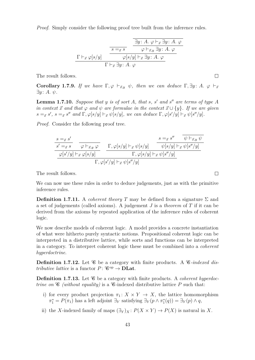*Proof.* Simply consider the following proof tree built from the inference rules.

$$
\frac{\frac{\exists y: A. \varphi \vdash_{\vec{x}} \exists y: A. \varphi \vdash_{\vec{x}} \exists y: A. \varphi \vdash_{\vec{x}} \exists y: A. \varphi \vdash_{\vec{x}} \exists y: A. \varphi \vdash_{\vec{x}} \exists y: A. \varphi \vdash_{\vec{x}} \exists y: A. \varphi}{\Gamma \vdash_{\vec{x}} \exists y: A. \varphi}
$$

The result follows.

**Corollary 1.7.9.** *If we have*  $\Gamma, \varphi \vdash_{\vec{x},y} \psi$ *, then we can deduce*  $\Gamma, \exists y: A$ *.*  $\varphi \vdash_{\vec{x}}$ ∃*y* : *A. ψ.*

**Lemma 1.7.10.** Suppose that y is of sort A, that s, s' and s'' are terms of type A *in context*  $\vec{x}$  *and that*  $\varphi$  *and*  $\psi$  *are formulae in the context*  $\vec{x} \cup {\{y\}}$ *. If we are given*  $s =_{\vec{x}} s'$ ,  $s =_{\vec{x}} s''$  and  $\Gamma$ ,  $\varphi[s/y] \vdash_{\vec{x}} \psi[s/y]$ , we can deduce  $\Gamma$ ,  $\varphi[s'/y] \vdash_{\vec{x}} \psi[s''/y]$ .

*Proof.* Consider the following proof tree.

$$
\begin{array}{c|c|c} s =_{\vec{x}} s' & s =_{\vec{x}} s' & \overline{\psi \vdash_{\vec{x},y} \psi} \\ \hline s' =_{\vec{x}} s & \overline{\varphi \vdash_{\vec{x},y} \varphi} & \Gamma, \varphi[s/y] \vdash_{\vec{x}} \psi[s/y] & \psi[s/y] \vdash_{\vec{x}} \psi[s''/y] \\ \hline \hline \varphi[s'/y] \vdash_{\vec{x}} \varphi[s/y] & \Gamma, \varphi[s'/y] \vdash_{\vec{x}} \psi[s''/y] & \\ \hline \Gamma, \varphi[s'/y] \vdash_{\vec{x}} \psi[s''/y] & \\ \end{array}
$$

The result follows.

We can now use these rules in order to deduce judgements, just as with the primitive inference rules.

**Definition 1.7.11.** A *coherent theory T* may be defined from a signature  $\Sigma$  and a set of judgements (called axioms). A judgement *J* is a *theorem* of *T* if it can be derived from the axioms by repeated application of the inference rules of coherent logic.

We now describe models of coherent logic. A model provides a concrete instantiation of what were hitherto purely syntactic notions. Propositional coherent logic can be interpreted in a distributive lattice, while sorts and functions can be interpreted in a category. To interpret coherent logic these must be combined into a *coherent hyperdoctrine*.

**Definition 1.7.12.** Let  $\mathscr C$  be a category with finite products. A  $\mathscr C$ -indexed dis*tributive lattice* is a functor  $P: \mathcal{C}^{op} \to \mathbf{DLat}$ .

**Definition 1.7.13.** Let  $\mathscr{C}$  be a category with finite products. A *coherent hyperdoctrine on*  $\mathscr{C}$  *(without equality)* is a  $\mathscr{C}$ -indexed distributive lattice P such that:

- i) for every product projection  $\pi_1: X \times Y \to X$ , the lattice homomorphism  $\pi_1^* = P(\pi_1)$  has a left adjoint  $\exists_Y$  satisfying  $\exists_Y (p \land \pi_1^*(q)) = \exists_Y (p) \land q$ ,
- ii) the *X*-indexed family of maps  $(\exists Y)_X : P(X \times Y) \to P(X)$  is natural in *X*.

 $\Box$ 

 $\Box$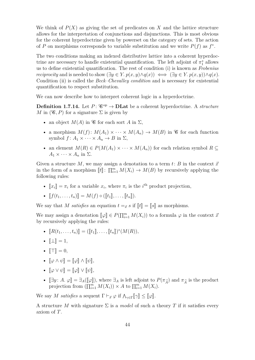We think of  $P(X)$  as giving the set of predicates on X and the lattice structure allows for the interpretation of conjunctions and disjunctions. This is most obvious for the coherent hyperdoctrine given by powerset on the category of sets. The action of *P* on morphisms corresponds to variable substitution and we write  $P(f)$  as  $f^*$ .

The two conditions making an indexed distributive lattice into a coherent hyperdoctrine are necessary to handle existential quantification. The left adjoint of  $\pi_1^*$  allows us to define existential quantification. The rest of condition (i) is known as *Frobenius reciprocity* and is needed to show  $(\exists y \in Y. p(x, y) \land q(x)) \iff (\exists y \in Y. p(x, y)) \land q(x)$ . Condition (ii) is called the *Beck–Chevalley condition* and is necessary for existential quantification to respect substitution.

We can now describe how to interpret coherent logic in a hyperdoctrine.

**Definition 1.7.14.** Let  $P: \mathscr{C}^{\text{op}} \to \text{DLat}$  be a coherent hyperdoctrine. A *structure M* in  $(\mathcal{C}, P)$  for a signature  $\Sigma$  is given by

- an object  $M(A)$  in  $\mathscr G$  for each sort A in  $\Sigma$ ,
- a morphism  $M(f)$ :  $M(A_1) \times \cdots \times M(A_n) \to M(B)$  in  $\mathscr C$  for each function symbol  $f: A_1 \times \cdots \times A_n \to B$  in  $\Sigma$ ,
- an element  $M(R) \in P(M(A_1) \times \cdots \times M(A_n))$  for each relation symbol  $R \subseteq$  $A_1 \times \cdots \times A_n$  in  $\Sigma$ .

Given a structure M, we may assign a denotation to a term  $t: B$  in the context  $\vec{x}$ in the form of a morphism  $[[t]]: \prod_{i=1}^{m} M(X_i) \to M(B)$  by recursively applying the following rules: following rules:

•  $\llbracket x_i \rrbracket = \pi_i$  for a variable  $x_i$ , where  $\pi_i$  is the *i*<sup>th</sup> product projection,

• 
$$
[[f(t_1,\ldots,t_n)]] = M(f) \circ ([t_1],\ldots,[t_n]).
$$

We say that *M* satisfies an equation  $t = x$  if  $[[t]] = [[s]]$  as morphisms.

We may assign a denotation  $[\![\varphi]\!] \in P(\prod_{i=1}^m M(X_i))$  to a formula  $\varphi$  in the context  $\vec{x}$ <br>by requirely applying the rules: by recursively applying the rules:

- $[[R(t_1, ..., t_n)]] = ([[t_1], ..., [t_n])^*(M(R)),$
- $\mathbb{L} \mathbb{L} = 1$ ,
- $\mathbb{T} \mathbb{T} = 0$ ,
- $\llbracket \varphi \wedge \psi \rrbracket = \llbracket \varphi \rrbracket \wedge \llbracket \psi \rrbracket,$
- $\llbracket \varphi \vee \psi \rrbracket = \llbracket \varphi \rrbracket \vee \llbracket \psi \rrbracket,$
- $[\exists y : A. \varphi] = \exists_A([\varphi]),$  where  $\exists_A$  is left adjoint to  $P(\pi_{\widehat{A}})$  and  $\pi_{\widehat{A}}$  is the product projection from  $(\Pi^m, M(X)) \times A$  to  $\Pi^m, M(X)$ projection from  $(\prod_{i=1}^m M(X_i)) \times A$  to  $\prod_{i=1}^m M(X_i)$ .

We say *M* satisfies a sequent  $\Gamma \vdash_{\vec{x}} \varphi$  if  $\Lambda_{\gamma \in \Gamma} [\![\gamma]\!] \leq [\![\varphi]\!]$ .

A structure *M* with signature  $\Sigma$  is a *model* of such a theory *T* if it satisfies every axiom of *T*.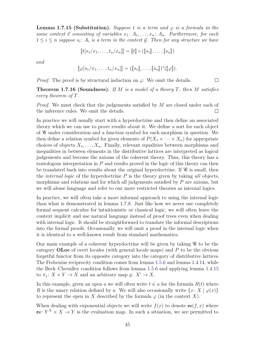**Lemma 1.7.15 (Substitution).** Suppose  $t$  is a term and  $\varphi$  is a formula in the *same context*  $\vec{x}$  *consisting of variables*  $x_1 : A_1, \ldots, x_n : A_n$ *. Furthermore, for each*  $1 \leq i \leq n$  suppose  $s_i$ :  $A_i$  *is a term in the context*  $\vec{y}$ *. Then for any structure we have* 

$$
[[t[s_1/x_1,\ldots,t_n/x_n]] = [[t]] \circ ([s_1]],\ldots,[s_n]])
$$

*and*

$$
[\![\varphi[s_1/x_1,\ldots,t_n/x_n]\!]]=([\![s_1]\!],\ldots,[\![s_n]\!])^*([\![\varphi]\!]).
$$

*Proof.* The proof is by structural induction on  $\varphi$ . We omit the details.

**Theorem 1.7.16 (Soundness).** *If M is a model of a theory T, then M satisfies every theorem of T.*

 $\Box$ 

*Proof.* We must check that the judgements satisfied by *M* are closed under each of the inference rules. We omit the details.  $\Box$ 

In practice we will usually start with a hyperdoctrine and then define an associated theory which we can use to prove results about it. We define a sort for each object of C under consideration and a function symbol for each morphism in question. We then define a relation symbol for given elements of  $P(X_1 \times \cdots \times X_n)$  for appropriate choices of objects  $X_1, \ldots, X_n$ . Finally, relevant equalities between morphisms and inequalities in between elements in the distributive lattices are interpreted as logical judgements and become the axioms of the coherent theory. Thus, this theory has a tautologous interpretation in *P* and results proved in the logic of this theory can then be translated back into results about the original hyperdoctrine. If  $\mathscr C$  is small, then the *internal logic* of the hyperdoctrine *P* is the theory given by taking *all* objects, morphisms and relations and for which all judgements satisfied by *P* are axioms, but we will abuse language and refer to our more restricted theories as internal logics.

In practice, we will often take a more informal approach to using the internal logic than what is demonstrated in lemma [1.7.8.](#page-51-0) Just like how we never use completely formal sequent calculus for intuitionistic or classical logic, we will often leave the context implicit and use natural language instead of proof trees even when dealing with internal logic. It should be straightforward to translate the informal descriptions into the formal proofs. Occasionally, we will omit a proof in the internal logic when it is identical to a well-known result from standard mathematics.

Our main example of a coherent hyperdoctrine will be given by taking  $\mathscr{C}$  to be the category **OLoc** of overt locales (with general locale maps) and *P* to be the obvious forgetful functor from its opposite category into the category of distributive lattices. The Frobenius reciprocity condition comes from lemma [1.5.6](#page-40-2) and lemma [1.4.14,](#page-38-2) while the Beck–Chevalley condition follows from lemma [1.5.6](#page-40-2) and applying lemma [1.4.15](#page-39-0) to  $\pi_1: X \times Y \to X$  and an arbitrary map  $g: X' \to X$ .

In this example, given an open *a* we will often write  $t \in a$  for the formula  $R(t)$  where *R* is the unary relation defined by *a*. We will also occasionally write  $\{x: X \mid \varphi(x)\}$ to represent the open in *X* described by the formula  $\varphi$  (in the context *X*).

When dealing with exponential objects we will write  $f(x)$  to denote  $ev(f, x)$  where ev:  $Y^X \times X \to Y$  is the evaluation map. In such a situation, we are permitted to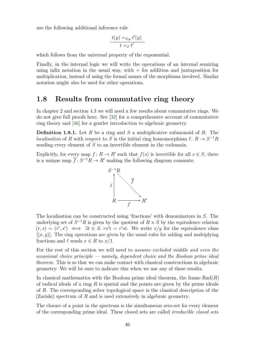use the following additional inference rule

$$
\frac{t(y) =_{\vec{x},y} t'(y)}{t =_{\vec{x}} t'},
$$

which follows from the universal property of the exponential.

Finally, in the internal logic we will write the operations of an internal semiring using infix notation in the usual way, with  $+$  for addition and juxtaposition for multiplication, instead of using the formal names of the morphisms involved. Similar notation might also be used for other operations.

### **1.8 Results from commutative ring theory**

In chapter [2](#page-58-0) and section [4.3](#page-101-0) we will need a few results about commutative rings. We do not give full proofs here. See [\[32\]](#page-107-5) for a comprehensive account of commutative ring theory and [\[46\]](#page-108-5) for a gentler introduction to algebraic geometry.

**Definition 1.8.1.** Let *R* be a ring and *S* a multiplicative submonoid of *R*. The *localisation* of *R* with respect to *S* is the initial ring homomorphism  $\ell : R \to S^{-1}R$ sending every element of *S* to an invertible element in the codomain.

Explicitly, for every map  $f: R \to R'$  such that  $f(s)$  is invertible for all  $s \in S$ , there is a unique map  $\overline{f}: S^{-1}R \to R'$  making the following diagram commute.



The localisation can be constructed using 'fractions' with denominators in *S*. The underlying set of  $S^{-1}R$  is given by the quotient of  $R \times S$  by the equivalence relation  $(r, s) \sim (r', s') \iff \exists t \in S$ .  $rs't = r'st$ . We write  $x/y$  for the equivalence class  $[(x, y)]$ . The ring operations are given by the usual rules for adding and multiplying fractions and  $\ell$  sends  $x \in R$  to  $x/1$ .

For the rest of this section we will need to *assume excluded middle and even the occasional choice principle — namely, dependent choice and the Boolean prime ideal theorem*. This is so that we can make contact with classical constructions in algebraic geometry. We will be sure to indicate this when we use any of these results.

In classical mathematics with the Boolean prime ideal theorem, the frame Rad(*R*) of radical ideals of a ring *R* is spatial and the points are given by the prime ideals of *R*. The corresponding sober topological space is the classical description of the (Zariski) spectrum of *R* and is used extensively in algebraic geometry.

The closure of a point in the spectrum is the simultaneous zero-set for every element of the corresponding prime ideal. These closed sets are called *irreducible closed sets*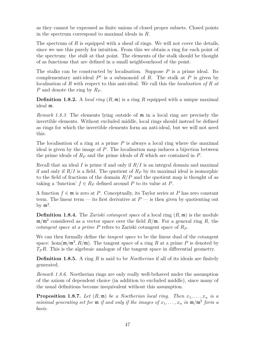as they cannot be expressed as finite unions of closed proper subsets. Closed points in the spectrum correspond to maximal ideals in *R*.

The spectrum of *R* is equipped with a sheaf of rings. We will not cover the details, since we use this purely for intuition. From this we obtain a ring for each point of the spectrum: the *stalk* at that point. The elements of the stalk should be thought of as functions that are defined in a small neighbourhood of the point.

The stalks can be constructed by localisation. Suppose *P* is a prime ideal. Its complementary anti-ideal  $P^c$  is a submonoid of  $R$ . The stalk at  $P$  is given by localisation of *R* with respect to this anti-ideal. We call this the *localisation of R at P* and denote the ring by *R<sup>P</sup>* .

**Definition 1.8.2.** A *local ring* (*R,* m) is a ring *R* equipped with a unique maximal ideal m.

*Remark 1.8.3.* The elements lying outside of m in a local ring are precisely the invertible elements. Without excluded middle, local rings should instead be defined as rings for which the invertible elements form an anti-ideal, but we will not need this.

The localisation of a ring at a prime *P* is always a local ring where the maximal ideal is given by the image of *P*. The localisation map induces a bijection between the prime ideals of *R<sup>P</sup>* and the prime ideals of *R* which are contained in *P*.

Recall that an ideal *I* is prime if and only if *R/I* is an integral domain and maximal if and only if  $R/I$  is a field. The quotient of  $R_P$  by its maximal ideal is isomorphic to the field of fractions of the domain  $R/P$  and the quotient map is thought of as taking a 'function'  $f \in R_P$  defined around P to its value at P.

A function  $f \in \mathfrak{m}$  is zero at *P*. Conceptually, its Taylor series at *P* has zero constant term. The linear term — its first derivative at  $P$  — is then given by quotienting out by  $\mathfrak{m}^2$ .

**Definition 1.8.4.** The *Zariski cotangent space* of a local ring (*R,* m) is the module m*/*m<sup>2</sup> considered as a vector space over the field *R/*m. For a general ring *R*, the *cotangent space at a prime P* refers to Zariski cotangent space of *R<sup>P</sup>* .

We can then formally define the *tangent space* to be the linear dual of the cotangent space: hom $(\mathfrak{m}/\mathfrak{m}^2, R/\mathfrak{m})$ . The tangent space of a ring R at a prime P is denoted by *TPR*. This is the algebraic analogue of the tangent space in differential geometry.

**Definition 1.8.5.** A ring *R* is said to be *Noetherian* if all of its ideals are finitely generated.

*Remark 1.8.6.* Noetherian rings are only really well-behaved under the assumption of the axiom of dependent choice (in addition to excluded middle), since many of the usual definitions become inequivalent without this assumption.

**Proposition 1.8.7.** Let  $(R, \mathfrak{m})$  be a Noetherian local ring. Then  $x_1, \ldots, x_n$  is a *minimal generating set for*  $\mathfrak{m}$  *if and only if the images of*  $x_1, \ldots, x_n$  *in*  $\mathfrak{m}/\mathfrak{m}^2$  *form a basis.*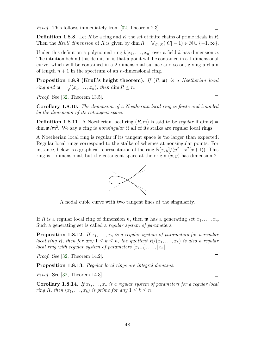*Proof.* This follows immediately from [\[32,](#page-107-5) Theorem 2.3].

**Definition 1.8.8.** Let *R* be a ring and *K* the set of finite chains of prime ideals in *R*. Then the *Krull dimension* of *R* is given by dim  $R = \bigvee_{C \in K} (|C| - 1) \in \mathbb{N} \cup \{-1, \infty\}.$ 

Under this definition a polynomial ring  $k[x_1, \ldots, x_n]$  over a field k has dimension n. The intuition behind this definition is that a point will be contained in a 1-dimensional curve, which will be contained in a 2-dimensional surface and so on, giving a chain of length  $n + 1$  in the spectrum of an *n*-dimensional ring.

**Proposition 1.8.9 (Krull's height theorem).** *If* (*R,* m) *is a Noetherian local ring and*  $\mathfrak{m} = \sqrt{(x_1, \ldots, x_n)}$ , then dim  $R \leq n$ .

*Proof.* See [\[32,](#page-107-5) Theorem 13.5].

**Corollary 1.8.10.** *The dimension of a Noetherian local ring is finite and bounded by the dimension of its cotangent space.*

**Definition 1.8.11.** A Noetherian local ring  $(R, \mathfrak{m})$  is said to be *regular* if dim  $R =$ dim  $\mathfrak{m}/\mathfrak{m}^2$ . We say a ring is *nonsingular* if all of its stalks are regular local rings.

A Noetherian local ring is regular if its tangent space is 'no larger than expected'. Regular local rings correspond to the stalks of schemes at nonsingular points. For instance, below is a graphical representation of the ring  $\mathbb{R}[x, y]/(y^2 - x^2(x+1))$ . This ring is 1-dimensional, but the cotangent space at the origin  $(x, y)$  has dimension 2.



A nodal cubic curve with two tangent lines at the singularity.

If *R* is a regular local ring of dimension *n*, then **m** has a generating set  $x_1, \ldots, x_n$ . Such a generating set is called a *regular system of parameters*.

**Proposition 1.8.12.** If  $x_1, \ldots, x_n$  *is a regular system of parameters for a regular local ring R, then for any*  $1 \leq k \leq n$ *, the quotient*  $R/(x_1, \ldots, x_k)$  *is also a regular local ring with regular system of parameters*  $[x_{k+1}], \ldots, [x_n].$ 

*Proof.* See [\[32,](#page-107-5) Theorem 14.2].

**Proposition 1.8.13.** *Regular local rings are integral domains.*

*Proof.* See [\[32,](#page-107-5) Theorem 14.3].

**Corollary 1.8.14.** *If*  $x_1, \ldots, x_n$  *is a regular system of parameters for a regular local ring R, then*  $(x_1, \ldots, x_k)$  *is prime for any*  $1 \leq k \leq n$ *.* 

 $\Box$ 

 $\Box$ 

 $\Box$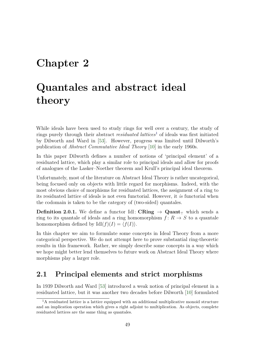## <span id="page-58-0"></span>**Chapter 2**

# **Quantales and abstract ideal theory**

While ideals have been used to study rings for well over a century, the study of rings purely through their abstract *residuated lattices*[1](#page-58-1) of ideals was first initiated by Dilworth and Ward in [\[53\]](#page-109-0). However, progress was limited until Dilworth's publication of *Abstract Commutative Ideal Theory* [\[10\]](#page-106-4) in the early 1960s.

In this paper Dilworth defines a number of notions of 'principal element' of a residuated lattice, which play a similar role to principal ideals and allow for proofs of analogues of the Lasker–Noether theorem and Krull's principal ideal theorem.

Unfortunately, most of the literature on Abstract Ideal Theory is rather uncategorical, being focused only on objects with little regard for morphisms. Indeed, with the most obvious choice of morphisms for residuated lattices, the assignment of a ring to its residuated lattice of ideals is not even functorial. However, it *is* functorial when the codomain is taken to be the category of (two-sided) quantales.

**Definition 2.0.1.** We define a functor Idl:  $CRing \rightarrow Quant_{\perp}$  which sends a ring to its quantale of ideals and a ring homomorphism  $f: R \to S$  to a quantale homomorphism defined by  $\text{Idl}(f)(I) = \langle f(I) \rangle$ .

In this chapter we aim to formulate some concepts in Ideal Theory from a more categorical perspective. We do not attempt here to prove substantial ring-theoretic results in this framework. Rather, we simply describe some concepts in a way which we hope might better lend themselves to future work on Abstract Ideal Theory where morphisms play a larger role.

## **2.1 Principal elements and strict morphisms**

In 1939 Dilworth and Ward [\[53\]](#page-109-0) introduced a weak notion of principal element in a residuated lattice, but it was another two decades before Dilworth [\[10\]](#page-106-4) formulated

<span id="page-58-1"></span> ${}^{1}$ A residuated lattice is a lattice equipped with an additional multiplicative monoid structure and an implication operation which gives a right adjoint to multiplication. As objects, complete residuated lattices are the same thing as quantales.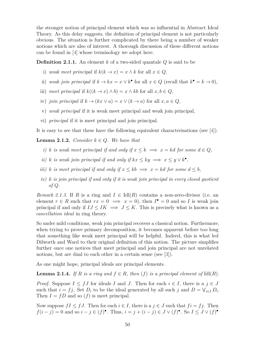the stronger notion of principal element which was so influential in Abstract Ideal Theory. As this delay suggests, the definition of principal element is not particularly obvious. The situation is further complicated by there being a number of weaker notions which are also of interest. A thorough discussion of these different notions can be found in [\[4\]](#page-106-5) whose terminology we adopt here.

**Definition 2.1.1.** An element *k* of a two-sided quantale *Q* is said to be

- i) *weak meet principal* if  $k(k \to x) = x \land k$  for all  $x \in Q$ ,
- ii) weak join principal if  $k \to kx = x \vee k^{\bullet}$  for all  $x \in Q$  (recall that  $k^{\bullet} = k \to 0$ ),
- iii) *meet principal* if  $k((k \rightarrow x) \land b) = x \land kb$  for all  $x, b \in Q$ ,
- iv) *join principal* if  $k \to (kx \lor a) = x \lor (k \to a)$  for all  $x, a \in Q$ ,
- v) *weak principal* if it is weak meet principal and weak join principal,
- vi) *principal* if it is meet principal and join principal.

It is easy to see that these have the following equivalent characterisations (see [\[4\]](#page-106-5)).

**Lemma 2.1.2.** *Consider*  $k \in Q$ *. We have that* 

- *i*) *k is weak meet principal if and only if*  $x \leq k \implies x = kd$  *for some*  $d \in Q$ *,*
- *ii*) *k is weak join principal if and only if*  $kx \le ky \implies x \le y \vee k^{\bullet}$ ,
- *iii*) *k is meet principal if and only if*  $x \le kb \implies x = kd$  *for some*  $d \le b$ *,*
- *iv) k is join principal if and only if it is weak join principal in every closed quotient of Q.*

*Remark 2.1.3.* If *R* is a ring and  $I \in \text{Id}(R)$  contains a non-zero-divisor (i.e. an element  $r \in R$  such that  $rx = 0 \implies x = 0$ , then  $I^{\bullet} = 0$  and so *I* is weak join principal if and only if  $IJ \leq IK \implies J \leq K$ . This is precisely what is known as a *cancellation ideal* in ring theory.

So under mild conditions, weak join principal recovers a classical notion. Furthermore, when trying to prove primary decomposition, it becomes apparent before too long that something like weak meet principal will be helpful. Indeed, this is what led Dilworth and Ward to their original definition of this notion. The picture simplifies further once one notices that meet principal and join principal are not unrelated notions, but are dual to each other in a certain sense (see [\[3\]](#page-106-6)).

As one might hope, principal ideals are principal elements.

**Lemma 2.1.4.** *If*  $R$  *is a ring and*  $f \in R$ *, then*  $(f)$  *is a principal element of* Idl $(R)$ *.* 

*Proof.* Suppose  $I \leq fJ$  for ideals *I* and *J*. Then for each  $i \in I$ , there is a  $j \in J$ such that  $i = f_j$ . Set  $D_i$  to be the ideal generated by all such  $j$  and  $D = \bigvee_{i \in I} D_i$ . Then  $I = fD$  and so  $(f)$  is meet principal.

Now suppose  $fI \leq fJ$ . Then for each  $i \in I$ , there is a  $j \in J$  such that  $fi = fj$ . Then  $f(i - j) = 0$  and so  $i - j \in (f)^{\bullet}$ . Thus,  $i = j + (i - j) \in J \vee (f)^{\bullet}$ . So  $I \leq J \vee (f)^{\bullet}$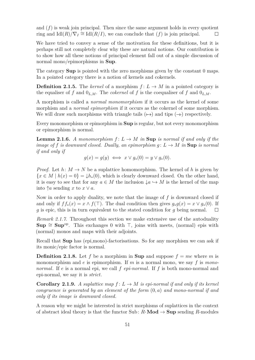and  $(f)$  is weak join principal. Then since the same argument holds in every quotient ring and  $\text{Id}(R)/\nabla_I \cong \text{Id}(R/I)$ , we can conclude that  $(f)$  is join principal.  $\Box$ 

We have tried to convey a sense of the motivation for these definitions, but it is perhaps still not completely clear why these are natural notions. Our contribution is to show how all these notions of principal element fall out of a simple discussion of normal mono/epimorphisms in **Sup**.

The category **Sup** is pointed with the zero morphisms given by the constant 0 maps. In a pointed category there is a notion of kernels and cokernels.

**Definition 2.1.5.** The *kernel* of a morphism  $f: L \to M$  in a pointed category is the equaliser of f and  $0_{L,M}$ . The *cokernel* of f is the coequaliser of f and  $0_{L,M}$ .

A morphism is called a *normal monomorphism* if it occurs as the kernel of some morphism and a *normal epimorphism* if it occurs as the cokernel of some morphism. We will draw such morphisms with triangle tails  $(\rightarrow)$  and tips  $(\rightarrow)$  respectively.

Every monomorphism or epimorphism in **Sup** is regular, but not every monomorphism or epimorphism is normal.

<span id="page-60-0"></span>**Lemma 2.1.6.** *A monomorphism*  $f: L \to M$  *in* **Sup** *is normal if and only if the image of*  $f$  *is downward closed. Dually, an epimorphism*  $g: L \to M$  *in* Sup *is normal if and only if*

$$
g(x) = g(y) \iff x \lor g_*(0) = y \lor g_*(0).
$$

*Proof.* Let  $h: M \to N$  be a suplattice homomorphism. The kernel of h is given by  ${x \in M \mid h(x) = 0} = \downarrow h_*(0)$ , which is clearly downward closed. On the other hand, it is easy to see that for any  $a \in M$  the inclusion  $\downarrow a \hookrightarrow M$  is the kernel of the map into  $\uparrow a$  sending x to  $x \vee a$ .

Now in order to apply duality, we note that the image of *f* is downward closed if and only if  $ff_*(x) = x \wedge f(\top)$ . The dual condition then gives  $g_*g(x) = x \vee g_*(0)$ . If *g* is epic, this is in turn equivalent to the stated condition for *g* being normal.  $\Box$ 

*Remark 2.1.7.* Throughout this section we make extensive use of the autoduality **Sup**  $\cong$  **Sup**<sup>op</sup>. This exchanges 0 with  $\top$ , joins with meets, (normal) epis with (normal) monos and maps with their adjoints.

Recall that **Sup** has (epi,mono)-factorisations. So for any morphism we can ask if its monic/epic factor is normal.

**Definition 2.1.8.** Let f be a morphism in **Sup** and suppose  $f = me$  where m is monomorphism and *e* is epimorphism. If *m* is a normal mono, we say *f* is *mononormal*. If *e* is a normal epi, we call *f epi-normal*. If *f* is both mono-normal and epi-normal, we say it is *strict*.

**Corollary 2.1.9.** *A suplattice map*  $f: L \to M$  *is epi-normal if and only if its kernel congruence is generated by an element of the form* (0*, a*) *and mono-normal if and only if its image is downward closed.*

A reason why we might be interested in strict morphisms of suplattices in the context of abstract ideal theory is that the functor Sub:  $R$ -**Mod**  $\rightarrow$  **Sup** sending  $R$ -modules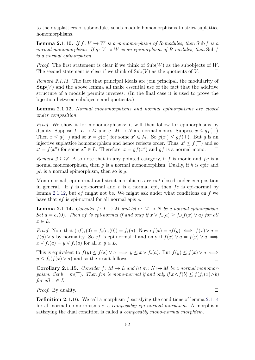to their suplattices of submodules sends module homomorphisms to strict suplattice homomorphisms.

**Lemma 2.1.10.** *If*  $f: V \hookrightarrow W$  *is a monomorphism of R-modules, then* Sub *f is a normal monomorphism. If*  $g: V \rightarrow W$  *is an epimorphism of R-modules, then* Sub *f is a normal epimorphism.*

*Proof.* The first statement is clear if we think of Sub(*W*) as the subobjects of *W*. The second statement is clear if we think of  $\text{Sub}(V)$  as the quotients of V.  $\Box$ 

*Remark 2.1.11.* The fact that principal ideals are join principal, the modularity of  $\textbf{Sup}(V)$  and the above lemma all make essential use of the fact that the additive structure of a module permits inverses. (In the final case it is used to prove the bijection between subobjects and quotients.)

<span id="page-61-0"></span>**Lemma 2.1.12.** *Normal monomorphisms and normal epimorphisms are closed under composition.*

*Proof.* We show it for monomorphisms; it will then follow for epimorphisms by duality. Suppose  $f: L \to M$  and  $g: M \to N$  are normal monos. Suppose  $x \leq gf(\top)$ . Then  $x \leq g(\top)$  and so  $x = g(x')$  for some  $x' \in M$ . So  $g(x') \leq gf(\top)$ . But g is an injective suplattice homomorphism and hence reflects order. Thus,  $x' \le f(\top)$  and so  $x' = f(x'')$  for some  $x'' \in L$ . Therefore,  $x = gf(x'')$  and  $gf$  is a normal mono.  $\Box$ 

<span id="page-61-2"></span>*Remark 2.1.13.* Also note that in any pointed category, if *f* is monic and *fg* is a normal monomorphism, then *g* is a normal monomorphism. Dually, if *h* is epic and *gh* is a normal epimorphism, then so is *g*.

Mono-normal, epi-normal and strict morphisms are *not* closed under composition in general. If *f* is epi-normal and *e* is a normal epi, then *fe* is epi-normal by lemma [2.1.12,](#page-61-0) but *ef* might not be. We might ask under what conditions on *f* we have that *ef* is epi-normal for all normal epis *e*.

<span id="page-61-1"></span>**Lemma 2.1.14.** *Consider*  $f: L \to M$  *and let*  $e: M \to N$  *be a normal epimorphism. Set*  $a = e_*(0)$ *. Then ef is epi-normal if and only if*  $x \vee f_*(a) \geq f_*(f(x) \vee a)$  *for all*  $x \in L$ *.* 

*Proof.* Note that  $(ef)_*(0) = f_*(e_*(0)) = f_*(a)$ . Now  $ef(x) = ef(y) \iff f(x) \lor a =$ *f*(*y*) ∨ *a* by normality. So *ef* is epi-normal if and only if  $f(x)$  ∨  $a = f(y)$  ∨  $a \implies$  $x \vee f_*(a) = y \vee f_*(a)$  for all  $x, y \in L$ .

This is equivalent to  $f(y) \leq f(x) \vee a \implies y \leq x \vee f_*(a)$ . But  $f(y) \leq f(x) \vee a \iff$  $y \leq f_*(f(x) \vee a)$  and so the result follows.  $\Box$ 

<span id="page-61-3"></span>**Corollary 2.1.15.** *Consider*  $f: M \to L$  *and let*  $m: N \to M$  *be a normal monomorphism. Set*  $b = m(T)$ *. Then fm is mono-normal if and only if*  $x \wedge f(b) \leq f(f_*(x) \wedge b)$ *for all*  $x \in L$ *.* 

*Proof.* By duality.

**Definition 2.1.16.** We call a morphism f satisfying the conditions of lemma [2.1.14](#page-61-1) for all normal epimorphisms *e*, a *composably epi-normal morphism*. A morphism satisfying the dual condition is called a *composably mono-normal morphism*.

 $\Box$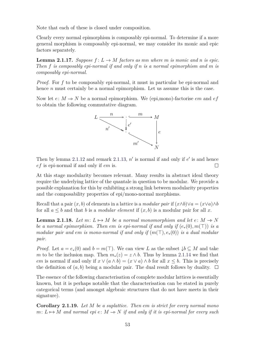Note that each of these is closed under composition.

<span id="page-62-0"></span>Clearly every normal epimorphism is composably epi-normal. To determine if a more general morphism is composably epi-normal, we may consider its monic and epic factors separately.

**Lemma 2.1.17.** *Suppose*  $f: L \to M$  *factors as mn where m is monic and n is epic. Then f is composably epi-normal if and only if n is a normal epimorphism and m is composably epi-normal.*

*Proof.* For *f* to be composably epi-normal, it must in particular be epi-normal and hence *n* must certainly be a normal epimorphism. Let us assume this is the case.

Now let  $e: M \to N$  be a normal epimorphism. We (epi,mono)-factorise *em* and  $ef$ to obtain the following commutative diagram.



Then by lemma [2.1.12](#page-61-0) and remark [2.1.13,](#page-61-2)  $n'$  is normal if and only if  $e'$  is and hence *ef* is epi-normal if and only if *em* is.  $\Box$ 

At this stage modularity becomes relevant. Many results in abstract ideal theory require the underlying lattice of the quantale in question to be modular. We provide a possible explanation for this by exhibiting a strong link between modularity properties and the composability properties of epi/mono-normal morphisms.

Recall that a pair  $(x, b)$  of elements in a lattice is a *modular pair* if  $(x \wedge b) \vee a = (x \vee a) \wedge b$ for all  $a \leq b$  and that *b* is a *modular element* if  $(x, b)$  is a modular pair for all *x*.

<span id="page-62-1"></span>**Lemma 2.1.18.** Let  $m: L \rightarrow M$  be a normal monomorphism and let  $e: M \rightarrow N$ *be a normal epimorphism. Then em is epi-normal if and only if*  $(e_*(0), m(\top))$  *is a modular pair and em is mono-normal if and only if*  $(m(\top), e_*(0))$  *is a dual modular pair.*

*Proof.* Let  $a = e_*(0)$  and  $b = m(\top)$ . We can view L as the subset  $\downarrow b \subseteq M$  and take *m* to be the inclusion map. Then  $m_*(z) = z \wedge b$ . Thus by lemma [2.1.14](#page-61-1) we find that *em* is normal if and only if  $x \vee (a \wedge b) = (x \vee a) \wedge b$  for all  $x \leq b$ . This is precisely the definition of  $(a, b)$  being a modular pair. The dual result follows by duality.  $\Box$ 

The essence of the following characterisation of complete modular lattices is essentially known, but it is perhaps notable that the characterisation can be stated in purely categorical terms (and amongst algebraic structures that do not have meets in their signature).

<span id="page-62-2"></span>**Corollary 2.1.19.** *Let M be a suplattice. Then em is strict for every normal mono*  $m: L \rightarrow M$  *and normal epi*  $e: M \rightarrow N$  *if and only if it is epi-normal for every such*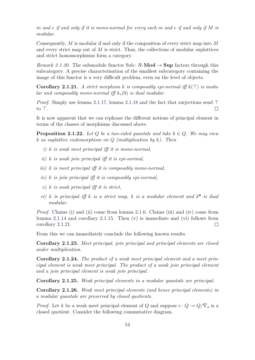*m and e if and only if it is mono-normal for every such m and e if and only if M is modular.*

Consequently, *M* is modular if and only if the composition of every strict map into *M* and every strict map out of *M* is strict. Thus, the collections of modular suplattices and strict homomorphisms form a category.

*Remark 2.1.20.* The submodule functor Sub:  $R$ -**Mod**  $\rightarrow$  **Sup** factors through this subcategory. A precise characterisation of the smallest subcategory containing the image of this functor is a very difficult problem, even on the level of objects.

<span id="page-63-0"></span>**Corollary 2.1.21.** A strict morphism k is composably epi-normal iff  $k(\top)$  is modu*lar and composably mono-normal iff k*∗(0) *is dual modular.*

*Proof.* Simply use lemma [2.1.17,](#page-62-0) lemma [2.1.18](#page-62-1) and the fact that surjections send  $\top$ to  $\top$ .  $\Box$ 

It is now apparent that we can rephrase the different notions of principal element in terms of the classes of morphisms discussed above.

**Proposition 2.1.22.** *Let*  $Q$  *be a two-sided quantale and take*  $k \in Q$ *. We may view k as suplattice endomorphism on Q (multiplication by k). Then*

- *i) k is weak meet principal iff it is mono-normal,*
- *ii) k is weak join principal iff it is epi-normal,*
- *iii) k is meet principal iff it is composably mono-normal,*
- *iv) k is join principal iff it is composably epi-normal,*
- *v) k is weak principal iff it is strict,*
- *vi) k is principal iff k is a strict map, k is a modular element and*  $k^{\bullet}$  *is dual modular.*

*Proof.* Claims (i) and (ii) come from lemma [2.1.6.](#page-60-0) Claims (iii) and (iv) come from lemma [2.1.14](#page-61-1) and corollary [2.1.15.](#page-61-3) Then  $(v)$  is immediate and  $(vi)$  follows from corollary [2.1.21.](#page-63-0)  $\Box$ 

From this we can immediately conclude the following known results.

**Corollary 2.1.23.** *Meet principal, join principal and principal elements are closed under multiplication.*

**Corollary 2.1.24.** *The product of a weak meet principal element and a meet principal element is weak meet principal. The product of a weak join principal element and a join principal element is weak join principal.*

**Corollary 2.1.25.** *Weak principal elements in a modular quantale are principal.*

**Corollary 2.1.26.** *Weak meet principal elements (and hence principal elements) in a modular quantale are preserved by closed quotients.*

*Proof.* Let *k* be a weak meet principal element of *Q* and suppose  $e: Q \rightarrow Q/\nabla_a$  is a closed quotient. Consider the following commutative diagram.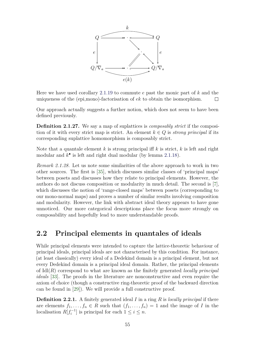

Here we have used corollary [2.1.19](#page-62-2) to commute *e* past the monic part of *k* and the uniqueness of the (epi,mono)-factorisation of *ek* to obtain the isomorphism.  $\Box$ 

Our approach actually suggests a further notion, which does not seem to have been defined previously.

**Definition 2.1.27.** We say a map of suplattices is *composably strict* if the composition of it with every strict map is strict. An element  $k \in Q$  is *strong principal* if its corresponding suplattice homomorphism is composably strict.

Note that a quantale element *k* is strong principal iff *k* is strict, *k* is left and right modular and *k* • is left and right dual modular (by lemma [2.1.18\)](#page-62-1).

*Remark 2.1.28.* Let us note some similarities of the above approach to work in two other sources. The first is [\[35\]](#page-108-6), which discusses similar classes of 'principal maps' between posets and discusses how they relate to principal elements. However, the authors do not discuss composition or modularity in much detail. The second is [\[7\]](#page-106-7), which discusses the notion of 'range-closed maps' between posets (corresponding to our mono-normal maps) and proves a number of similar results involving composition and modularity. However, the link with abstract ideal theory appears to have gone unnoticed. Our more categorical descriptions place the focus more strongly on composability and hopefully lead to more understandable proofs.

## **2.2 Principal elements in quantales of ideals**

While principal elements were intended to capture the lattice-theoretic behaviour of principal ideals, principal ideals are not characterised by this condition. For instance, (at least classically) every ideal of a Dedekind domain is a principal element, but not every Dedekind domain is a principal ideal domain. Rather, the principal elements of Idl(*R*) correspond to what are known as the finitely generated *locally principal ideals* [\[33\]](#page-108-7). The proofs in the literature are nonconstructive and even require the axiom of choice (though a constructive ring-theoretic proof of the backward direction can be found in [\[29\]](#page-107-6)). We will provide a full constructive proof.

**Definition 2.2.1.** A finitely generated ideal *I* in a ring *R* is *locally principal* if there are elements  $f_1, \ldots, f_n \in R$  such that  $(f_1, \ldots, f_n) = 1$  and the image of *I* in the localisation  $R[f_i^{-1}]$  is principal for each  $1 \leq i \leq n$ .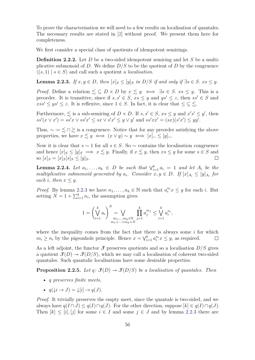To prove the characterisation we will need to a few results on localisation of quantales. The necessary results are stated in [\[2\]](#page-106-8) without proof. We present them here for completeness.

We first consider a special class of quotients of idempotent semirings.

**Definition 2.2.2.** Let *D* be a two-sided idempotent semiring and let *S* be a multiplicative submonoid of *D*. We define  $D/S$  to be the quotient of *D* by the congruence  $\langle (s, 1) | s \in S \rangle$  and call such a quotient a *localisation*.

<span id="page-65-0"></span>**Lemma 2.2.3.** *If*  $x, y \in D$ *, then*  $[x]_S \leq [y]_S$  *in*  $D/S$  *if and only if*  $\exists s \in S$ *.*  $xs \leq y$ *.* 

*Proof.* Define a relation  $\leq \subseteq D \times D$  by  $x \leq y \iff \exists s \in S$ .  $xs \leq y$ . This is a preorder. It is transitive, since if  $s, s' \in S$ ,  $xs \leq y$  and  $ys' \leq z$ , then  $ss' \in S$  and  $xss' \leq ys' \leq z$ . It is reflexive, since  $1 \in S$ . In fact, it is clear that  $\leq \leq \leq$ .

Furthermore,  $\leq$  is a sub-semiring of  $D \times D$ . If  $s, s' \in S$ ,  $xs \leq y$  and  $x's' \leq y'$ , then  $ss'(x \vee x') = ss'x \vee ss'x' \leq sx \vee s'x' \leq y \vee y'$  and  $ss'xx' = (sx)(s'x') \leq yy'.$ 

Thus,  $\sim := \leq \cap \geq$  is a congruence. Notice that for any preorder satisfying the above properties, we have  $x \lesssim y \iff (x \vee y) \sim y \iff [x]_{\sim} \leq [y]_{\sim}$ .

Now it is clear that  $s \sim 1$  for all  $s \in S$ . So  $\sim$  contains the localisation congruence and hence  $[x]_S \leq [y]_S \implies x \lesssim y$ . Finally, if  $x \lesssim y$ , then  $xs \leq y$  for some  $s \in S$  and so  $[x]_S = [x]_S[s]_S \le [y]_S$ .  $\Box$ 

<span id="page-65-1"></span>**Lemma 2.2.4.** Let  $a_1, \ldots, a_k \in D$  be such that  $\bigvee_{i=1}^k a_i = 1$  and let  $A_i$  be the *multiplicative submonoid generated by*  $a_i$ . *Consider*  $x, y \in D$ . If  $[x]_{A_i} \leq [y]_{A_i}$  for *each i*, *then*  $x \leq y$ *.* 

*Proof.* By lemma [2.2.3](#page-65-0) we have  $n_1, \ldots, n_k \in \mathbb{N}$  such that  $a_i^{n_i} x \leq y$  for each *i*. But setting  $N = 1 + \sum_{i=1}^{k} n_i$ , the assumption gives

$$
1 = \left(\bigvee_{i=1}^{k} a_i\right)^{N} = \bigvee_{\substack{m_1, \dots, m_k \in \mathbb{N} \\ m_1 + \dots + m_k = N}} \prod_{j=1}^{k} a_j^{m_j} \le \bigvee_{i=1}^{k} a_i^{n_i},
$$

where the inequality comes from the fact that there is always some *i* for which  $m_i \geq n_i$  by the pigeonhole principle. Hence  $x = \bigvee_{i=1}^k a_i^{n_i} x \leq y$ , as required.  $\Box$ 

As a left adjoint, the functor  $\mathcal I$  preserves quotients and so a localisation  $D/S$  gives a quotient  $\mathcal{F}(D) \to \mathcal{F}(D/S)$ , which we may call a localisation of coherent two-sided quantales. Such quantalic localisations have some desirable properties.

**Proposition 2.2.5.** *Let*  $q: \mathcal{F}(D) \rightarrow \mathcal{F}(D/S)$  *be a localisation of quantales. Then* 

- *q preserves finite meets,*
- $q(\downarrow i \rightarrow J) = \downarrow [i] \rightarrow q(J)$ .

*Proof.* It trivially preserves the empty meet, since the quantale is two-sided, and we always have  $q(I \cap J) \leq q(I) \cap q(J)$ . For the other direction, suppose  $[k] \in q(I) \cap q(J)$ . Then  $[k] \leq [i], [j]$  for some  $i \in I$  and some  $j \in J$  and by lemma [2.2.3](#page-65-0) there are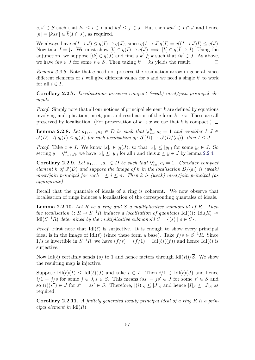*s*, *s*<sup> $\prime$ </sup> ∈ *S* such that *ks* ≤ *i* ∈ *I* and *ks*<sup> $\prime$ </sup> ≤ *j* ∈ *J*. But then *kss*<sup> $\prime$ </sup> ∈ *I* ∩ *J* and hence  $[k] = [kss'] \in \overline{k}(I \cap J)$ , as required.

We always have  $q(I \to J) \leq q(I) \to q(J)$ , since  $q(I \to J)q(I) = q((I \to J)I) \leq q(J)$ . Now take  $I = \downarrow i$ . We must show  $[k] \in q(I) \rightarrow q(J) \implies [k] \in q(I \rightarrow J)$ . Using the adjunction, we suppose  $[ik] \in q(J)$  and find a  $k' \geq k$  such that  $ik' \in J$ . As above, we have  $iks \in J$  for some  $s \in S$ . Then taking  $k' = ks$  yields the result.  $\Box$ 

*Remark 2.2.6.* Note that *q* need not preserve the residuation arrow in general, since different elements of  $I$  will give different values for  $s$  and we need a single  $k'$  to work for all  $i \in I$ .

**Corollary 2.2.7.** *Localisations preserve compact (weak) meet/join principal elements.*

*Proof.* Simply note that all our notions of principal element *k* are defined by equations involving multiplication, meet, join and residuation of the form  $k \to x$ . These are all preserved by localisation. (For preservation of  $k \to x$  we use that *k* is compact.)  $\Box$ 

<span id="page-66-1"></span>**Lemma 2.2.8.** *Let*  $a_1, \ldots, a_k \in D$  *be such that*  $\bigvee_{i=1}^k a_i = 1$  *and consider*  $I, J \in$  $\mathcal{F}(D)$ *. If*  $q_i(I) \leq q_i(J)$  *for each localisation*  $q_i \colon \mathcal{F}(D) \to \mathcal{F}(D/\langle a_i \rangle)$ *, then*  $I \leq J$ *.* 

*Proof.* Take  $x \in I$ . We know  $[x]_i \in q_i(J)$ , so that  $[x]_i \leq [y_i]_i$  for some  $y_i \in J$ . So setting  $y = \bigvee_{i=1}^{k} y_i$ , we have  $[x]_i \leq [y]_i$  for all *i* and thus  $x \leq y \in J$  by lemma [2.2.4.](#page-65-1)

<span id="page-66-0"></span>**Corollary 2.2.9.** *Let*  $a_1, \ldots, a_n \in D$  *be such that*  $\bigvee_{i=1}^n a_i = 1$ *. Consider compact element k of*  $\mathcal{F}(D)$  *and suppose the image of k in the localisation*  $D/\langle a_i \rangle$  *is (weak) meet/join principal for each*  $1 \leq i \leq n$ *. Then k is (weak) meet/join principal (as appropriate).*

Recall that the quantale of ideals of a ring is coherent. We now observe that localisation of rings induces a localisation of the corresponding quantales of ideals.

**Lemma 2.2.10.** *Let R be a ring and S a multiplicative submonoid of R. Then the localisation*  $\ell \colon R \to S^{-1}R$  *induces a localisation of quantales* Idl $(\ell)$ : Idl $(R) \to$ Idl( $S^{-1}R$ ) *determined by the multiplicative submonoid*  $\overline{S} = \{(s) | s \in S\}.$ 

*Proof.* First note that  $Idl(\ell)$  is surjective. It is enough to show every principal ideal is in the image of  $\text{Idl}(\ell)$  (since these form a base). Take  $f/s \in S^{-1}R$ . Since  $1/s$  is invertible in  $S^{-1}R$ , we have  $(f/s) = (f/1) = Idl(\ell)((f))$  and hence Idl $(\ell)$  is surjective.

Now Idl( $\ell$ ) certainly sends (*s*) to 1 and hence factors through Idl( $R$ )/ $\overline{S}$ . We show the resulting map is injective.

Suppose  $\text{Id}(\ell)(I) \leq \text{Id}(\ell)(J)$  and take  $i \in I$ . Then  $i/1 \in \text{Id}(\ell)(J)$  and hence  $i/1 = j/s$  for some  $j \in J, s \in S$ . This means  $iss' = js' \in J$  for some  $s' \in S$  and so  $(i)(s'') \in J$  for  $s'' = ss' \in S$ . Therefore,  $[(i)]_{\overline{S}} \leq [J]_{\overline{S}}$  and hence  $[I]_{\overline{S}} \leq [J]_{\overline{S}}$  as required.  $\Box$ 

**Corollary 2.2.11.** *A finitely generated locally principal ideal of a ring R is a principal element in* Idl(*R*)*.*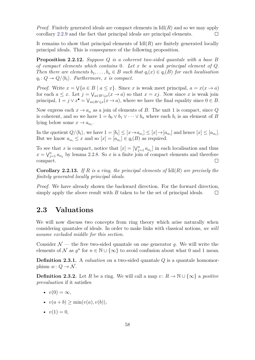*Proof.* Finitely generated ideals are compact elements in  $\text{Id}(R)$  and so we may apply corollary [2.2.9](#page-66-0) and the fact that principal ideals are principal elements.  $\Box$ 

It remains to show that principal elements of  $\text{Id}(\mathbb{R})$  are finitely generated locally principal ideals. This is consequence of the following proposition.

**Proposition 2.2.12.** *Suppose Q is a coherent two-sided quantale with a base B of compact elements which contains* 0*. Let x be a weak principal element of Q. Then there are elements*  $b_1, \ldots, b_n \in B$  *such that*  $q_i(x) \in q_i(B)$  *for each localisation*  $q_i: Q \rightarrow Q/\langle b_i \rangle$ . Furthermore, *x is compact.* 

*Proof.* Write  $x = \sqrt{a \in B \mid a \leq x}$ . Since *x* is weak meet principal,  $a = x(x \to a)$ for each  $a \leq x$ . Let  $j = \bigvee_{a \in B \cap \downarrow x} (x \to a)$  so that  $x = xj$ . Now since *x* is weak join principal,  $1 = j \vee x^{\bullet} = \bigvee_{a \in B \cap \downarrow x} (x \to a)$ , where we have the final equality since  $0 \in B$ .

Now express each  $x \to a_{\alpha}$  as a join of elements of *B*. The unit 1 is compact, since *Q* is coherent, and so we have  $1 = b_0 \vee b_1 \vee \cdots \vee b_n$  where each  $b_i$  is an element of *B* lying below some  $x \to a_{\alpha_i}$ .

In the quotient  $Q/\langle b_i \rangle$ , we have  $1 = [b_i] \leq [x \rightarrow a_{\alpha_i}] \leq [x] \rightarrow [a_{\alpha_i}]$  and hence  $[x] \leq [a_{\alpha_i}]$ . But we know  $a_{\alpha_i} \leq x$  and so  $[x] = [a_{\alpha_i}] \in q_i(B)$  as required.

To see that *x* is compact, notice that  $[x] = [\vee_{j=1}^{n} a_{\alpha_j}]$  in each localisation and thus  $x = \bigvee_{j=1}^{n} a_{\alpha_j}$  by lemma [2.2.8.](#page-66-1) So *x* is a finite join of compact elements and therefore compact.  $\Box$ 

**Corollary 2.2.13.** *If R is a ring, the principal elements of* Idl(*R*) *are precisely the finitely generated locally principal ideals.*

*Proof.* We have already shown the backward direction. For the forward direction, simply apply the above result with *B* taken to be the set of principal ideals.  $\Box$ 

## **2.3 Valuations**

We will now discuss two concepts from ring theory which arise naturally when considering quantales of ideals. In order to make links with classical notions, *we will assume excluded middle for this section*.

Consider  $\mathcal{N}$  — the free two-sided quantale on one generator q. We will write the elements of N as  $g^n$  for  $n \in \mathbb{N} \cup \{\infty\}$  to avoid confusion about what 0 and 1 mean.

**Definition 2.3.1.** A *valuation* on a two-sided quantale *Q* is a quantale homomorphism  $w: Q \to \mathcal{N}$ .

**Definition 2.3.2.** Let *R* be a ring. We will call a map  $v: R \to \mathbb{N} \cup \{\infty\}$  a *positive prevaluation* if it satisfies

- $v(0) = \infty$ ,
- $v(a + b) > min(v(a), v(b)).$
- $v(1) = 0$ .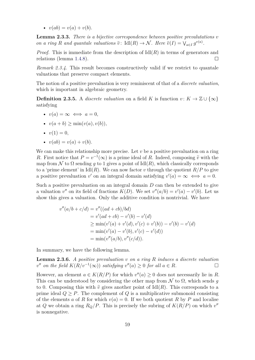•  $v(ab) = v(a) + v(b).$ 

**Lemma 2.3.3.** *There is a bijective correspondence between positive prevalutations v on a ring R and quantale valuations*  $\tilde{v}$ : Idl $(R) \rightarrow \mathcal{N}$ *. Here*  $\tilde{v}(I) = \bigvee_{a \in I} g^{v(a)}$ *.* 

*Proof.* This is immediate from the description of  $\text{Id}(R)$  in terms of generators and relations (lemma [1.4.8\)](#page-36-0).  $\Box$ 

*Remark 2.3.4.* This result becomes constructively valid if we restrict to quantale valuations that preserve compact elements.

The notion of a positive prevaluation is very reminiscent of that of a *discrete valuation*, which is important in algebraic geometry.

**Definition 2.3.5.** A *discrete valuation* on a field *K* is function  $v: K \to \mathbb{Z} \cup \{\infty\}$ satisfying

- $v(a) = \infty \iff a = 0$ .
- $v(a + b) > min(v(a), v(b)),$
- $v(1) = 0$ ,
- $v(ab) = v(a) + v(b).$

We can make this relationship more precise. Let *v* be a positive prevaluation on a ring *R*. First notice that  $P = v^{-1}(\infty)$  is a prime ideal of *R*. Indeed, composing  $\tilde{v}$  with the map from N to  $\Omega$  sending g to 1 gives a point of  $\text{Id}(R)$ , which classically corresponds to a 'prime element' in  $\text{Id}(\mathbb{R})$ . We can now factor *v* through the quotient  $\mathbb{R}/\mathbb{P}$  to give a positive prevaluation *v*' on an integral domain satisfying  $v'(a) = \infty \iff a = 0$ .

Such a positive prevaluation on an integral domain *D* can then be extended to give a valuation  $v''$  on its field of fractions  $K(D)$ . We set  $v''(a/b) = v'(a) - v'(b)$ . Let us show this gives a valuation. Only the additive condition is nontrivial. We have

$$
v''(a/b + c/d) = v''((ad + cb)/bd)
$$
  
=  $v'(ad + cb) - v'(b) - v'(d)$   
 $\ge \min(v'(a) + v'(d), v'(c) + v'(b)) - v'(b) - v'(d)$   
=  $\min(v'(a) - v'(b), v'(c) - v'(d))$   
=  $\min(v''(a/b), v''(c/d)).$ 

In summary, we have the following lemma.

**Lemma 2.3.6.** *A positive prevaluation v on a ring R induces a discrete valuation*  $v''$  *on the field*  $K(R/v^{-1}(\infty))$  *satisfying*  $v''(a) \geq 0$  *for all*  $a \in R$ *.* 

However, an element  $a \in K(R/P)$  for which  $v''(a) \geq 0$  does not necessarily lie in *R*. This can be understood by considering the other map from  $\mathcal N$  to  $\Omega$ , which sends g to 0. Composing this with  $\tilde{v}$  gives another point of Idl(*R*). This corresponds to a prime ideal  $Q \geq P$ . The complement of  $Q$  is a multiplicative submonoid consisting of the elements *a* of *R* for which  $v(a) = 0$ . If we both quotient *R* by *P* and localise at *Q* we obtain a ring  $R_Q/P$ . This is precisely the subring of  $K(R/P)$  on which  $v''$ is nonnegative.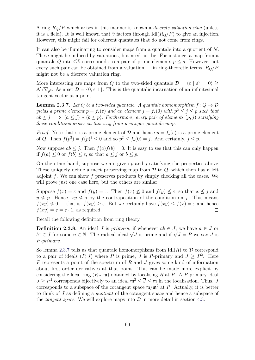A ring *RQ/P* which arises in this manner is known a *discrete valuation ring* (unless it is a field). It is well known that  $\tilde{v}$  factors through Idl( $R_Q/P$ ) to give an injection. However, this might fail for coherent quantales that do not come from rings.

It can also be illuminating to consider maps from a quantale into a quotient of  $\mathcal N$ . These might be induced by valuations, but need not be. For instance, a map from a quantale *Q* into  $\mathcal{O}\mathbb{S}$  corresponds to a pair of prime elements  $p \leq q$ . However, not every such pair can be obtained from a valuation — in ring-theoretic terms, *RQ/P* might not be a discrete valuation ring.

More interesting are maps from *Q* to the two-sided quantale  $\mathcal{D} = \langle \varepsilon | \varepsilon^2 = 0 \rangle \approx$  $\mathcal{N}/\nabla_{g^2}$ . As a set  $\mathcal{D} = \{0, \varepsilon, 1\}$ . This is the quantalic incarnation of an infinitesimal tangent vector at a point.

<span id="page-69-0"></span>**Lemma 2.3.7.** *Let Q be a two-sided quantale. A quantale homomorphism*  $f: Q \rightarrow \mathcal{D}$ *yields a prime element*  $p = f_*(\varepsilon)$  *and an element*  $j = f_*(0)$  *with*  $p^2 \leq j \leq p$  *such that*  $ab \leq j \implies (a \leq j) \vee (b \leq p)$ . Furthermore, every pair of elements  $(p, j)$  satisfying *these conditions arises in this way from a unique quantale map.*

*Proof.* Note that  $\varepsilon$  is a prime element of  $\mathcal D$  and hence  $p = f_*(\varepsilon)$  is a prime element of *Q*. Then  $f(p^2) = f(p)^2 \le 0$  and so  $p^2 \le f_*(0) = j$ . And certainly,  $j \le p$ .

Now suppose  $ab \leq j$ . Then  $f(a)f(b) = 0$ . It is easy to see that this can only happen if  $f(a) \leq 0$  or  $f(b) \leq \varepsilon$ , so that  $a \leq j$  or  $b \leq p$ .

On the other hand, suppose we are given *p* and *j* satisfying the properties above. These uniquely define a meet preserving map from D to *Q*, which then has a left adjoint *f*. We can show *f* preserves products by simply checking all the cases. We will prove just one case here, but the others are similar.

Suppose  $f(x) = \varepsilon$  and  $f(y) = 1$ . Then  $f(x) \not\leq 0$  and  $f(y) \not\leq \varepsilon$ , so that  $x \not\leq j$  and  $y \not\leq p$ . Hence,  $xy \not\leq j$  by the contraposition of the condition on *j*. This means  $f(xy) \not\leq 0$  — that is,  $f(xy) \geq \varepsilon$ . But we certainly have  $f(xy) \leq f(x) = \varepsilon$  and hence  $f(xy) = \varepsilon = \varepsilon \cdot 1$ , as required.  $\Box$ 

Recall the following definition from ring theory.

**Definition 2.3.8.** An ideal *J* is *primary*, if whenever  $ab \in J$ , we have  $a \in J$  or *b*<sup>n</sup> ∈ *J* for some  $n \in \mathbb{N}$ . The radical ideal  $\sqrt{J}$  is prime and if  $\sqrt{J} = P$  we say *J* is *P-primary*.

So lemma [2.3.7](#page-69-0) tells us that quantale homomorphisms from  $\text{Id}(R)$  to  $\mathcal D$  correspond to a pair of ideals  $(P, J)$  where P is prime, J is P-primary and  $J \geq P^2$ . Here *P* represents a point of the spectrum of *R* and *J* gives some kind of information about first-order derivatives at that point. This can be made more explicit by considering the local ring  $(R_P, \mathfrak{m})$  obtained by localising R at P. A P-primary ideal  $J \geq P^2$  corresponds bijectively to an ideal  $\mathfrak{m}^2 \leq \overline{J} \leq \mathfrak{m}$  in the localisation. Thus, *J* corresponds to a subspace of the cotangent space  $m/m^2$  at *P*. Actually, it is better to think of *J* as defining a *quotient* of the cotangent space and hence a subspace of the *tangent space*. We will explore maps into  $\mathcal{D}$  in more detail in section [4.3.](#page-101-0)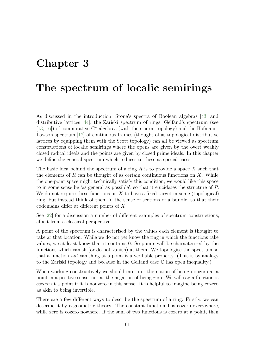## **Chapter 3**

## **The spectrum of localic semirings**

As discussed in the introduction, Stone's spectra of Boolean algebras [\[43\]](#page-108-8) and distributive lattices [\[44\]](#page-108-9), the Zariski spectrum of rings, Gelfand's spectrum (see [\[13,](#page-106-9) [16\]](#page-107-1)) of commutative  $C^*$ -algebras (with their norm topology) and the Hofmann– Lawson spectrum [\[17\]](#page-107-7) of continuous frames (thought of as topological distributive lattices by equipping them with the Scott topology) can all be viewed as spectrum constructions of localic semirings where the opens are given by the overt weakly closed radical ideals and the points are given by closed prime ideals. In this chapter we define the general spectrum which reduces to these as special cases.

The basic idea behind the spectrum of a ring *R* is to provide a space *X* such that the elements of *R* can be thought of as certain continuous functions on *X*. While the one-point space might technically satisfy this condition, we would like this space to in some sense be 'as general as possible', so that it elucidates the structure of *R*. We do not require these functions on *X* to have a fixed target in some (topological) ring, but instead think of them in the sense of sections of a bundle, so that their codomains differ at different points of *X*.

See [\[22\]](#page-107-8) for a discussion a number of different examples of spectrum constructions, albeit from a classical perspective.

A point of the spectrum is characterised by the values each element is thought to take at that location. While we do not yet know the ring in which the functions take values, we at least know that it contains 0. So points will be characterised by the functions which vanish (or do not vanish) at them. We topologise the spectrum so that a function *not* vanishing at a point is a verifiable property. (This is by analogy to the Zariski topology and because in the Gelfand case C has open inequality.)

When working constructively we should interpret the notion of being nonzero at a point in a positive sense, not as the negation of being zero. We will say a function is *cozero* at a point if it is nonzero in this sense. It is helpful to imagine being cozero as akin to being invertible.

There are a few different ways to describe the spectrum of a ring. Firstly, we can describe it by a geometric theory. The constant function 1 is cozero everywhere, while zero is cozero nowhere. If the sum of two functions is cozero at a point, then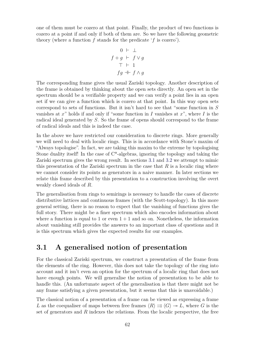one of them must be cozero at that point. Finally, the product of two functions is cozero at a point if and only if both of them are. So we have the following geometric theory (where a function  $f$  stands for the predicate  $'f$  is cozero').

$$
0 \vdash \bot
$$
  

$$
f + g \vdash f \lor g
$$
  

$$
\top \vdash 1
$$
  

$$
fg \dashv f \land g
$$

The corresponding frame gives the usual Zariski topology. Another description of the frame is obtained by thinking about the open sets directly. An open set in the spectrum should be a verifiable property and we can verify a point lies in an open set if we can give a function which is cozero at that point. In this way open sets correspond to sets of functions. But it isn't hard to see that "some function in *S* vanishes at *x*" holds if and only if "some function in *I* vanishes at *x*", where *I* is the radical ideal generated by *S*. So the frame of opens should correspond to the frame of radical ideals and this is indeed the case.

In the above we have restricted our consideration to discrete rings. More generally we will need to deal with localic rings. This is in accordance with Stone's maxim of "Always topologise". In fact, we are taking this maxim to the extreme by topologising Stone duality itself! In the case of  $C^*$ -algebras, ignoring the topology and taking the Zariski spectrum gives the wrong result. In sections [3.1](#page-71-0) and [3.2](#page-72-0) we attempt to mimic this presentation of the Zariski spectrum in the case that *R* is a localic ring where we cannot consider its points as generators in a naive manner. In later sections we relate this frame described by this presentation to a construction involving the overt weakly closed ideals of *R*.

The generalisation from rings to semirings is necessary to handle the cases of discrete distributive lattices and continuous frames (with the Scott-topology). In this more general setting, there is no reason to expect that the vanishing of functions gives the full story. There might be a finer spectrum which also encodes information about where a function is equal to 1 or even  $1 + 1$  and so on. Nonetheless, the information about vanishing still provides the answers to an important class of questions and it is this spectrum which gives the expected results for our examples.

## <span id="page-71-0"></span>**3.1 A generalised notion of presentation**

For the classical Zariski spectrum, we construct a presentation of the frame from the elements of the ring. However, this does not take the topology of the ring into account and it isn't even an option for the spectrum of a localic ring that does not have enough points. We will generalise the notion of presentation to be able to handle this. (An unfortunate aspect of the generalisation is that there might not be any frame satisfying a given presentation, but it seems that this is unavoidable.)

The classical notion of a presentation of a frame can be viewed as expressing a frame L as the coequaliser of maps between free frames  $\langle R \rangle \rightrightarrows \langle G \rangle \rightarrow L$ , where G is the set of generators and *R* indexes the relations. From the localic perspective, the free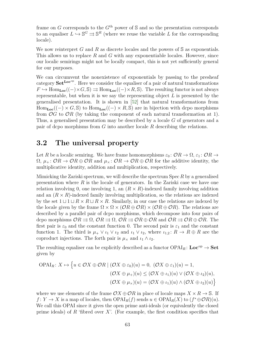frame on *G* corresponds to the  $G<sup>th</sup>$  power of S and so the presentation corresponds to an equaliser  $L \hookrightarrow \mathbb{S}^G \rightrightarrows \mathbb{S}^R$  (where we reuse the variable *L* for the corresponding locale).

We now reinterpret *G* and *R* as discrete locales and the powers of S as exponentials. This allows us to replace *R* and *G* with any exponentiable locales. However, since our localic semirings might not be locally compact, this is not yet sufficiently general for our purposes.

We can circumvent the nonexistence of exponentials by passing to the presheaf category  $\textbf{Set}^{\textbf{Loc}^{op}}$ . Here we consider the equaliser of a pair of natural transformations  $F \hookrightarrow \text{Hom}_{\text{Loc}}((-)\times G, \mathbb{S}) \rightrightarrows \text{Hom}_{\text{Loc}}((-)\times R, \mathbb{S})$ . The resulting functor is not always representable, but when it is we say the representing object *L* is presented by the generalised presentation. It is shown in [\[52\]](#page-109-0) that natural transformations from  $Hom_{Loc}((-) \times G, \mathbb{S})$  to  $Hom_{Loc}((-) \times R, \mathbb{S})$  are in bijection with dcpo morphisms from  $\mathcal{O}G$  to  $\mathcal{O}R$  (by taking the component of each natural transformation at 1). Thus, a generalised presentation may be described by a locale *G* of generators and a pair of dcpo morphisms from *G* into another locale *R* describing the relations.

### <span id="page-72-0"></span>**3.2 The universal property**

Let *R* be a localic semiring. We have frame homomorphisms  $\varepsilon_0$ :  $\mathcal{O}R \to \Omega$ ,  $\varepsilon_1$ :  $\mathcal{O}R \to$  $\Omega$ ,  $\mu_+$ :  $\mathcal{O}R \to \mathcal{O}R \oplus \mathcal{O}R$  and  $\mu_\times$ :  $\mathcal{O}R \to \mathcal{O}R \oplus \mathcal{O}R$  for the additive identity, the multiplicative identity, addition and multiplication, respectively.

Mimicking the Zariski spectrum, we will describe the spectrum Spec *R* by a generalised presentation where *R* is the locale of generators. In the Zariski case we have one relation involving 0, one involving 1, an  $(R \times R)$ -indexed family involving addition and an  $(R \times R)$ -indexed family involving multiplication, so the relations are indexed by the set  $1 \sqcup 1 \sqcup R \times R \sqcup R \times R$ . Similarly, in our case the relations are indexed by the locale given by the frame  $\Omega \times \Omega \times (\mathcal{O}R \oplus \mathcal{O}R) \times (\mathcal{O}R \oplus \mathcal{O}R)$ . The relations are described by a parallel pair of dcpo morphisms, which decompose into four pairs of dcpo morphisms  $OR \rightrightarrows \Omega$ ,  $OR \rightrightarrows \Omega$ ,  $OR \rightrightarrows \mathcal{O}R \oplus \mathcal{O}R$  and  $OR \rightrightarrows \mathcal{O}R \oplus \mathcal{O}R$ . The first pair is  $\varepsilon_0$  and the constant function 0. The second pair is  $\varepsilon_1$  and the constant function 1. The third is  $\mu_+ \vee \iota_1 \vee \iota_2$  and  $\iota_1 \vee \iota_2$ , where  $\iota_{1,2} : R \to R \oplus R$  are the coproduct injections. The forth pair is  $\mu_{\times}$  and  $\iota_1 \wedge \iota_2$ .

The resulting equaliser can be explicitly described as a functor  $OPAI_R$ :  $Loc^{op} \rightarrow Set$ given by

$$
\text{OPAI}_{R}: X \mapsto \left\{ u \in \mathcal{O}X \oplus \mathcal{O}R \mid (\mathcal{O}X \oplus \varepsilon_{0})(u) = 0, \ (\mathcal{O}X \oplus \varepsilon_{1})(u) = 1, (\mathcal{O}X \oplus \mu_{+})(u) \leq (\mathcal{O}X \oplus \iota_{1})(u) \vee (\mathcal{O}X \oplus \iota_{2})(u), (\mathcal{O}X \oplus \mu_{\times})(u) = (\mathcal{O}X \oplus \iota_{1})(u) \wedge (\mathcal{O}X \oplus \iota_{2})(u) \right\}
$$

where we use elements of the frame  $\mathcal{O}X \oplus \mathcal{O}R$  in place of locale maps  $X \times R \to \mathbb{S}$ . If  $f: Y \to X$  is a map of locales, then  $OPAI_R(f)$  sends  $u \in OPAI_R(X)$  to  $(f^* \oplus \mathcal{O}R)(u)$ . We call this OPAI since it gives the open prime anti-ideals (or equivalently the closed prime ideals) of *R* 'fibred over *X*'. (For example, the first condition specifies that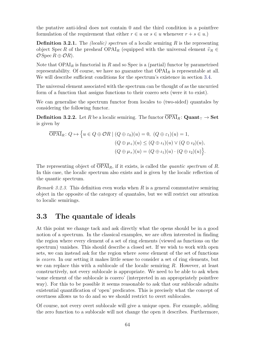the putative anti-ideal does not contain 0 and the third condition is a pointfree formulation of the requirement that either  $r \in u$  or  $s \in u$  whenever  $r + s \in u$ .)

**Definition 3.2.1.** The *(localic) spectrum* of a localic semiring *R* is the representing object Spec *R* of the presheaf  $OPAI_R$  (equipped with the universal element  $\tilde{v}_R \in$  $\mathcal{O}$  Spec  $R \oplus \mathcal{O}R$ ).

Note that  $OPAI<sub>R</sub>$  is functorial in *R* and so Spec is a (partial) functor by parametrised representability. Of course, we have no guarantee that OPAI*<sup>R</sup>* is representable at all. We will describe sufficient conditions for the spectrum's existence in section [3.4.](#page-76-0)

The universal element associated with the spectrum can be thought of as the uncurried form of a function that assigns functions to their cozero sets (were it to exist).

We can generalise the spectrum functor from locales to (two-sided) quantales by considering the following functor.

**Definition 3.2.2.** Let *R* be a localic semiring. The functor  $\overline{OPAI}_R$ :  $\textbf{Quant}_{\top} \to \textbf{Set}$ is given by

$$
\overline{\text{OPAI}}_R: Q \mapsto \left\{ u \in Q \oplus \mathcal{O}R \mid (Q \oplus \varepsilon_0)(u) = 0, \ (Q \oplus \varepsilon_1)(u) = 1, \right. \\
 (Q \oplus \mu_+)(u) \leq (Q \oplus \iota_1)(u) \vee (Q \oplus \iota_2)(u), \newline (Q \oplus \mu_\times)(u) = (Q \oplus \iota_1)(u) \cdot (Q \oplus \iota_2)(u) \right\}.
$$

The representing object of  $\overline{OPAI}_{R}$ , if it exists, is called the *quantic spectrum* of *R*. In this case, the localic spectrum also exists and is given by the localic reflection of the quantic spectrum.

*Remark 3.2.3.* This definition even works when *R* is a general commutative semiring object in the opposite of the category of quantales, but we will restrict our attention to localic semirings.

### <span id="page-73-0"></span>**3.3 The quantale of ideals**

At this point we change tack and ask directly what the opens should be in a good notion of a spectrum. In the classical examples, we are often interested in finding the region where every element of a set of ring elements (viewed as functions on the spectrum) vanishes. This should describe a closed set. If we wish to work with open sets, we can instead ask for the region where *some* element of the set of functions is *cozero*. In our setting it makes little sense to consider a set of ring elements, but we can replace this with a sublocale of the localic semiring *R*. However, at least constructively, not every sublocale is appropriate. We need to be able to ask when 'some element of the sublocale is cozero' (interpreted in an appropriately pointfree way). For this to be possible it seems reasonable to ask that our sublocale admits existential quantification of 'open' predicates. This is precisely what the concept of overtness allows us to do and so we should restrict to overt sublocales.

Of course, not every overt sublocale will give a unique open. For example, adding the zero function to a sublocale will not change the open it describes. Furthermore,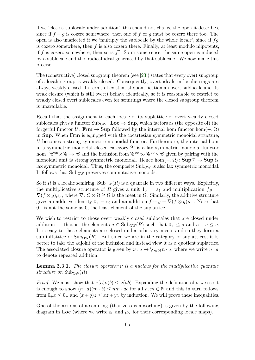if we 'close a sublocale under addition', this should not change the open it describes, since if  $f + q$  is cozero somewhere, then one of f or q must be cozero there too. The open is also unaffected if we 'multiply the sublocale by the whole locale', since if *fg* is cozero somewhere, then *f* is also cozero there. Finally, at least modulo nilpotents, if  $f$  is cozero somewhere, then so is  $f^2$ . So in some sense, the same open is induced by a sublocale and the 'radical ideal generated by that sublocale'. We now make this precise.

The (constructive) closed subgroup theorem (see [\[23\]](#page-107-0)) states that every overt subgroup of a localic group is weakly closed. Consequently, overt ideals in localic rings are always weakly closed. In terms of existential quantification an overt sublocale and its weak closure (which is still overt) behave identically, so it is reasonable to restrict to weakly closed overt sublocales even for semirings where the closed subgroup theorem is unavailable.

Recall that the assignment to each locale of its suplattice of overt weakly closed sublocales gives a functor  $Sub_{OW} : Loc \rightarrow Sup$ , which factors as (the opposite of) the forgetful functor  $U: \mathbf{Frm} \to \mathbf{Sup}$  followed by the internal hom functor hom $(-, \Omega)$ in **Sup**. When **Frm** is equipped with the cocartesian symmetric monoidal structure, *U* becomes a strong symmetric monoidal functor. Furthermore, the internal hom in a symmetric monoidal closed category  $\mathscr C$  is a lax symmetric monoidal functor hom:  $\mathscr{C}^{\text{op}} \times \mathscr{C} \to \mathscr{C}$  and the inclusion from  $\mathscr{C}^{\text{op}}$  to  $\mathscr{C}^{\text{op}} \times \mathscr{C}$  given by pairing with the monoidal unit is strong symmetric monoidal. Hence  $hom(-, \Omega)$ :  $\text{Sup}^{\text{op}} \to \text{Sup}$  is lax symmetric monoidal. Thus, the composite  $\text{Sub}_\text{OW}$  is also lax symmetric monoidal. It follows that  $\text{Sub}_{OW}$  preserves commutative monoids.

So if *R* is a localic semiring,  $\text{Sub}_{\text{OW}}(R)$  is a quantale in two different ways. Explicitly, the multiplicative structure of *R* gives a unit  $1_x = \varepsilon_1$  and multiplication  $fg =$  $\nabla(f\otimes g)\mu_{\times}$ , where  $\nabla: \Omega\otimes\Omega \cong \Omega$  is the meet in  $\Omega$ . Similarly, the additive structure gives an additive identity  $0_+ = \varepsilon_0$  and an addition  $f + g = \nabla (f \otimes g) \mu_+$ . Note that  $0<sub>+</sub>$  is not the same as 0, the least element of the suplattice.

We wish to restrict to those overt weakly closed sublocales that are closed under addition — that is, the elements  $a \in Sub_{OW}(R)$  such that  $0_+ \le a$  and  $a + a \le a$ . It is easy to these elements are closed under arbitrary meets and so they form a sub-inflattice of  $\text{Sub}_{OW}(R)$ . But since we are in the category of suplattices, it is better to take the adjoint of the inclusion and instead view it as a quotient suplattice. The associated closure operator is given by  $\nu: a \mapsto \bigvee_{n \in \mathbb{N}} n \cdot a$ , where we write  $n \cdot a$ to denote repeated addition.

**Lemma 3.3.1.** *The closure operator*  $\nu$  *is a nucleus for the multiplicative quantale structure on*  $\text{Sub}_{\text{OW}}(R)$ .

*Proof.* We must show that  $\nu(a)\nu(b) \leq \nu(ab)$ . Expanding the definition of  $\nu$  we see it is enough to show  $(n \cdot a)(m \cdot b) \leq nm \cdot ab$  for all  $n, m \in \mathbb{N}$  and this in turn follows from  $0_+x \leq 0_+$  and  $(x+y)z \leq xz + yz$  by induction. We will prove these inequalities.

One of the axioms of a semiring (that zero is absorbing) is given by the following diagram in **Loc** (where we write  $\varepsilon_0$  and  $\mu_\times$  for their corresponding locale maps).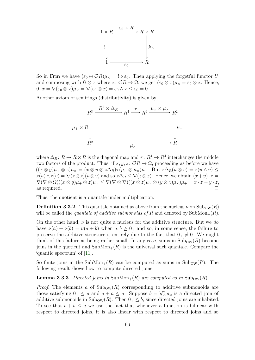

So in **Frm** we have  $(\varepsilon_0 \oplus \mathcal{O}R)\mu_{\times} = ! \circ \varepsilon_0$ . Then applying the forgetful functor *U* and composing with  $\Omega \otimes x$  where  $x: \mathcal{O}R \to \Omega$ , we get  $(\varepsilon_0 \otimes x)\mu_x = \varepsilon_0 \otimes x$ . Hence,  $0_+x = \nabla(\varepsilon_0 \otimes x)\mu_{\times} = \nabla(\varepsilon_0 \otimes x) = \varepsilon_0 \wedge x \leq \varepsilon_0 = 0_+.$ 

Another axiom of semirings (distributivity) is given by



where  $\Delta_R: R \to R \times R$  is the diagonal map and  $\tau: R^4 \to R^4$  interchanges the middle two factors of the product. Thus, if  $x, y, z \colon \mathcal{O} \mathbb{R} \to \Omega$ , proceeding as before we have  $((x \otimes y)\mu_+ \otimes z)\mu_x = (x \otimes y \otimes z\Delta_R)\tau(\mu_x \otimes \mu_x)\mu_+$ . But  $z\Delta_R(u \otimes v) = z(u \wedge v) \leq$  $z(u) \wedge z(v) = \nabla(z \otimes z)(u \otimes v)$  and so  $z\Delta_R \leq \nabla(z \otimes z)$ . Hence, we obtain  $(x+y) \cdot z =$  $\nabla(\nabla \otimes \Omega)((x \otimes y)\mu_+ \otimes z)\mu_{\times} \leq \nabla(\nabla \otimes \nabla)((x \otimes z)\mu_{\times} \otimes (y \otimes z)\mu_{\times})\mu_+ = x \cdot z + y \cdot z,$ as required.

Thus, the quotient is a quantale under multiplication.

**Definition 3.3.2.** This quantale obtained as above from the nucleus  $\nu$  on  $\text{Sub}_{\text{OW}}(R)$ will be called the *quantale of additive submonoids of*  $R$  and denoted by  $\text{SubMon}_{+}(R)$ .

On the other hand, *ν* is not quite a nucleus for the additive structure. But we *do* have  $\nu(a) + \nu(b) = \nu(a+b)$  when  $a, b \geq 0_+$  and so, in some sense, the failure to preserve the additive structure is entirely due to the fact that  $0_+ \neq 0$ . We might think of this failure as being rather small. In any case, sums in  $\text{Sub}_{\text{OW}}(R)$  become joins in the quotient and  $SubMon_{+}(R)$  is the universal such quantale. Compare the 'quantic spectrum' of [\[11\]](#page-106-0).

So finite joins in the SubMon<sub>+</sub> $(R)$  can be computed as sums in Sub<sub>OW</sub> $(R)$ . The following result shows how to compute directed joins.

**Lemma 3.3.3.** *Directed joins in* SubMon<sub>+</sub> $(R)$  *are computed as in* Sub<sub>OW</sub> $(R)$ *.* 

*Proof.* The elements *a* of  $\text{Sub}_{\text{OW}}(R)$  corresponding to additive submonoids are those satisfying  $0_+ \le a$  and  $a + a \le a$ . Suppose  $b = \bigvee_{\alpha}^{\uparrow} a_{\alpha}$  is a directed join of additive submonoids in  $\text{Sub}_{\text{OW}}(R)$ . Then  $0_+ \leq b$ , since directed joins are inhabited. To see that  $b + b \le a$  we use the fact that whenever a function is bilinear with respect to directed joins, it is also linear with respect to directed joins and so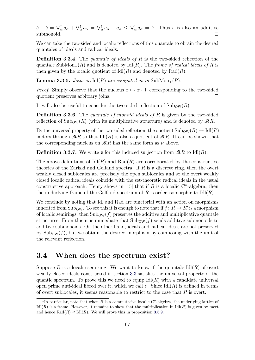$b + b = \sqrt{\alpha} a_{\alpha} + \sqrt{\alpha} a_{\alpha} = \sqrt{\alpha} a_{\alpha} + a_{\alpha} \leq \sqrt{\alpha} a_{\alpha} = b$ . Thus *b* is also an additive submonoid.  $\Box$ 

We can take the two-sided and localic reflections of this quantale to obtain the desired quantales of ideals and radical ideals.

**Definition 3.3.4.** The *quantale of ideals of R* is the two-sided reflection of the quantale SubMon<sub>+</sub> $(R)$  and is denoted by Idl $(R)$ . The *frame of radical ideals of*  $R$  is then given by the localic quotient of  $\text{Id}(R)$  and denoted by  $\text{Rad}(R)$ .

**Lemma 3.3.5.** *Joins in*  $\text{Idl}(R)$  *are computed as in*  $\text{SubMon}_{+}(R)$ *.* 

*Proof.* Simply observe that the nucleus  $x \mapsto x \cdot \top$  corresponding to the two-sided quotient preserves arbitrary joins.  $\Box$ 

It will also be useful to consider the two-sided reflection of  $\text{Sub}_{\text{OW}}(R)$ .

**Definition 3.3.6.** The *quantale of monoid ideals of R* is given by the two-sided reflection of  $\text{Sub}_{\text{OW}}(R)$  (with its multiplicative structure) and is denoted by  $\mathcal{M}R$ .

By the universal property of the two-sided reflection, the quotient  $\text{Sub}_{\text{OW}}(R) \rightarrow \text{Id}(R)$ factors through  $MR$  so that  $\text{Id}(R)$  is also a quotient of  $MR$ . It can be shown that the corresponding nucleus on  $MR$  has the same form as  $\nu$  above.

**Definition 3.3.7.** We write  $\boldsymbol{\epsilon}$  for this induced surjection from  $\mathcal{M}R$  to Idl $(R)$ .

The above definitions of  $\text{Id}(R)$  and  $\text{Rad}(R)$  are corroborated by the constructive theories of the Zariski and Gelfand spectra. If *R* is a discrete ring, then the overt weakly closed sublocales are precisely the open sublocales and so the overt weakly closed localic radical ideals coincide with the set-theoretic radical ideals in the usual constructive approach. Henry shows in [\[15\]](#page-107-1) that if *R* is a localic  $C^*$ -algebra, then the underlying frame of the Gelfand spectrum of  $R$  is order isomorphic to  $\text{Id}((R)$ <sup>[1](#page-76-1)</sup>

We conclude by noting that Idl and Rad are functorial with an action on morphisms inherited from Sub<sub>OW</sub>. To see this it is enough to note that if  $f: R \to R'$  is a morphism of localic semirings, then  $\text{Sub}_{\text{OW}}(f)$  preserves the additive and multiplicative quantale structures. From this it is immediate that  $\text{Sub}_{\text{OW}}(f)$  sends additive submonoids to additive submonoids. On the other hand, ideals and radical ideals are not preserved by  $\text{Sub}_{\text{OW}}(f)$ , but we obtain the desired morphism by composing with the unit of the relevant reflection.

#### <span id="page-76-0"></span>**3.4 When does the spectrum exist?**

Suppose  $R$  is a localic semiring. We want to know if the quantale  $\text{Id}(R)$  of overt weakly closed ideals constructed in section [3.3](#page-73-0) satisfies the universal property of the quantic spectrum. To prove this we need to equip  $\text{Id}(R)$  with a candidate universal open prime anti-ideal fibred over it, which we call  $v$ . Since  $\text{Id}(R)$  is defined in terms of overt sublocales, it seems reasonable to restrict to the case that *R* is overt.

<span id="page-76-1"></span><sup>&</sup>lt;sup>1</sup>In particular, note that when *R* is a commutative localic  $C^*$ -algebra, the underlying lattice of  $\text{Id}(R)$  is a frame. However, it remains to show that the multiplication in  $\text{Id}(R)$  is given by meet and hence  $\text{Rad}(R) \cong \text{Id}(R)$ . We will prove this in proposition [3.5.9.](#page-89-0)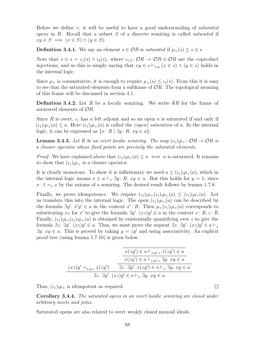Before we define *υ*, it will be useful to have a good understanding of *saturated opens* in *R*. Recall that a subset *S* of a discrete semiring is called *saturated* if  $xy \in S \implies (x \in S) \land (y \in S).$ 

**Definition 3.4.1.** We say an element  $s \in \mathcal{O}R$  is *saturated* if  $\mu_{\times}(s) \leq s \oplus s$ .

Note that  $s \oplus s = \iota_1(s) \wedge \iota_2(s)$ , where  $\iota_{1,2}: \mathcal{O}R \to \mathcal{O}R \oplus \mathcal{O}R$  are the coproduct injections, and so this is simply saying that  $xy \in s \vdash_{x,y} (x \in s) \land (y \in s)$  holds in the internal logic.

Since  $\mu_{\times}$  is commutative, it is enough to require  $\mu_{\times}(s) \leq \iota_1(s)$ . From this it is easy to see that the saturated elements form a subframe of O*R*. The topological meaning of this frame will be discussed in section [4.1.](#page-92-0)

**Definition 3.4.2.** Let *R* be a localic semiring. We write S*R* for the frame of saturated elements of O*R*.

Since *R* is overt,  $\iota_1$  has a left adjoint and so an open *a* is saturated if and only if  $(\iota_1)_{!\mu_\times}(a) \leq a$ . Here  $(\iota_1)_{!\mu_\times}(a)$  is called the *(open) saturation* of *a*. In the internal logic, it can be expressed as  $\{x: R \mid \exists y: R. xy \in a\}.$ 

<span id="page-77-0"></span>**Lemma 3.4.3.** Let R be an overt localic semiring. The map  $(\iota_1)_{\mu \times} : \mathcal{O}R \to \mathcal{O}R$  is *a closure operator whose fixed points are precisely the saturated elements.*

*Proof.* We have explained above that  $(\iota_1)_{!}\mu_{\times}(a) \leq a \iff a$  is saturated. It remains to show that  $(\iota_1)_{\mu \times}$  is a closure operator.

It is clearly monotone. To show it is inflationary we need  $a \leq (\iota_1) \cdot \mu_*(a)$ , which in the internal logic means  $x \in a \vdash_x \exists y$ : *R. xy*  $\in a$ . But this holds for  $y = 1$ , since  $x \cdot 1 = x$  *x* by the axioms of a semiring. The desired result follows by lemma [1.7.8.](#page-51-0)

Finally, we prove idempotence. We require  $(\iota_1)_{!}\mu_{\times}(\iota_1)_{!}\mu_{\times}(a) \leq (\iota_1)_{!}\mu_{\times}(a)$ . Let us translate this into the internal logic. The open  $(\iota_1)_{,\mu_\times}(a)$  can be described by the formula  $\exists y'. x'y' \in a$  in the context  $x': R$ . Then  $\mu_{\times}(i_1) \cdot \mu_{\times}(a)$  corresponds to substituting *xz* for *x*<sup>*'*</sup> to give the formula  $\exists y'$ .  $(xz)y' \in a$  in the context *x*: *R*, *z*: *R*. Finally,  $(\iota_1)_{!\mu_{\times}}(\iota_1)_{!\mu_{\times}}(a)$  is obtained by existentially quantifying over z to give the formula  $\exists z. \exists y'. (xz)y' \in a$ . Thus, we must prove the sequent  $\exists z. \exists y'. (xz)y' \in a \vdash_x$  $\exists y. xy \in a$ . This is proved by taking  $y = zy'$  and using associativity. An explicit proof tree (using lemma [1.7.10\)](#page-52-0) is given below.

$$
(xz)y' = x, y, z \ x(zy') \in a \ \overline{x(zy') \in a \vdash_{x,y',z} x(zy') \in a}
$$
\n
$$
(xz)y' = x, y, z \ x(zy') \qquad \overline{\exists z. \exists y'. x(zy') \in a \vdash_x \exists y. xy \in a}
$$
\n
$$
\overline{\exists z. \exists y'. (xz)y' \in a \vdash_x \exists y. xy \in a}
$$

Thus,  $(\iota_1)_{\mu}$  is idempotent as required.

**Corollary 3.4.4.** *The saturated opens in an overt localic semiring are closed under arbitrary meets and joins.*

<span id="page-77-1"></span>Saturated opens are also related to overt weakly closed monoid ideals.

 $\Box$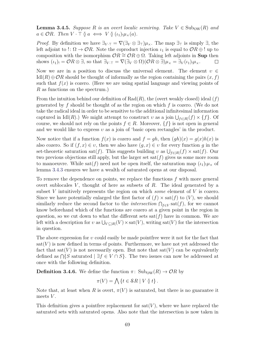**Lemma 3.4.5.** *Suppose R is an overt localic semiring. Take*  $V \in Sub_{OW}(R)$  *and*  $a \in \mathcal{O}R$ *. Then*  $V \cdot \top \mathfrak{d} \iff V \mathfrak{d}(\iota_1)_{\mu \times}(a)$ *.* 

*Proof.* By definition we have  $\exists_{V \cdot \top} = \nabla(\exists_V \otimes \exists_\top)\mu_\times$ . The map  $\exists_\top$  is simply  $\exists$ , the left adjoint to !:  $\Omega \to \mathcal{O}R$ . Note the coproduct injection  $\iota_1$  is equal to  $\mathcal{O}R \oplus !$  up to composition with the isomorphism  $\mathcal{O}R \cong \mathcal{O}R \oplus \Omega$ . Taking left adjoints in **Sup** then shows  $(\iota_1)_! = \mathcal{O}R \otimes \exists$ , so that  $\exists_{V \cdot \top} = \nabla(\exists_V \otimes \Omega)(\mathcal{O}R \otimes \exists)\mu_{\times} = \exists_V(\iota_1)_! \mu_{\times}$ .  $\Box$ 

Now we are in a position to discuss the universal element. The element  $v \in$  $\text{Id}(R) \oplus \mathcal{O}R$  should be thought of informally as the region containing the pairs  $(x, f)$ such that  $f(x)$  is cozero. (Here we are using spatial language and viewing points of *R* as functions on the spectrum.)

From the intuition behind our definition of Rad(*R*), the (overt weakly closed) ideal (*f*) generated by *f* should be thought of as the region on which *f* is cozero. (We do not take the radical ideal in order to be sensitive to the additional infinitesimal information captured in  $\text{Idl}(R)$ .) We might attempt to construct *v* as a join  $\bigcup_{f\in|R|}(f)\times\{f\}$ . Of course, we should not rely on the points  $f \in R$ . Moreover,  $\{f\}$  is not open in general and we would like to express *υ* as a join of 'basic open rectangles' in the product.

Now notice that if a function  $f(x)$  is cozero and  $f = qh$ , then  $(qh)(x) = q(x)h(x)$  is also cozero. So if  $(f, x) \in v$ , then we also have  $(g, x) \in v$  for every function g in the set-theoretic saturation sat(*f*). This suggests building *v* as  $\bigcup_{f\in|R|}(f) \times$  sat(*f*). Our two previous objections still apply, but the larger set  $\text{sat}(f)$  gives us some more room to manoeuvre. While sat(f) need not be open itself, the saturation map  $(\iota_1)_{!\mu_\times}$  of lemma [3.4.3](#page-77-0) ensures we have a wealth of saturated opens at our disposal.

To remove the dependence on points, we replace the functions *f* with more general overt sublocales  $V$ , thought of here as subsets of  $R$ . The ideal generated by a subset *V* intuitively represents the region on which *some* element of *V* is cozero. Since we have potentially enlarged the first factor of  $(f) \times \text{sat}(f)$  to  $(V)$ , we should similarly reduce the second factor to the *intersection*  $\bigcap_{f \in V} \text{sat}(f)$ , for we cannot know beforehand which of the functions are cozero at a given point in the region in question, so we cut down to what the different sets  $sat(f)$  have in common. We are left with a description for *v* as  $\bigcup_{V \subseteq |R|}(V) \times \text{sat}(V)$ , writing sat(*V*) for the intersection in question.

The above expression for *υ* could easily be made pointfree were it not for the fact that  $sat(V)$  is now defined in terms of points. Furthermore, we have not yet addressed the fact that sat( $V$ ) is not necessarily open. But note that sat( $V$ ) can be equivalently defined as  $\bigcap \{S \text{ saturated } | \exists f \in V \cap S\}$ . The two issues can now be addressed at once with the following definition.

**Definition 3.4.6.** We define the function  $\pi$ : Sub<sub>OW</sub>(*R*)  $\rightarrow$  O*R* by

$$
\pi(V) = \bigwedge \{ t \in \mathcal{S}R \mid V \between t \}.
$$

Note that, at least when *R* is overt,  $\pi(V)$  is saturated, but there is no guarantee it meets *V* .

This definition gives a pointfree replacement for  $sat(V)$ , where we have replaced the saturated sets with saturated opens. Also note that the intersection is now taken in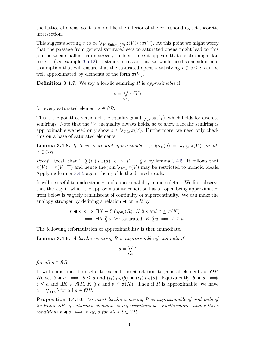the lattice of opens, so it is more like the interior of the corresponding set-theoretic intersection.

This suggests setting *v* to be  $\bigvee_{V \in \text{Sub}_{\text{OW}}(R)} \mathfrak{s}(V) \oplus \pi(V)$ . At this point we might worry that the passage from general saturated sets to saturated opens might lead to this join between smaller than necessary. Indeed, since it appears that spectra might fail to exist (see example [3.5.12\)](#page-90-0), it stands to reason that we would need some additional assumption that will ensure that the saturated opens *s* satisfying  $I \oplus s \leq v$  can be well approximated by elements of the form  $\pi(V)$ .

**Definition 3.4.7.** We say a localic semiring *R* is *approximable* if

$$
s = \bigvee_{V \between s} \pi(V)
$$

for every saturated element  $s \in \mathcal{S}R$ .

This is the point free version of the equality  $S = \bigcup_{f \in S} \text{sat}(f)$ , which holds for discrete semirings. Note that the ' $\geq$ ' inequality always holds, so to show a localic semiring is approximable we need only show  $s \leq \bigvee_{V \uparrow s} \pi(V)$ . Furthermore, we need only check this on a base of saturated elements.

<span id="page-79-1"></span>**Lemma 3.4.8.** If R is overt and approximable,  $(\iota_1)_{!}\mu_*(a) = \nabla_{V \setminus a} \pi(V)$  for all  $a \in \mathcal{O}R$ *.* 

*Proof.* Recall that  $V \nvert (t_1)_{\mu \times}(a) \iff V \cdot \top \nvert a$  by lemma [3.4.5.](#page-77-1) It follows that  $\pi(V) = \pi(V \cdot \top)$  and hence the join  $\bigvee_{V \uparrow s} \pi(V)$  may be restricted to monoid ideals. Applying lemma [3.4.5](#page-77-1) again then yields the desired result.  $\Box$ 

It will be useful to understand  $\pi$  and approximability in more detail. We first observe that the way in which the approximability condition has an open being approximated from below is vaguely reminiscent of continuity or supercontinuity. We can make the analogy stronger by defining a relation  $\triangleleft$  on  $\&$ R by

$$
t \blacktriangleleft s \iff \exists K \in \text{Subow}(R). \ K \ \emptyset \ s \text{ and } t \leq \pi(K)
$$
  

$$
\iff \exists K \ \emptyset \ s. \ \forall u \text{ saturated.} \ K \ \emptyset \ u \implies t \leq u.
$$

The following reformulation of approximability is then immediate.

**Lemma 3.4.9.** *A localic semiring R is approximable if and only if*

$$
s = \bigvee_{t \blacktriangleleft s} t
$$

*for all*  $s \in \mathcal{S}R$ *.* 

It will sometimes be useful to extend the  $\triangleleft$  relation to general elements of  $\mathcal{O}R$ . We set  $b \blacktriangleleft a \iff b \leq a$  and  $(\iota_1)_{\mu \times}(b) \blacktriangleleft (\iota_1)_{\mu \times}(a)$ . Equivalently,  $b \blacktriangleleft a \iff$ *b* ≤ *a* and ∃*K* ∈ *MR. K*  $\emptyset$  *a* and *b* ≤ *π*(*K*). Then if *R* is approximable, we have  $a = \bigvee_{b \triangleleft a} b$  for all  $a \in \mathcal{O}R$ .

<span id="page-79-0"></span>**Proposition 3.4.10.** *An overt localic semiring R is approximable if and only if its frame* S*R of saturated elements is supercontinuous. Furthermore, under these conditions*  $t \triangleleft s \iff t \ll s$  *for all*  $s, t \in \mathcal{S}R$ *.*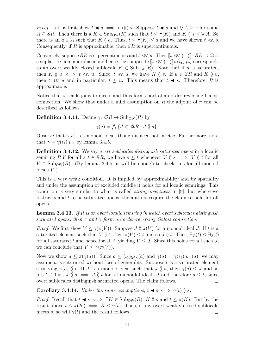*Proof.* Let us first show  $t \triangleleft s \implies t \ll s$ . Suppose  $t \triangleleft s$  and  $\forall A \geq s$  for some  $A \subseteq$  *SR*. Then there is a  $K \in$  Sub<sub>OW</sub>(*R*) such that  $t \leq \pi(K)$  and  $K \between g s \leq \forall A$ . So there is an  $a \in A$  such that  $K \mathfrak{d} a$ . Thus,  $t \leq \pi(K) \leq a$  and we have shown  $t \lll s$ . Consequently, if *R* is approximable, then S*R* is supercontinuous.

Conversely, suppose  $\mathcal{S}R$  is supercontinuous and  $t \lll s$ . Then  $\lll t \lll (-) \lll sR \rightarrow \Omega$  is a suplattice homomorphism and hence the composite  $\llbracket t \ll (-\rceil) \rrbracket \circ (\iota_1) \cdot \mu_\times$  corresponds to an overt weakly closed sublocale  $K \in Sub_{OW}(R)$ . Note that if *u* is saturated, then  $K \mathfrak{g} u \iff t \ll 1$ . Since,  $t \ll s$ , we have  $K \mathfrak{g} s$ . If  $u \in \mathcal{S}R$  and  $K \mathfrak{g} u$ , then  $t \lll u$  and in particular,  $t \leq u$ . This means that  $t \blacktriangleleft s$ . Therefore, R is approximable.  $\Box$ 

Notice that  $\pi$  sends joins to meets and thus forms part of an order-reversing Galois connection. We show that under a mild assumption on *R* the adjoint of  $\pi$  can be described as follows.

**Definition 3.4.11.** Define  $\gamma: \mathcal{O}R \to \text{Sub}_{\text{OW}}(R)$  by

 $\gamma(a) = \bigwedge \{ J \in \mathcal{M}R \mid J \between a \}.$ 

Observe that  $\gamma(a)$  is a monoid ideal, though it need not meet *a*. Furthermore, note that  $\gamma = \gamma(\iota_1) \cdot \mu_\times$  by lemma [3.4.5.](#page-77-1)

**Definition 3.4.12.** We say *overt sublocales distinguish saturated opens* in a localic semiring *R* if for all  $s, t \in \mathcal{S}R$ , we have  $s \leq t$  whenever  $V \circ s \implies V \circ t$  for all  $V \in Sub_{OW}(R)$ . (By lemma [3.4.5,](#page-77-1) it will be enough to check this for all monoid ideals *V* .)

This is a very weak condition. It is implied by approximability and by spatiality and under the assumption of excluded middle it holds for all localic semirings. This condition is very similar to what is called *strong overtness* in [\[9\]](#page-106-1), but where we restrict *s* and *t* to be saturated opens, the authors require the claim to hold for all opens.

<span id="page-80-0"></span>**Lemma 3.4.13.** *If R is an overt localic semiring in which overt sublocales distinguish saturated opens, then*  $\pi$  *and*  $\gamma$  *form an order-reversing Galois connection.* 

*Proof.* We first show  $V \leq \gamma(\pi(V))$ . Suppose  $J \mathfrak{g}(\pi(V))$  for a monoid ideal *J*. If *t* is a saturated element such that *V*  $\delta$  *t*, then  $\pi$ (*V*)  $\leq$  *t* and so *J*  $\delta$  *t*. Thus,  $\exists$ <sub>*V*</sub>(*t*)  $\leq$   $\exists$ <sub>*J*</sub>(*t*) for all saturated *t* and hence for all *t*, yielding  $V \leq J$ . Since this holds for all such *J*, we can conclude that  $V \leq \gamma(\pi(V))$ .

Now we show  $a \leq \pi(\gamma(a))$ . Since  $a \leq (\iota_1) \cdot \mu_1(\alpha)$  and  $\gamma(a) = \gamma(\iota_1) \cdot \mu_1(\alpha)$ , we may assume *a* is saturated without loss of generality. Suppose *t* is a saturated element satisfying  $\gamma(a)$   $\delta$  *t*. If *J* is a monoid ideal such that *J*  $\delta$  *a*, then  $\gamma(a) \leq J$  and so  $J \uparrow t$ . Thus,  $J \uparrow a \implies J \uparrow t$  for all monoidal ideals *J* and therefore  $a \leq t$ , since overt sublocales distinguish saturated opens. The claim follows.  $\Box$ 

<span id="page-80-1"></span>**Corollary 3.4.14.** *Under the same assumptions,*  $t \blacktriangleleft s \iff \gamma(t) \between s$ .

*Proof.* Recall that  $t \triangleleft s \iff \exists K \in \text{Sub}_{OW}(R)$ .  $K \mathfrak{d} s$  and  $t \leq \pi(K)$ . But by the result above  $t \leq \pi(K) \iff K \leq \gamma(t)$ . Thus, if any overt weakly closed sublocale meets *s*, so will  $\gamma(t)$  and the result follows.  $\Box$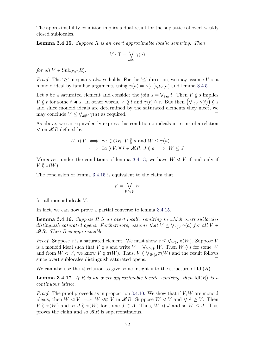The approximability condition implies a dual result for the suplattice of overt weakly closed sublocales.

<span id="page-81-0"></span>**Lemma 3.4.15.** *Suppose R is an overt approximable localic semiring. Then*

$$
V \cdot \top = \bigvee_{a \between V} \gamma(a)
$$

*for all*  $V \in Sub_{OW}(R)$ *.* 

*Proof.* The '>' inequality always holds. For the '<' direction, we may assume V is a monoid ideal by familiar arguments using  $\gamma(a) = \gamma(\iota_1) \cdot \mu_1(\iota_2)$  and lemma [3.4.5.](#page-77-1)

Let *s* be a saturated element and consider the join  $s = \bigvee_{t \le s} t$ . Then *V*  $\check{Q}$  *s* implies  $V \circ t$  for some  $t \triangleleft s$ . In other words,  $V \circ t$  and  $\gamma(t) \circ s$ . But then  $(V_{t\circ V} \gamma(t)) \circ s$ and since monoid ideals are determined by the saturated elements they meet, we may conclude  $V \leq \bigvee_{a \between V} \gamma(a)$  as required.  $\Box$ 

As above, we can equivalently express this condition on ideals in terms of a relation  $\triangleleft$  on  $MR$  defined by

$$
W \lhd V \iff \exists a \in \mathcal{O}R. \ V \mathbin{\S} a \text{ and } W \le \gamma(a)
$$
  

$$
\iff \exists a \mathbin{\S} V. \ \forall J \in \mathcal{M}R. \ J \mathbin{\S} a \implies W \le J.
$$

Moreover, under the conditions of lemma [3.4.13,](#page-80-0) we have  $W \triangleleft V$  if and only if  $V \uparrow \mathcal{I}$   $\pi(W)$ .

The conclusion of lemma [3.4.15](#page-81-0) is equivalent to the claim that

$$
V=\bigvee_{W\lhd V}W
$$

for all monoid ideals *V* .

In fact, we can now prove a partial converse to lemma [3.4.15.](#page-81-0)

**Lemma 3.4.16.** *Suppose R is an overt localic semiring in which overt sublocales distinguish saturated opens. Furthermore, assume that*  $V \leq V_{a\delta V} \gamma(a)$  *for all*  $V \in$ M*R. Then R is approximable.*

*Proof.* Suppose *s* is a saturated element. We must show  $s \leq \bigvee_{W \S s} \pi(W)$ . Suppose *V* is a monoid ideal such that *V*  $\check{Q}$  *s* and write  $V = V_{W \lhd V}W$ . Then  $W \check{Q}$  *s* for some *W* and from  $W \triangleleft V$ , we know  $V \stackrel{\sim}{\mathfrak{g}} \pi(W)$ . Thus,  $V \stackrel{\sim}{\mathfrak{g}} V_{W \mathfrak{g} s} \pi(W)$  and the result follows since overt sublocales distinguish saturated opens.  $\Box$ 

We can also use the  $\triangleleft$  relation to give some insight into the structure of  $\text{Id}(R)$ .

**Lemma 3.4.17.** If  $R$  is an overt approximable localic semiring, then  $\text{Id}(R)$  is a *continuous lattice.*

*Proof.* The proof proceeds as in proposition [3.4.10.](#page-79-0) We show that if *V, W* are monoid ideals, then  $W \triangleleft V \implies W \ll V$  in  $MR$ . Suppose  $W \triangleleft V$  and  $\forall A \geq V$ . Then  $V \between \pi(W)$  and so  $J \between \pi(W)$  for some  $J \in A$ . Thus,  $W \triangleleft J$  and so  $W \leq J$ . This proves the claim and so M*R* is supercontinuous.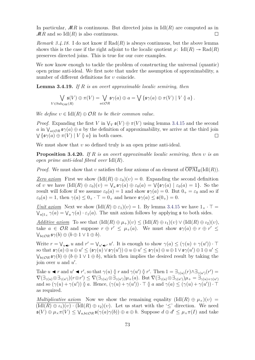In particular,  $MR$  is continuous. But directed joins in  $IdI(R)$  are computed as in  $MR$  and so Idl $(R)$  is also continuous.  $\Box$ 

*Remark 3.4.18.* I do not know if  $Rad(R)$  is always continuous, but the above lemma shows this is the case if the right adjoint to the localic quotient  $\rho$ : Idl $(R) \rightarrow \text{Rad}(R)$ preserves directed joins. This is true for our core examples.

We now know enough to tackle the problem of constructing the universal (quantic) open prime anti-ideal. We first note that under the assumption of approximability, a number of different definitions for *υ* coincide.

**Lemma 3.4.19.** *If R is an overt approximable localic semiring, then*

$$
\bigvee_{V \in \text{Sub}_{\text{OW}}(R)} \mathfrak{s}(V) \oplus \pi(V) = \bigvee_{a \in \mathcal{O}R} \mathfrak{s}\gamma(a) \oplus a = \bigvee \{\mathfrak{s}\gamma(a) \oplus \pi(V) \mid V \circ a\}.
$$

*We define*  $v \in \text{Idl}(R) \oplus \mathcal{O}R$  *to be their common value.* 

*Proof.* Expanding the first *V* in  $\forall$ *V*  $\mathfrak{s}(V) \oplus \pi(V)$  using lemma [3.4.15](#page-81-0) and the second *a* in  $\bigvee_{a \in \mathcal{O}R} \mathfrak{s}\gamma(a) \oplus a$  by the definition of approximability, we arrive at the third join  $\bigvee \{\mathfrak{s}\gamma(a) \oplus \pi(V) \mid V \mathfrak{g} \}$  in both cases.  $\Box$ 

We must show that *v* so defined truly is an open prime anti-ideal.

**Proposition 3.4.20.** *If R is an overt approximable localic semiring, then υ is an open prime anti-ideal fibred over* Idl(*R*)*.*

*Proof.* We must show that *v* satisfies the four axioms of an element of  $\overline{OPAI}_R(\text{Idl}(R))$ .

*Zero axiom* First we show  $(\text{Idl}(R) \oplus \varepsilon_0)(v) = 0$ . Expanding the second definition of *v* we have  $(\text{Idl}(R) \oplus \varepsilon_0)(v) = \bigvee_a \mathfrak{s}\gamma(a) \oplus \varepsilon_0(a) = \bigvee \{\mathfrak{s}\gamma(a) \mid \varepsilon_0(a) = 1\}.$  So the result will follow if we assume  $\varepsilon_0(a) = 1$  and show  $\mathfrak{s}\gamma(a) = 0$ . But  $0_+ = \varepsilon_0$  and so if  $\varepsilon_0(a) = 1$ , then  $\gamma(a) \leq 0_+ \cdot \top = 0_+$  and hence  $\mathfrak{s}\gamma(a) \leq \mathfrak{s}(0_+) = 0$ .

*<u>Unit axiom</u>* Next we show  $(\text{Id}(R) \oplus \varepsilon_1)(v) = 1$ . By lemma [3.4.15](#page-81-0) we have  $1_{\times} \cdot \top =$  $\bigvee_{a \&1} \gamma(a) = \bigvee_a \gamma(a) \cdot \varepsilon_1(a)$ . The unit axiom follows by applying **s** to both sides.

*Additive axiom* To see that  $(\text{Id}(R) \oplus \mu_+)(v) < (\text{Id}(R) \oplus \iota_1)(v) \vee (\text{Id}(R) \oplus \iota_2)(v)$ , take  $a \in \mathcal{O}R$  and suppose  $r \oplus r' \leq \mu_+(a)$ . We must show  $\mathfrak{s}\gamma(a) \oplus r \oplus r' \leq$  $\bigvee_{b\in\mathcal{O}R}$   $\mathfrak{s}\gamma(b)\oplus(b\oplus1\vee1\oplus b).$ 

Write  $r = \bigvee_{u \in \mathcal{F}} u$  and  $r' = \bigvee_{u' \in \mathcal{F}'} u'$ . It is enough to show  $\gamma(a) \leq (\gamma(u) + \gamma(u')) \cdot \top$  $\mathfrak{so}$  that  $\mathfrak{s}\gamma(a)\oplus u\oplus u' \leq (\mathfrak{s}\gamma(u)\vee \mathfrak{s}\gamma(u'))\oplus u\oplus u' \leq \mathfrak{s}\gamma(u)\oplus u\oplus 1\vee \mathfrak{s}\gamma(u')\oplus 1\oplus u' \leq 0$  $\bigvee_{b \in \mathcal{O}R} \mathfrak{s} \gamma(b) \oplus (b \oplus 1 \vee 1 \oplus b)$ , which then implies the desired result by taking the join over  $u$  and  $u'$ .

Take  $u \blacktriangleleft r$  and  $u' \blacktriangleleft r'$ , so that  $\gamma(u) \varnothing r$  and  $\gamma(u') \varnothing r'$ . Then  $1 = \exists_{\gamma(u)}(r) \wedge \exists_{\gamma(u')}(r') =$  $\nabla (\exists_{\gamma(u)} \otimes \exists_{\gamma(u')})(r \otimes r') \leq \nabla (\exists_{\gamma(u)} \otimes \exists_{\gamma(u')})\mu_{+}(a).$  But  $\nabla (\exists_{\gamma(u)} \otimes \exists_{\gamma(u')})\mu_{+} = \exists_{\gamma(u)+\gamma(u')}$ and so  $(\gamma(u) + \gamma(u'))$   $\emptyset$  *a*. Hence,  $(\gamma(u) + \gamma(u')) \cdot \top \emptyset$  *a* and  $\gamma(a) \leq (\gamma(u) + \gamma(u')) \cdot \top$ as required.

*Multiplicative axiom* Now we show the remaining equality  $(\text{Id}(R) \oplus \mu_{\times})(v)$  $(\text{Idl}(R) \oplus \iota_1)(v) \cdot (\text{Idl}(R) \oplus \iota_2)(v)$ . Let us start with the ' $\leq'$  direction. We need  $\mathfrak{s}(V) \oplus \mu_{\times} \pi(V) \leq \bigvee_{a,b \in \mathcal{O}R} \mathfrak{s}(\gamma(a)\gamma(b)) \oplus a \oplus b$ . Suppose  $d \oplus d' \leq \mu_{\times} \pi(I)$  and take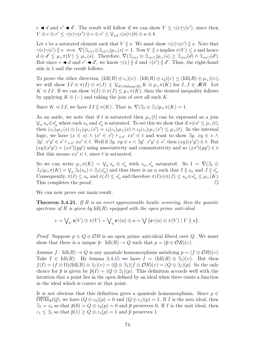$e \blacktriangleleft d$  and  $e' \blacktriangleleft d'$ . The result will follow if we can show  $V \leq \gamma(e)\gamma(e')$ , since then  $V \oplus e \oplus e' \leq \gamma(e)\gamma(e') \oplus e \oplus e' \leq \bigvee_{a,b} \gamma(a)\gamma(b) \oplus a \oplus b.$ 

Let *s* be a saturated element such that *V*  $\check{Q}$  *s*. We must show  $\gamma(e)\gamma(e')\check{Q}$  *s*. Note that  $\gamma(e)\gamma(e') \leq s \iff \nabla(\exists_{\gamma(e)} \otimes \exists_{\gamma(e')})\mu_{\times}(s) = 1.$  Now *V*  $\&$  *s* implies  $\pi(V) \leq s$  and hence  $d \oplus d' \leq \mu_{\times} \pi(V) \leq \mu_{\times}(s)$ . Therefore,  $\nabla (\exists_{\gamma(e)} \otimes \exists_{\gamma(e')} \mu_{\times}(s) \geq \exists_{\gamma(e)} (d) \wedge \exists_{\gamma(e')}(d').$ But since  $e \blacktriangleleft d$  and  $e' \blacktriangleleft d'$ , we know  $\gamma(e) \uparrow d$  and  $\gamma(e') \uparrow d'$ . Thus, the right-hand side is 1 and the result follows.

To prove the other direction,  $(\text{Idl}(R) \oplus \iota_1)(v) \cdot (\text{Idl}(R) \oplus \iota_2)(v) \leq (\text{Idl}(R) \oplus \mu_\times)(v)$ , we will show  $IJ \oplus \pi(I) \oplus \pi(J) \leq \bigvee_{K \in \text{Sub}_{\text{OW}}(R)} K \oplus \mu_{\times} \pi(K)$  for  $I, J \in \mathcal{M}R$ . Let *K*  $\lhd$  *IJ*. If we can show  $\pi(I) \oplus \pi(J) \leq \mu_{\times} \pi(K)$ , then the desired inequality follows by applying  $K \oplus (-)$  and taking the join of over all such K.

Since  $K \lhd IJ$ , we have  $IJ \mathbin{\delta} \pi(K)$ . That is,  $\nabla (\exists I \otimes \exists J) \mu_{\times} \pi(K) = 1$ .

As an aside, we note that if *t* is saturated then  $\mu_{\times}(t)$  can be expressed as a join  $\bigvee_{\alpha} s_{\alpha} \oplus s'_{\alpha}$  where each  $s_{\alpha}$  and  $s'_{\alpha}$  is saturated. To see this we show that if  $s \otimes s' \leq \mu_{\times}(t)$ , then  $(\iota_1)_{!\mu_\times}(s) \otimes (\iota_1)_{!\mu_\times}(s') = \iota_1(\iota_1)_{!\mu_\times}(s) \wedge \iota_2(\iota_1)_{!\mu_\times}(s') \leq \mu_\times(t)$ . In the internal logic, we have  $(x \in s) \land (x' \in s') \vdash_{x,x'} xx' \in t$  and want to show  $\exists y. xy \in s \land$  $\exists y'. x'y' \in s' \vdash_{x,x'} xx' \in t$ . Well if  $\exists y. xy \in s \land \exists y'. x'y' \in s'$ , then  $(xy)(x'y') \in t$ . But  $(xy)(x'y') = (xx')(yy')$  using associativity and commutativity and so  $(xx')(yy') \in t$ . But this means  $xx' \in t$ , since t is saturated.

So we can write  $\mu_{\times} \pi(K) = \bigvee_{\alpha} s_{\alpha} \oplus s'_{\alpha}$  with  $s_{\alpha}, s'_{\alpha}$  saturated. So  $1 = \nabla \left(\exists I \otimes S\right)$  $\exists$ *J* $)\mu_{\times} \pi(K) = \bigvee_{\alpha} \exists$ *I*(*s<sub>a</sub>*)  $\land \exists$ *J*(*s'<sub>a</sub>*) and thus there is an  $\alpha$  such that *I*  $\emptyset$  *s<sub>a</sub>* and *J*  $\emptyset$  *s'<sub>a</sub>*. Consequently,  $\pi(I) \leq s_\alpha$  and  $\pi(J) \leq s'_\alpha$  and therefore  $\pi(I) \oplus \pi(J) \leq s_\alpha \oplus s'_\alpha \leq \mu_\times(K)$ . This completes the proof.  $\Box$ 

We can now prove our main result.

**Theorem 3.4.21.** *If R is an overt approximable localic semiring, then the quantic spectrum of R is given by* Idl(*R*) *equipped with the open prime anti-ideal*

<span id="page-83-0"></span>
$$
\upsilon = \bigvee\nolimits_V \mathfrak{s}(V) \oplus \pi(V) = \bigvee\nolimits_a \mathfrak{s}\gamma(a) \oplus a = \bigvee\left\{\mathfrak{s}\gamma(a) \oplus \pi(V) \mid V\betweenarrow a\right\}.
$$

*Proof.* Suppose  $p \in Q \oplus \mathcal{O}R$  is an open prime anti-ideal fibred over  $Q$ . We must show that there is a unique  $\bar{p}$ : Idl $(R) \to Q$  such that  $p = (\bar{p} \oplus \mathcal{O}R)(v)$ .

Assume  $f: \text{Id}(R) \to Q$  is any quantale homomorphism satisfying  $p = (f \oplus \mathcal{O}R)(v)$ . Take  $I \in \text{Id}(R)$ . By lemma [3.4.15](#page-81-0) we have  $I = (\text{Id}(R) \otimes \exists_I)(v)$ . But then  $f(I) = (f \otimes \Omega)(\text{Id}(R) \otimes \exists_I)(v) = (Q \otimes \exists_I)(f \otimes \mathcal{O}R)(v) = (Q \otimes \exists_I)(p)$ . So the only choice for  $\bar{p}$  is given by  $\bar{p}(I) = (Q \otimes \exists_I)(p)$ . This definition accords well with the intuition that a point lies in the open defined by an ideal when there exists a function in the ideal which is cozero at that point.

It is not obvious that this definition gives a quantale homomorphism. Since  $p \in$  $\overline{\text{OPAI}}_R(Q)$ , we have  $(Q \oplus \varepsilon_0)(p) = 0$  and  $(Q \oplus \varepsilon_1)(p) = 1$ . If *I* is the zero ideal, then  $\exists_I = \varepsilon_0$  so that  $\overline{p}(0) = Q \oplus \varepsilon_0(p) = 0$  and  $\overline{p}$  preserves 0. If *I* is the unit ideal, then  $\varepsilon_1 \leq \exists_I$  so that  $\overline{p}(1) \geq Q \oplus \varepsilon_1(p) = 1$  and  $\overline{p}$  preserves 1.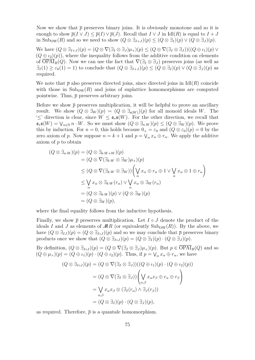Now we show that  $\bar{p}$  preserves binary joins. It is obviously monotone and so it is enough to show  $\overline{p}(I \vee J) \leq \overline{p}(I) \vee \overline{p}(J)$ . Recall that  $I \vee J$  in Idl(R) is equal to  $I + J$ in Sub<sub>OW</sub>(*R*) and so we need to show  $(Q \otimes \exists_{I+J})(p) \leq (Q \otimes \exists_I)(p) \vee (Q \otimes \exists_J)(p)$ .

We have  $(Q \otimes \exists_{I+J})(p) = (Q \otimes \nabla(\exists_I \otimes \exists_J)\mu_+(p) \leq (Q \otimes \nabla(\exists_I \otimes \exists_J))((Q \oplus \iota_I)(p) \vee (Q \otimes \iota_I)(p)$  $(Q \oplus \iota_2)(p)$ , where the inequality follows from the additive condition on elements of  $\overline{OPAI}_R(Q)$ . Now we can use the fact that  $\nabla(\exists_I \otimes \exists_J)$  preserves joins (as well as  $\exists I(1) \geq \varepsilon_0(1) = 1$  to conclude that  $(Q \otimes \exists I+J)(p) \leq (Q \otimes \exists I)(p) \vee (Q \otimes \exists J)(p)$  as required.

We note that  $\bar{p}$  also preserves directed joins, since directed joins in Idl $(R)$  coincide with those in  $\text{Sub}_{\text{OW}}(R)$  and joins of suplattice homomorphisms are computed pointwise. Thus,  $\bar{p}$  preserves arbitrary joins.

Before we show  $\bar{p}$  preserves multiplication, it will be helpful to prove an ancillary result. We show  $(Q \otimes \exists_W)(p) = (Q \otimes \exists_{\mathfrak{s}(W)})(p)$  for all monoid ideals *W*. The ' $\leq$ ' direction is clear, since *W*  $\leq$   $\mathfrak{s}_*$   $\mathfrak{s}(W)$ . For the other direction, we recall that  $\mathfrak{s}_* \mathfrak{s}(W) = \bigvee_{n \in \mathbb{N}} n \cdot W$ . So we must show  $(Q \otimes \exists_{n \cdot W})(p) \leq (Q \otimes \exists_W)(p)$ . We prove this by induction. For  $n = 0$ , this holds because  $0_+ = \varepsilon_0$  and  $(Q \otimes \varepsilon_0)(p) = 0$  by the zero axiom of *p*. Now suppose  $n = k + 1$  and  $p = \bigvee_{\alpha} x_{\alpha} \oplus r_{\alpha}$ . We apply the additive axiom of *p* to obtain

$$
(Q \otimes \exists_{n\cdot W})(p) = (Q \otimes \exists_{k\cdot W+W})(p)
$$
  
\n
$$
= (Q \otimes \nabla(\exists_{k\cdot W} \otimes \exists_{W})\mu_{+})(p)
$$
  
\n
$$
\leq (Q \otimes \nabla(\exists_{k\cdot W} \otimes \exists_{W})) \left(\bigvee_{\alpha} x_{\alpha} \oplus r_{\alpha} \oplus 1 \vee \bigvee_{\alpha} x_{\alpha} \oplus 1 \oplus r_{\alpha}\right)
$$
  
\n
$$
\leq \bigvee_{\alpha} x_{\alpha} \otimes \exists_{k\cdot W}(r_{\alpha}) \vee \bigvee_{\alpha} x_{\alpha} \otimes \exists_{W}(r_{\alpha})
$$
  
\n
$$
= (Q \otimes \exists_{k\cdot W})(p) \vee (Q \otimes \exists_{W})(p)
$$
  
\n
$$
= (Q \otimes \exists_{W})(p),
$$

where the final equality follows from the inductive hypothesis.

Finally, we show  $\bar{p}$  preserves multiplication. Let  $I \circ J$  denote the product of the ideals *I* and *J* as elements of  $MR$  (or equivalently  $\text{Sub}_{OW}(R)$ ). By the above, we have  $(Q \otimes \exists_{IJ})(p) = (Q \otimes \exists_{I \circ J})(p)$  and so we may conclude that  $\overline{p}$  preserves binary products once we show that  $(Q \otimes \exists_{I \circ J})(p) = (Q \otimes \exists_I)(p) \cdot (Q \otimes \exists_J)(p)$ .

By definition,  $(Q \otimes \exists_{I \circ J})(p) = (Q \otimes \nabla (\exists_I \otimes \exists_J)\mu_\times)(p)$ . But  $p \in \overline{\text{OPAI}}_R(Q)$  and so  $(Q \oplus \mu_{\times})(p) = (Q \oplus \iota_{1})(p) \cdot (Q \oplus \iota_{2})(p)$ . Thus, if  $p = \bigvee_{\alpha} x_{\alpha} \oplus r_{\alpha}$ , we have

$$
(Q \otimes \exists_{I \circ J})(p) = (Q \otimes \nabla (\exists_I \otimes \exists_J))((Q \oplus \iota_1)(p) \cdot (Q \oplus \iota_2)(p))
$$
  

$$
= (Q \otimes \nabla (\exists_I \otimes \exists_J)) \left( \bigvee_{\alpha,\beta} x_{\alpha} x_{\beta} \oplus r_{\alpha} \oplus r_{\beta} \right)
$$
  

$$
= \bigvee_{\alpha,\beta} x_{\alpha} x_{\beta} \otimes (\exists_I (r_{\alpha}) \wedge \exists_J (r_{\beta}))
$$
  

$$
= (Q \otimes \exists_I)(p) \cdot (Q \otimes \exists_J)(p),
$$

as required. Therefore,  $\bar{p}$  is a quantale homomorphism.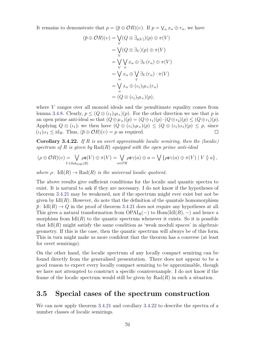It remains to demonstrate that  $p = (\bar{p} \oplus \mathcal{O}R)(v)$ . If  $p = \bigvee_{\alpha} x_{\alpha} \oplus r_{\alpha}$ , we have

$$
(\overline{p} \oplus \mathcal{O}R)(v) = \bigvee_{V} (Q \otimes \exists_{\mathfrak{s}(V)})(p) \oplus \pi(V)
$$
  
\n
$$
= \bigvee_{V} (Q \otimes \exists_{V})(p) \oplus \pi(V)
$$
  
\n
$$
= \bigvee_{V} \bigvee_{\alpha} x_{\alpha} \oplus \exists_{V}(r_{\alpha}) \oplus \pi(V)
$$
  
\n
$$
= \bigvee_{\alpha} x_{\alpha} \oplus \bigvee_{V} \exists_{V}(r_{\alpha}) \cdot \pi(V)
$$
  
\n
$$
= \bigvee_{\alpha} x_{\alpha} \oplus (\iota_{1})_{!} \mu_{\times}(r_{\alpha})
$$
  
\n
$$
= (Q \otimes (\iota_{1})_{!} \mu_{\times})(p),
$$

where *V* ranges over all monoid ideals and the penultimate equality comes from lemma [3.4.8.](#page-79-1) Clearly,  $p \leq (Q \otimes (i_1) \cdot \mu_X)(p)$ . For the other direction we use that p is an open prime anti-ideal so that  $(Q \oplus \mu_\times)(p) = (Q \oplus \iota_1)(p) \cdot (Q \oplus \iota_2)(p) \leq (Q \oplus \iota_1)(p)$ . Applying  $Q \otimes (\iota_1)$  we then have  $(Q \otimes (\iota_1) \cdot \mu_\times)(p) \leq (Q \otimes (\iota_1) \cdot \iota_1)(p) \leq p$ , since  $(\iota_1)_{!} \iota_1 \leq \mathrm{id}_R$ . Thus,  $(\overline{p} \oplus \mathcal{O}R)(v) = p$  as required.  $\Box$ 

<span id="page-85-0"></span>**Corollary 3.4.22.** *If R is an overt approximable localic semiring, then the (localic) spectrum of R is given by* Rad(*R*) *equipped with the open prime anti-ideal*

$$
(\rho \oplus \mathcal{O}R)(v) = \bigvee_{V \in \text{Sub}_{\text{OW}}(R)} \rho \mathfrak{s}(V) \oplus \pi(V) = \bigvee_{a \in \mathcal{O}R} \rho \mathfrak{s} \gamma(a) \oplus a = \bigvee \{ \rho \mathfrak{s} \gamma(a) \oplus \pi(V) \mid V \circ a \},
$$

*where*  $\rho$ : Idl $(R) \rightarrow \text{Rad}(R)$  *is the universal localic quotient.* 

The above results give sufficient conditions for the localic and quantic spectra to exist. It is natural to ask if they are necessary. I do not know if the hypotheses of theorem [3.4.21](#page-83-0) may be weakened, nor if the spectrum might ever exist but not be given by  $\text{Id}(R)$ . However, do note that the definition of the quantale homomorphism  $\bar{p}$ : Idl $(R) \rightarrow Q$  in the proof of theorem [3.4.21](#page-83-0) does not require any hypotheses at all. This gives a natural transformation from  $OPAI_R(-)$  to  $Hom(Id(R), -)$  and hence a morphism from  $\text{Id}(R)$  to the quantic spectrum whenever it exists. So it is possible that  $\text{Id}(R)$  might satisfy the same condition as 'weak moduli spaces' in algebraic geometry. If this is the case, then the quantic spectrum will always be of this form. This in turn might make us more confident that the theorem has a converse (at least for overt semirings).

On the other hand, the localic spectrum of any locally compact semiring can be found directly from the generalised presentation. There does not appear to be a good reason to expect every locally compact semiring to be approximable, though we have not attempted to construct a specific counterexample. I do not know if the frame of the localic spectrum would still be given by Rad(*R*) in such a situation.

## **3.5 Special cases of the spectrum construction**

We can now apply theorem [3.4.21](#page-83-0) and corollary [3.4.22](#page-85-0) to describe the spectra of a number classes of localic semirings.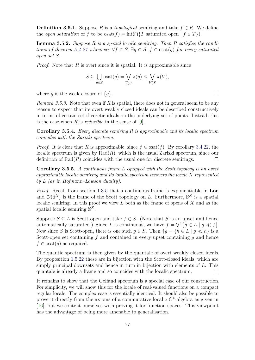**Definition 3.5.1.** Suppose *R* is a *topological* semiring and take  $f \in R$ . We define the *open saturation* of *f* to be  $\text{osat}(f) = \text{int}(\bigcap \{T \text{ saturated open} \mid f \in T\}).$ 

**Lemma 3.5.2.** *Suppose R is a spatial localic semiring. Then R satisfies the conditions of theorem* [3.4.21](#page-83-0) *whenever*  $\forall f \in S$ .  $\exists q \in S$ .  $f \in \text{osat}(q)$  *for every saturated open set S.*

*Proof.* Note that *R* is overt since it is spatial. It is approximable since

$$
S \subseteq \bigcup_{g \in S} \text{osat}(g) = \bigvee_{\widetilde{g} \backslash S} \pi(\widetilde{g}) \le \bigvee_{V \backslash S} \pi(V),
$$

where  $\tilde{q}$  is the weak closure of  $\{q\}$ .

*Remark 3.5.3.* Note that even if *R* is spatial, there does not in general seem to be any reason to expect that its overt weakly closed ideals can be described constructively in terms of certain set-theoretic ideals on the underlying set of points. Instead, this is the case when *R* is *reducible* in the sense of [\[9\]](#page-106-1).

**Corollary 3.5.4.** *Every discrete semiring R is approximable and its localic spectrum coincides with the Zariski spectrum.*

*Proof.* It is clear that *R* is approximable, since  $f \in \text{osat}(f)$ . By corollary [3.4.22,](#page-85-0) the localic spectrum is given by  $Rad(R)$ , which is the usual Zariski spectrum, since our definition of  $Rad(R)$  coincides with the usual one for discrete semirings.  $\Box$ 

**Corollary 3.5.5.** *A continuous frame L equipped with the Scott topology is an overt approximable localic semiring and its localic spectrum recovers the locale X represented by L (as in Hofmann–Lawson duality).*

*Proof.* Recall from section [1.3.5](#page-31-0) that a continuous frame is exponentiable in **Loc** and  $\mathcal{O}(\mathbb{S}^X)$  is the frame of the Scott topology on *L*. Furthermore,  $\mathbb{S}^X$  is a spatial localic semiring. In this proof we view *L* both as the frame of opens of *X* and as the spatial localic semiring S *X*.

Suppose  $S \subseteq L$  is Scott-open and take  $f \in S$ . (Note that *S* is an upset and hence automatically saturated.) Since *L* is continuous, we have  $f = \bigvee^{\uparrow} \{ g \in L \mid g \ll f \}.$ Now since *S* is Scott-open, there is one such  $q \in S$ . Then  $\hat{\uparrow} q = \{h \in L \mid q \ll h\}$  is a Scott-open set containing *f* and contained in every upset containing *g* and hence  $f \in$  osat $(q)$  as required.

The quantic spectrum is then given by the quantale of overt weakly closed ideals. By proposition [1.5.22](#page-45-0) these are in bijection with the Scott-closed ideals, which are simply principal downsets and hence in turn in bijection with elements of *L*. This quantale is already a frame and so coincides with the localic spectrum.  $\Box$ 

It remains to show that the Gelfand spectrum is a special case of our construction. For simplicity, we will show this for the locale of real-valued functions on a compact regular locale. The complex case is essentially identical. It should also be possible to prove it directly from the axioms of a commutative localic C\*-algebra as given in [\[16\]](#page-107-2), but we content ourselves with proving it for function spaces. This viewpoint has the advantage of being more amenable to generalisation.

 $\Box$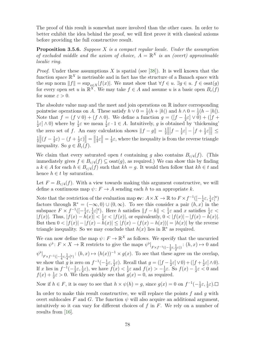The proof of this result is somewhat more involved than the other cases. In order to better exhibit the idea behind the proof, we will first prove it with classical axioms before providing the full constructive result.

**Proposition 3.5.6.** *Suppose X is a compact regular locale. Under the assumption of excluded middle and the axiom of choice,*  $A = \mathbb{R}^X$  *is an (overt) approximable localic ring.*

*Proof.* Under these assumptions *X* is spatial (see [\[38\]](#page-108-0)). It is well known that the function space  $\mathbb{R}^X$  is metrisable and in fact has the structure of a Banach space with the sup norm  $||f|| = \sup_{x \in X} |f(x)|$ . We must show that  $\forall f \in u$ .  $\exists g \in u$ .  $f \in \text{osat}(g)$ for every open set *u* in  $\mathbb{R}^X$ . We may take  $f \in A$  and assume *u* is a basic open  $B_{\varepsilon}(f)$ for some  $\varepsilon > 0$ .

The absolute value map and the meet and join operations on  $\mathbb R$  induce corresponding pointwise operations on *A*. These satisfy  $h \vee 0 = \frac{1}{2}(h + |h|)$  and  $h \wedge 0 = \frac{1}{2}(h - |h|)$ . Note that  $f = (f \vee 0) + (f \wedge 0)$ . We define a function  $g = (f - \frac{1}{2})$  $(\frac{1}{2}\varepsilon] \vee 0) + ([f +$ 1  $\frac{1}{2}\varepsilon \to 0$ ) where by  $\frac{1}{2}\varepsilon$  we mean  $\frac{1}{2}\varepsilon \cdot 1 \in A$ . Intuitively, *g* is obtained by 'thickening' the zero set of *f*. An easy calculation shows  $||f - g|| = \frac{1}{2}$ 2  $\bigg\}$  $f-\frac{1}{2}$  $\frac{1}{2}\varepsilon\Big|-\Big|f+\frac{1}{2}$  $\frac{1}{2}\varepsilon$  $\Vert \leq$ 1 2  $\| (f - \frac{1}{2}) \|$  $(\frac{1}{2}\varepsilon) - (f + \frac{1}{2})$  $\frac{1}{2}\varepsilon$ )  $\Big\| = \Big\|$ 1  $\frac{1}{2}\varepsilon\right\|=\frac{1}{2}$  $\frac{1}{2}\varepsilon$ , where the inequality is from the reverse triangle inequality. So  $q \in B_{\varepsilon}(f)$ .

We claim that every saturated open *t* containing *g* also contains  $B_{\varepsilon/4}(f)$ . (This immediately gives  $f \in B_{\varepsilon/4}(f) \subset \text{osat}(q)$ , as required.) We can show this by finding a  $k \in A$  for each  $h \in B_{\varepsilon/4}(f)$  such that  $kh = g$ . It would then follow that  $kh \in t$  and hence  $h \in t$  by saturation.

Let  $F = B_{\varepsilon/4}(f)$ . With a view towards making this argument constructive, we will define a continuous map  $\psi: F \to A$  sending each *h* to an appropriate *k*.

Note that the restriction of the evaluation map  $ev: A \times X \to \mathbb{R}$  to  $F \times f^{-1}([- \frac{1}{4}])$  $\frac{1}{4}\varepsilon, \frac{1}{4}\varepsilon$ <sup>c</sup>) factors through  $\mathbb{R}^* = (-\infty, 0) \cup (0, \infty)$ . To see this consider a pair  $(h, x)$  in the subspace  $F \times f^{-1}([- \frac{1}{4}])$  $\frac{1}{4}\varepsilon, \frac{1}{4}\varepsilon$ <sup>c</sup>). Here *h* satisfies  $||f - h|| < \frac{1}{4}$  $\frac{1}{4}\varepsilon$  and *x* satisfies  $\frac{1}{4}\varepsilon$  <  $|f(x)|$ . Thus,  $|f(x) - \hat{h}(x)| < \frac{1}{4}$  $\frac{1}{4}\varepsilon < |f(x)|$ , or equivalently,  $0 < |f(x)| - |f(x) - h(x)|$ . But then  $0 < |f(x)| - |f(x) - h(x)| \leq |f(x) - f(x)| - |h(x)| = |h(x)|$  by the reverse triangle inequality. So we may conclude that  $h(x)$  lies in  $\mathbb{R}^*$  as required.

We can now define the map  $\psi: F \to \mathbb{R}^X$  as follows. We specify that the uncurried form  $\psi^{\flat}$ :  $F \times X \to \mathbb{R}$  restricts to give the maps  $\psi^{\flat}|_{F \times f^{-1}((-\frac{1}{2}\varepsilon, \frac{1}{2}\varepsilon))}$ :  $(h, x) \mapsto 0$  and  $2^{\circ}$   $2^{\circ}$  $\psi^{\flat}|_{F \times f^{-1}([-\frac{1}{4}\varepsilon, \frac{1}{4}\varepsilon]\varepsilon)}$ :  $(h, x) \mapsto (h(x))^{-1} \times g(x)$ . To see that these agree on the overlap, we show that *g* is zero on  $f^{-1}(-\frac{1}{2})$  $\frac{1}{2}\varepsilon, \frac{1}{2}\varepsilon$ ). Recall that  $g = (\left[f - \frac{1}{2}\right]$  $\frac{1}{2}\varepsilon\big]\vee 0$ ) +  $([f + \frac{1}{2})$  $\frac{1}{2}\varepsilon$   $\wedge$  0). If *x* lies in  $f^{-1}(-\frac{1}{2})$  $(\frac{1}{2}\varepsilon, \frac{1}{2}\varepsilon)$ , we have  $f(x) < \frac{1}{2}$  $\frac{1}{2}\varepsilon$  and  $f(x) > -\frac{1}{2}$  $\frac{1}{2}$ ε. So  $f(x) - \frac{1}{2}$  $\frac{1}{2}\varepsilon < 0$  and  $f(x) + \frac{1}{2}\varepsilon > 0$ . We then quickly see that  $g(x) = 0$ , as required.

Now if  $h \in F$ , it is easy to see that  $h \times \psi(h) = g$ , since  $g(x) = 0$  on  $f^{-1}(-\frac{1}{2})$  $\frac{1}{2}\varepsilon, \frac{1}{2}\varepsilon$ ).

<span id="page-87-0"></span>In order to make this result constructive, we will replace the points *f* and *g* with overt sublocales *F* and *G*. The function  $\psi$  will also acquire an additional argument, intuitively so it can vary for different choices of *f* in *F*. We rely on a number of results from [\[16\]](#page-107-2).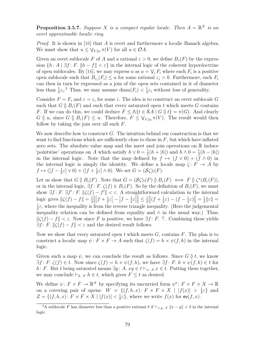**Proposition 3.5.7.** *Suppose X is a compact regular locale. Then*  $A = \mathbb{R}^X$  *is an overt approximable localic ring.*

*Proof.* It is shown in [\[16\]](#page-107-2) that *A* is overt and furthermore a localic Banach algebra. We must show that  $u \leq \bigvee_{V \uparrow u} \pi(V)$  for all  $u \in \mathcal{O}A$ .

Given an overt sublocale *F* of *A* and a rational  $\varepsilon > 0$ , we define  $B_{\varepsilon}(F)$  by the expression  $\{h: A \mid \exists f: F. || h - f || < \varepsilon\}$  in the internal logic of the coherent hyperdoctrine of open sublocales. By [\[16\]](#page-107-2), we may express *u* as  $u = \bigvee_i F_i$  where each  $F_i$  is a positive open sublocale such that  $B_{\varepsilon_i}(F_i) \leq u$  for some rational  $\varepsilon_i > 0$ . Furthermore, each  $F_i$ can then in turn be expressed as a join of the open sets contained in it of diameter less than  $\frac{1}{4}\varepsilon_i$ .<sup>[2](#page-88-0)</sup> Thus, we may assume diam( $F_i$ ) <  $\frac{1}{4}$  $\frac{1}{4}\varepsilon_i$  without loss of generality.

Consider  $F = F_i$  and  $\varepsilon = \varepsilon_i$  for some *i*. The idea is to construct an overt sublocale G such that  $G \mathcal{G} B_{\varepsilon}(F)$  and such that every saturated open *t* which meets *G* contains *F*. If we can do this, we could deduce  $F \leq \Lambda \{ t \in \mathcal{S}A \mid G \mathcal{Y} \} = \pi(G)$ . And clearly  $G \nsubseteq u$ , since  $G \nsubseteq E_{\varepsilon}(F) \leq u$ . Therefore,  $F \leq \bigvee_{V \nsubseteq u} \pi(V)$ . The result would then follow by taking the join over all such *F*.

We now describe how to construct *G*. The intuition behind our construction is that we want to find functions which are sufficiently close to those in *F*, but which have inflated zero sets. The absolute value map and the meet and join operations on  $\mathbb R$  induce 'pointwise' operations on *A* which satisfy  $h \vee 0 = \frac{1}{2}(h + |h|)$  and  $h \wedge 0 = \frac{1}{2}(h - |h|)$ in the internal logic. Note that the map defined by  $f \mapsto (f \vee 0) + (f \wedge 0)$  in the internal logic is simply the identity. We define a locale map  $\zeta: F \to A$  by  $f \mapsto ([f - \frac{1}{2}$  $(\frac{1}{2}\varepsilon] \vee 0) + ([f + \frac{1}{2}]$  $\frac{1}{2}\varepsilon$   $\wedge$  0). We set  $G = (\mathcal{S}\zeta)_{!}(F)$ .

Let us show that  $G \nsubseteq B_{\varepsilon}(F)$ . Note that  $G = (\mathcal{S}\zeta)_{!}(F) \nsubseteq B_{\varepsilon}(F) \iff F \nsubseteq \zeta^{*}(B_{\varepsilon}(F))$ , or in the internal logic,  $\exists f: F \cdot \zeta(f) \in B_{\varepsilon}(F)$ . So by the definition of  $B_{\varepsilon}(F)$ , we must show  $\exists f: F$ .  $\exists f': F$ .  $\|\zeta(f) - f'\| < \varepsilon$ . A straightforward calculation in the internal logic gives  $\|\zeta(f) - f\| = \frac{1}{2}$ 2  $\frac{1}{2}$  $\left|f+\frac{1}{2}\right|$  $\frac{1}{2}\varepsilon\Big|-\Big|f-\frac{1}{2}$  $\frac{1}{2}\varepsilon$  $\leq \frac{1}{2}$ 2  $\|(f + \frac{1}{2})$  $(\frac{1}{2}\varepsilon) - (f - \frac{1}{2})$  $\frac{1}{2}\varepsilon$ <sup> $\left|\right| = \frac{1}{2}$ </sup>  $\frac{1}{2}$ || $\varepsilon$ || = 1  $\frac{1}{2}\varepsilon$ , where the inequality is from the reverse triangle inequality. (Here the judgemental inequality relation can be defined from equality and  $\wedge$  in the usual way.) Thus,  $\|\zeta(f) - f\| < \varepsilon$ . Now since *F* is positive, we have ∃*f* : *F*. ⊤. Combining these yields  $\exists f: F. \|\zeta(f) - f\| < \varepsilon$  and the desired result follows.

Now we show that every saturated open *t* which meets *G*, contains *F*. The plan is to construct a localic map  $\psi: F \times F \to A$  such that  $\zeta(f) = h \times \psi(f, h)$  in the internal logic.

Given such a map  $\psi$ , we can conclude the result as follows. Since *G*  $\delta$  *t*, we know  $\exists f \colon F \colon \zeta(f) \in t$ . Now since  $\zeta(f) = h \times \psi(f, h)$ , we have  $\exists f \colon F \colon h \times \psi(f, h) \in t$  for *h*: *F*. But *t* being saturated means ∃*y* : *A. xy* ∈ *t*  $\vdash_{x:A} x \in t$ . Putting these together, we may conclude  $\vdash_{h: F} h \in t$ , which gives  $F \leq t$  as desired.

We define  $\psi: F \times F \to \mathbb{R}^X$  by specifying its uncurried form  $\psi^{\flat}: F \times F \times X \to \mathbb{R}$ on a covering pair of opens:  $W = \{(f, h, x): F \times F \times X \mid |f(x)| > \frac{1}{4}\}$  $\frac{1}{4}\varepsilon$ } and  $Z = \{(f, h, x): F \times F \times X \mid |f(x)| < \frac{1}{2}\}$  $\frac{1}{2}\varepsilon$ , where we write  $f(x)$  for  $ev(f, x)$ .

<span id="page-88-0"></span><sup>&</sup>lt;sup>2</sup>A sublocale *F* has diameter less than a positive rational *δ* if  $\vert x_{x,y} \vert$  *F*  $\Vert x - y \Vert < \delta$  in the internal logic.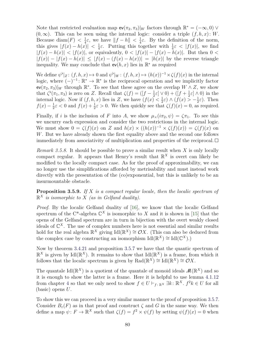Note that restricted evaluation map  $ev(\pi_2, \pi_3)|_W$  factors through  $\mathbb{R}^* = (-\infty, 0)$   $\vee$  $(0, \infty)$ . This can be seen using the internal logic: consider a triple  $(f, h, x)$ : *W*. Because diam $(F) < \frac{1}{4}$  $\frac{1}{4}\varepsilon$ , we have  $||f - h|| < \frac{1}{4}$  $\frac{1}{4}\varepsilon$ . By the definition of the norm, this gives  $|f(x) - h(x)| < \frac{1}{4}$  $\frac{1}{4}ε$ . Putting this together with  $\frac{1}{4}ε < |f(x)|$ , we find  $|f(x) - h(x)| < |f(x)|$ , or equivalently,  $0 < |f(x)| - |f(x) - h(x)|$ . But then  $0 <$  $|f(x)| - |f(x) - h(x)| \leq |f(x) - f(x)| - |h(x)| = |h(x)|$  by the reverse triangle inequality. We may conclude that  $ev(h, x)$  lies in  $\mathbb{R}^*$  as required

We define  $\psi^{\flat}|_Z : (f, h, x) \mapsto 0$  and  $\psi^{\flat}|_W : (f, h, x) \mapsto (h(x))^{-1} \times \zeta(f)(x)$  in the internal logic, where  $(-)^{-1}$ :  $\mathbb{R}^* \to \mathbb{R}^*$  is the reciprocal operation and we implicitly factor  $ev(\pi_2, \pi_3)|_W$  through  $\mathbb{R}^*$ . To see that these agree on the overlap  $W \wedge Z$ , we show that  $\zeta^{\flat}(\pi_1, \pi_3)$  is zero on *Z*. Recall that  $\zeta(f) = (\lfloor f - \frac{1}{2} \rfloor)$  $\frac{1}{2}\varepsilon \, \triangleright \, 0) + \left( \left[ f + \frac{1}{2} \right] \right)$  $\frac{1}{2}\varepsilon$   $\wedge$  0) in the internal logic. Now if  $(f, h, x)$  lies in *Z*, we have  $(f(x) < \frac{1}{2})$  $(\frac{1}{2}\varepsilon) \wedge (f(x)) > -\frac{1}{2}$  $(\frac{1}{2}\varepsilon)$ . Then  $f(x) - \frac{1}{2}$  $\frac{1}{2}\varepsilon < 0$  and  $f(x) + \frac{1}{2}\varepsilon > 0$ . We then quickly see that  $\zeta(f)(x) = 0$ , as required.

Finally, if *i* is the inclusion of *F* into *A*, we show  $\mu_{\times}(i\pi_2, \psi) = \zeta \pi_1$ . To see this we uncurry each expression and consider the two restrictions in the internal logic. We must show  $0 = \zeta(f)(x)$  on *Z* and  $h(x) \times ((h(x))^{-1} \times \zeta(f)(x)) = \zeta(f)(x)$  on *W*. But we have already shown the first equality above and the second one follows immediately from associativity of multiplication and properties of the reciprocal.  $\Box$ 

*Remark 3.5.8.* It should be possible to prove a similar result when *X* is only locally compact regular. It appears that Henry's result that  $\mathbb{R}^X$  is overt can likely be modified to the locally compact case. As for the proof of approximability, we can no longer use the simplifications afforded by metrisability and must instead work directly with the presentation of the (co)exponential, but this is unlikely to be an insurmountable obstacle.

<span id="page-89-0"></span>**Proposition 3.5.9.** *If X is a compact regular locale, then the localic spectrum of*  $\mathbb{R}^X$  *is isomorphic to X (as in Gelfand duality).* 

*Proof.* By the localic Gelfand duality of [\[16\]](#page-107-2), we know that the localic Gelfand spectrum of the C<sup>\*</sup>-algebra  $\mathbb{C}^X$  is isomorphic to X and it is shown in [\[15\]](#page-107-1) that the opens of the Gelfand spectrum are in turn in bijection with the overt weakly closed ideals of  $\mathbb{C}^X$ . The use of complex numbers here is not essential and similar results hold for the real algebra  $\mathbb{R}^X$  giving  $\mathrm{Id}(\mathbb{R}^X) \cong \mathcal{O}X$ . (This can also be deduced from the complex case by constructing an isomorphism  $\mathrm{Id}(\mathbb{R}^X) \cong \mathrm{Id}(\mathbb{C}^X)$ .)

Now by theorem [3.4.21](#page-83-0) and proposition [3.5.7](#page-87-0) we have that the quantic spectrum of  $\mathbb{R}^X$  is given by Idl( $\mathbb{R}^X$ ). It remains to show that Idl( $\mathbb{R}^X$ ) is a frame, from which it follows that the localic spectrum is given by  $\text{Rad}(\mathbb{R}^X) \cong \text{Id}(\mathbb{R}^X) \cong \mathcal{O}X$ .

The quantale  $\text{Id}(\mathbb{R}^X)$  is a quotient of the quantale of monoid ideals  $\mathcal{M}(\mathbb{R}^X)$  and so it is enough to show the latter is a frame. Here it is helpful to use lemma [4.1.12](#page-99-0) from chapter [4](#page-92-1) so that we only need to show  $f \in U \vdash_{f: \mathbb{R}^X} \exists k : \mathbb{R}^X$ .  $f^2k \in U$  for all (basic) opens *U*.

To show this we can proceed in a very similar manner to the proof of proposition [3.5.7.](#page-87-0) Consider  $B_{\varepsilon}(F)$  as in that proof and construct  $\zeta$  and  $G$  in the same way. We then define a map  $\psi: F \to \mathbb{R}^X$  such that  $\zeta(f) = f^2 \times \psi(f)$  by setting  $\psi(f)(x) = 0$  when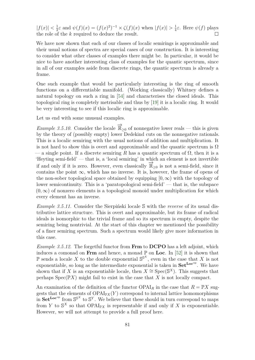$|f(x)| < \frac{1}{2}$  $\frac{1}{2}\varepsilon$  and  $\psi(f)(x) = (f(x)^2)^{-1} \times \zeta(f)(x)$  when  $|f(x)| > \frac{1}{4}$  $\frac{1}{4}$ *ε*. Here  $\psi(f)$  plays the role of the *k* required to deduce the result.  $\Box$ 

We have now shown that each of our classes of localic semirings is approximable and their usual notions of spectra are special cases of our construction. It is interesting to consider what other classes of examples there might be. In particular, it would be nice to have another interesting class of examples for the quantic spectrum, since in all of our examples aside from discrete rings, the quantic spectrum is already a frame.

One such example that would be particularly interesting is the ring of smooth functions on a differentiable manifold. (Working classically) Whitney defines a natural topology on such a ring in [\[54\]](#page-109-1) and characterises the closed ideals. This topological ring is completely metrisable and thus by [\[19\]](#page-107-3) it is a localic ring. It would be very interesting to see if this localic ring is approximable.

Let us end with some unusual examples.

*Example 3.5.10.* Consider the locale  $\overrightarrow{\mathbb{R}}_{\geq 0}$  of nonnegative lower reals — this is given by the theory of (possibly empty) lower Dedekind cuts on the nonnegative rationals. This is a localic semiring with the usual notions of addition and multiplication. It is not hard to show this is overt and approximable and the quantic spectrum is  $\Omega$  $-$  a single point. If a discrete semiring R has a quantic spectrum of  $\Omega$ , then it is a 'Heyting semi-field' — that is, a 'local semiring' in which an element is not invertible if and only if it is zero. However, even classically  $\overline{\mathbb{R}}_{\geq 0}$  is not a semi-field, since it contains the point  $\infty$ , which has no inverse. It is, however, the frame of opens of the non-sober topological space obtained by equipping  $[0, \infty)$  with the topology of lower semicontinuity. This is a 'paratopological semi-field' — that is, the subspace  $(0, \infty)$  of nonzero elements is a topological monoid under multiplication for which every element has an inverse.

*Example 3.5.11.* Consider the Sierpiński locale S with the *reverse* of its usual distributive lattice structure. This is overt and approximable, but its frame of radical ideals is isomorphic to the trivial frame and so its spectrum is empty, despite the semiring being nontrivial. At the start of this chapter we mentioned the possibility of a finer semiring spectrum. Such a spectrum would likely give more information in this case.

<span id="page-90-0"></span>*Example 3.5.12.* The forgetful functor from **Frm** to **DCPO** has a left adjoint, which induces a comonad on **Frm** and hence, a monad  $\mathbb{P}$  on **Loc**. In [\[52\]](#page-109-0) it is shown that  $\mathbb P$  sends a locale *X* to the double exponential  $\mathbb S^{S^X}$ , even in the case that *X* is not exponentiable, so long as the intermediate exponential is taken in  $\mathbf{Set}^{\mathbf{Loc}^{op}}$ . We have shown that if *X* is an exponentiable locale, then  $X \cong \text{Spec}(\mathbb{S}^X)$ . This suggests that perhaps  $Spec(\mathbb{P}X)$  might fail to exist in the case that X is not locally compact.

An examination of the definition of the functor  $OPAI<sub>R</sub>$  in the case that  $R = \mathbb{P}X$  suggests that the elements of  $\text{OPAI}_{\mathbb{P}X}(Y)$  correspond to internal lattice homomorphisms in  $\mathbf{Set}^{\mathbf{Loc}^{op}}$  from  $\mathbb{S}^{S^X}$  to  $\mathbb{S}^Y$ . We believe that these should in turn correspond to maps from *Y* to  $S^X$  so that  $OPAI_{\mathbb{P}X}$  is representable if and only if *X* is exponentiable. However, we will not attempt to provide a full proof here.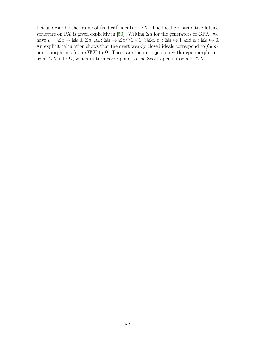Let us describe the frame of (radical) ideals of  $\mathbb{P}X$ . The localic distributive lattice structure on  $\mathbb{P}X$  is given explicitly in [\[50\]](#page-108-1). Writing  $\boxtimes a$  for the generators of  $\mathcal{O}\mathbb{P}X$ , we  $a \mapsto \mathbb{Z}a \mapsto \mathbb{Z}a \oplus \mathbb{Z}a$ ,  $\mu_+ : \mathbb{Z}a \mapsto \mathbb{Z}a \oplus 1 \vee 1 \oplus \mathbb{Z}a$ ,  $\varepsilon_1 : \mathbb{Z}a \mapsto 1$  and  $\varepsilon_0 : \mathbb{Z}a \mapsto 0$ . An explicit calculation shows that the overt weakly closed ideals correspond to *frame* homomorphisms from  $\mathcal{O}\mathbb{P} X$  to  $\Omega$ . These are then in bijection with dcpo morphisms from  $\mathcal{O}X$  into  $\Omega$ , which in turn correspond to the Scott-open subsets of  $\mathcal{O}X$ .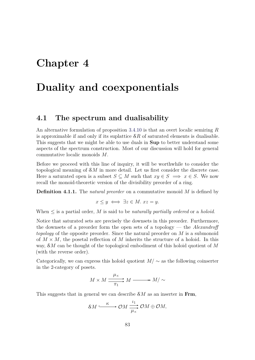# <span id="page-92-1"></span>**Chapter 4**

# **Duality and coexponentials**

### <span id="page-92-0"></span>**4.1 The spectrum and dualisability**

An alternative formulation of proposition [3.4.10](#page-79-0) is that an overt localic semiring *R* is approximable if and only if its suplattice  $\mathcal{S}R$  of saturated elements is dualisable. This suggests that we might be able to use duals in **Sup** to better understand some aspects of the spectrum construction. Most of our discussion will hold for general commutative localic monoids *M*.

Before we proceed with this line of inquiry, it will be worthwhile to consider the topological meaning of S*M* in more detail. Let us first consider the discrete case. Here a saturated open is a subset  $S \subseteq M$  such that  $xy \in S \implies x \in S$ . We now recall the monoid-theoretic version of the divisibility preorder of a ring.

**Definition 4.1.1.** The *natural preorder* on a commutative monoid *M* is defined by

$$
x \le y \iff \exists z \in M. \ xz = y.
$$

When  $\leq$  is a partial order, M is said to be *naturally partially ordered* or a *holoid*.

Notice that saturated sets are precisely the downsets in this preorder. Furthermore, the downsets of a preorder form the open sets of a topology — the *Alexandroff topology* of the opposite preorder. Since the natural preorder on *M* is a submonoid of  $M \times M$ , the posetal reflection of M inherits the structure of a holoid. In this way, S*M* can be thought of the topological embodiment of this holoid quotient of *M* (with the reverse order).

Categorically, we can express this holoid quotient  $M/\sim$  as the following coinserter in the 2-category of posets.

$$
M \times M \xrightarrow{\mu_{\times}} M \xrightarrow{\pi_1} M / \sim
$$

This suggests that in general we can describe S*M* as an inserter in **Frm**,

$$
\mathcal{S}M \xrightarrow{\kappa} \mathcal{O}M \xrightarrow[\mu]{} \mathcal{O}M \oplus \mathcal{O}M,
$$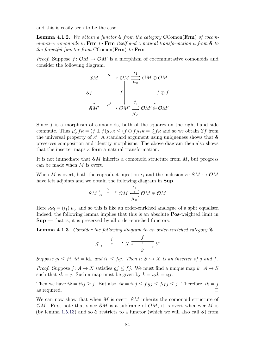and this is easily seen to be the case.

**Lemma 4.1.2.** *We obtain a functor* S *from the category* CComon(**Frm**) *of cocommutative comonoids in* **Frm** *to* **Frm** *itself and a natural transformation κ from* S *to the forgetful functor from* CComon(**Frm**) *to* **Frm***.*

*Proof.* Suppose  $f: \mathcal{O}M \to \mathcal{O}M'$  is a morphism of cocommutative comonoids and consider the following diagram.

$$
\begin{array}{ccc}\n\mathcal{S}M & \xrightarrow{\kappa} & \mathcal{O}M \xrightarrow{l_1} & \mathcal{O}M \oplus \mathcal{O}M \\
\downarrow^{\kappa} & & f \downarrow^{\kappa} & f \downarrow^{\kappa} \\
\downarrow^{\kappa'} & & \mathcal{O}M' \xrightarrow{l'_1} & \mathcal{O}M' \oplus \mathcal{O}M' \\
\downarrow^{\kappa'} & & \mathcal{O}M' \xrightarrow{\mu'_\times} & \mathcal{O}M' \oplus \mathcal{O}M'\n\end{array}
$$

Since *f* is a morphism of comonoids, both of the squares on the right-hand side commute. Thus  $\mu'_{\times} f \kappa = (f \oplus f) \mu_{\times} \kappa \leq (f \oplus f) \iota_1 \kappa = \iota'_1 f \kappa$  and so we obtain Sf from the universal property of  $\kappa'$ . A standard argument using uniqueness shows that  $\mathcal S$ preserves composition and identity morphisms. The above diagram then also shows that the inserter maps  $\kappa$  form a natural transformation.  $\Box$ 

It is not immediate that S*M* inherits a comonoid structure from *M*, but progress can be made when *M* is overt.

When *M* is overt, both the coproduct injection  $\iota_1$  and the inclusion  $\kappa: \mathcal{S}M \hookrightarrow \mathcal{O}M$ have left adjoints and we obtain the following diagram in **Sup**.

$$
\mathcal{S}M\xleftrightarrow{\kappa\atop{\longleftarrow}}\mathcal{O}M\xrightarrow{\iota_1}{\mathcal{O}M}\oplus\mathcal{O}M
$$

Here  $\kappa \kappa_1 = (\iota_1)_{1,\mathcal{U}_\infty}$  and so this is like an order-enriched analogue of a split equaliser. Indeed, the following lemma implies that this is an absolute **Pos**-weighted limit in  $\text{Sup}$  — that is, it is preserved by all order-enriched functors.

<span id="page-93-0"></span>**Lemma 4.1.3.** *Consider the following diagram in an order-enriched category* C*.*

$$
S \xrightarrow{\qquad i \qquad \qquad } X \xrightarrow{\qquad f \qquad \qquad } Y
$$

*Suppose*  $gi \leq fi$ ,  $i_1i = id_S$  *and*  $ii_1 \leq f_1g$ . Then  $i: S \hookrightarrow X$  *is an inserter of g and f.* 

*Proof.* Suppose  $j: A \to X$  satisfies  $gj \leq fj$ . We must find a unique map  $k: A \to S$ such that  $ik = j$ . Such a map must be given by  $k = i_1 i k = i_1 j$ .

Then we have  $ik = ii, j \geq j$ . But also,  $ik = ii, j \leq f, gj \leq f, fg \leq j$ . Therefore,  $ik = j$  $\Box$ as required.

We can now show that when *M* is overt, S*M* inherits the comonoid structure of OM. First note that since  $\mathcal{S}M$  is a subframe of  $\mathcal{O}M$ , it is overt whenever M is (by lemma [1.5.13\)](#page-43-0) and so  $\mathcal S$  restricts to a functor (which we will also call  $\mathcal S$ ) from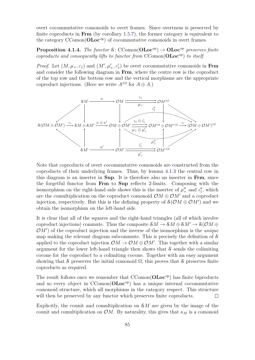overt cocommutative comonoids to overt frames. Since overtness is preserved by finite coproducts in **Frm** (by corollary [1.5.7\)](#page-41-0), the former category is equivalent to the category CComon(**OLoc**op) of cocommutative comonoids in overt frames.

**Proposition 4.1.4.** *The functor*  $\mathcal{S}$ : CComon( $\text{OLoc}^{\text{op}}$ )  $\rightarrow$   $\text{OLoc}^{\text{op}}$  *preserves finite coproducts and consequently lifts to functor from* CComon(**OLoc**op) *to itself.*

*Proof.* Let  $(M, \mu_{\times}, \varepsilon_1)$  and  $(M', \mu'_{\times}, \varepsilon'_1)$  be overt cocommutative comonoids in **Frm** and consider the following diagram in **Frm**, where the centre row is the coproduct of the top row and the bottom row and the vertical morphisms are the appropriate coproduct injections. (Here we write  $A^{\oplus 2}$  for  $A \oplus A$ .)



Note that coproducts of overt cocommutative comonoids are constructed from the coproducts of their underlying frames. Thus, by lemma [4.1.3](#page-93-0) the central row in this diagram is an inserter in **Sup**. It is therefore also an inserter in **Frm**, since the forgetful functor from **Frm** to **Sup** reflects 2-limits. Composing with the isomorphism on the right-hand side shows this is the inserter of  $\mu''_x$  and  $\iota''_1$ , which are the comultiplication on the coproduct comonoid  $\mathcal{O}M \oplus \mathcal{O}M'$  and a coproduct injection, respectively. But this is the defining property of  $\mathcal{S}(\mathcal{O}M \oplus \mathcal{O}M')$  and we obtain the isomorphism on the left-hand side.

It is clear that all of the squares and the right-hand triangles (all of which involve coproduct injections) commute. Thus the composite  $\mathcal{S}M \to \mathcal{S}M \oplus \mathcal{S}M' \to \mathcal{S}(\mathcal{O}M \oplus$  $\mathcal{O}(M')$  of the coproduct injection and the inverse of the isomorphism is the *unique* map making the relevant diagram subcommute. This is precisely the definition of S applied to the coproduct injection  $\mathcal{O}M \to \mathcal{O}M \oplus \mathcal{O}M'$ . This together with a similar argument for the lower left-hand triangle then shows that  $\delta$  sends the colimiting cocone for the coproduct to a colimiting cocone. Together with an easy argument showing that S preserves the initial comonoid  $\Omega$ , this proves that S preserves finite coproducts as required.

The result follows once we remember that CComon(**OLoc**op) has finite biproducts and so every object in CComon(**OLoc**op) has a unique internal cocommutative comonoid structure, which all morphisms in the category respect. This structure will then be preserved by any functor which preserves finite coproducts.  $\Box$ 

Explicitly, the counit and comultiplication on S*M* are given by the image of the counit and comultiplication on  $\mathcal{O}M$ . By naturality, this gives that  $\kappa_M$  is a comonoid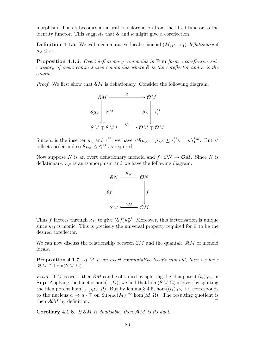morphism. Thus  $\kappa$  becomes a natural transformation from the lifted functor to the identity functor. This suggests that  $\mathcal S$  and  $\kappa$  might give a coreflection.

**Definition 4.1.5.** We call a commutative localic monoid  $(M, \mu_\times, \varepsilon_1)$  *deflationary* if  $\mu_{\times} \leq \iota_1.$ 

**Proposition 4.1.6.** *Overt deflationary comonoids in* **Frm** *form a coreflective subcategory of overt commutative comonoids where*  $S$  *is the coreflector and*  $\kappa$  *is the counit.*

*Proof.* We first show that S*M* is deflationary. Consider the following diagram.



Since  $\kappa$  is the inserter  $\mu_{\times}$  and  $\iota_1^M$ , we have  $\kappa' \mathcal{S} \mu_{\times} = \mu_{\times} \kappa \leq \iota_1^M \kappa = \kappa' \iota_1^{\mathcal{S} M}$ . But  $\kappa'$ reflects order and so  $\mathcal{S}\mu_{\times} \leq \iota_1^{\mathcal{S}M}$  as required.

Now suppose N is an overt deflationary monoid and  $f: \mathcal{O}N \to \mathcal{O}M$ . Since N is deflationary,  $\kappa_N$  is an isomorphism and we have the following diagram.



Thus *f* factors through  $\kappa_M$  to give  $(\mathcal{S}f)\kappa_N^{-1}$ . Moreover, this factorisation is unique since  $\kappa_M$  is monic. This is precisely the universal property required for S to be the desired coreflector.  $\Box$ 

We can now discuss the relationship between S*M* and the quantale M*M* of monoid ideals.

**Proposition 4.1.7.** *If M is an overt commutative localic monoid, then we have*  $\mathcal{M}M \cong \text{hom}(\mathcal{S}M,\Omega)$ .

*Proof.* If *M* is overt, then *SM* can be obtained by splitting the idempotent  $(\iota_1)_{!}\mu_{\times}$  in **Sup**. Applying the functor hom $(-, \Omega)$ , we find that hom $(\mathcal{S}M, \Omega)$  is given by splitting the idempotent hom $((\iota_1)_{!\mu_{\times}}, \Omega)$ . But by lemma [3.4.5,](#page-77-1) hom $((\iota_1)_{!\mu_{\times}}, \Omega)$  corresponds to the nucleus  $a \mapsto a \cdot \top$  on  $\text{Sub}_{OW}(M) \cong \text{hom}(M, \Omega)$ . The resulting quotient is then  $MM$  by definition.  $\Box$ 

**Corollary 4.1.8.** *If* S*M is dualisable, then* M*M is its dual.*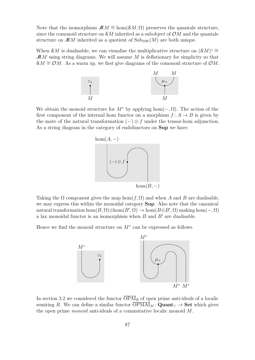Note that the isomorphism  $\mathcal{M}M \cong \text{hom}(\mathcal{S}M,\Omega)$  preserves the quantale structure, since the comonoid structure on  $\mathcal{S}M$  inherited as a subobject of  $\mathcal{O}M$  and the quantale structure on  $MM$  inherited as a quotient of  $\text{Sub}_{OW}(M)$  are both unique.

When  $\mathcal{S}M$  is dualisable, we can visualise the multiplicative structure on  $(\mathcal{S}M)^* \cong$ M*M* using string diagrams. We will assume *M* is deflationary for simplicity so that  $\mathcal{S}M \cong \mathcal{O}M$ . As a warm up, we first give diagrams of the comonoid structure of  $\mathcal{O}M$ .



We obtain the monoid structure for  $M^*$  by applying hom( $-\Omega$ ). The action of the first component of the internal hom functor on a morphism  $f: A \rightarrow B$  is given by the mate of the natural transformation  $(-) \otimes f$  under the tensor-hom adjunction. As a string diagram in the category of endofunctors on **Sup** we have:



Taking the  $\Omega$  component gives the map hom $(f, \Omega)$  and when *A* and *B* are dualisable, we may express this within the monoidal category **Sup**. Also note that the canonical natural transformation  $hom(B, \Omega) \otimes hom(B', \Omega) \to hom(B \otimes B', \Omega)$  making  $hom(-, \Omega)$ a lax monoidal functor is an isomorphism when  $B$  and  $B'$  are dualisable.

Hence we find the monoid structure on  $M^*$  can be expressed as follows.



In section [3.2](#page-72-0) we considered the functor  $\overline{OPAI}_R$  of open prime anti-ideals of a localic semiring R. We can define a similar functor  $\overline{OPMAI}_M$ : **Quant**<sub>T</sub>  $\rightarrow$  **Set** which gives the open prime *monoid* anti-ideals of a commutative localic monoid *M*.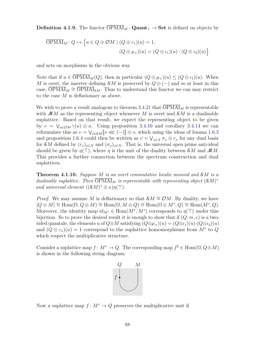**Definition 4.1.9.** The functor  $\overline{OPMAI}_M$ :  $\mathbf{Quant}_{\top} \to \mathbf{Set}$  is defined on objects by

$$
\overline{\text{OPMAI}}_M: Q \mapsto \left\{ u \in Q \oplus \mathcal{OM} \mid (Q \oplus \varepsilon_1)(u) = 1, \right\}
$$

$$
(Q \oplus \mu_\times)(u) = (Q \oplus \iota_1)(u) \cdot (Q \oplus \iota_2)(u) \right\}
$$

and acts on morphisms in the obvious way.

Note that if  $u \in \overline{OPMAI}_M(Q)$ , then in particular  $(Q \oplus \mu_\times)(u) \leq (Q \oplus \iota_1)(u)$ . When *M* is overt, the inserter defining  $\mathcal{S}M$  is preserved by  $Q \oplus (-)$  and so at least in this case,  $\overline{\text{OPMAI}}_M \cong \overline{\text{OPMAI}}_{\delta M}$ . Thus to understand this functor we can may restrict to the case *M* is deflationary as above.

We wish to prove a result analogous to theorem [3.4.21](#page-83-0) that  $\overline{OPMAI}_M$  is representable with  $MM$  as the representing object whenever M is overt and  $\mathcal{S}M$  is a dualisable suplattice. Based on that result, we expect the representing object to be given by  $v = \bigvee_{a \in \mathcal{O}M} \gamma(a) \oplus a$ . Using proposition [3.4.10](#page-79-0) and corollary [3.4.14](#page-80-1) we can reformulate this as  $v = \bigvee_{s \in \mathcal{S}M} [s \ll (-) ] \oplus s$ , which using the ideas of lemma [1.6.3](#page-48-0)<br>and proposition 1.6.4 equil than be written as  $u = \bigvee_{s \in \mathcal{S}M} \mathcal{S}^s$  for any dual basis and proposition [1.6.4](#page-48-1) could then be written as  $v = \bigvee_{x \in X} \sigma_x \otimes r_x$  for any dual basis for S*M* defined by  $(r_x)_{x \in X}$  and  $(\sigma_x)_{x \in X}$ . That is, the universal open prime anti-ideal should be given by  $\eta(\top)$ , where  $\eta$  is the unit of the duality between  $\mathcal{S}M$  and  $\mathcal{M}M$ . This provides a further connection between the spectrum construction and dual suplattices.

<span id="page-97-0"></span>**Theorem 4.1.10.** *Suppose M is an overt commutative localic monoid and* S*M is a dualisable suplattice. Then*  $\overline{OPMAI}_M$  *is representable with representing object*  $(SM)^*$ *and universal element*  $((\mathcal{S}M)^* \otimes \kappa)\eta(\top)$ *.* 

*Proof.* We may assume *M* is deflationary so that  $\mathcal{S}M \cong \mathcal{O}M$ . By duality, we have  $|Q \otimes M| \cong \text{Hom}(\Omega, Q \otimes M) \cong \text{Hom}(\Omega, M \otimes Q) \cong \text{Hom}(\Omega \otimes M^*, Q) \cong \text{Hom}(M^*, Q).$ Moreover, the identity map  $id_{M^*} \in Hom(M^*, M^*)$  corresponds to  $\eta(\top)$  under this bijection. So to prove the desired result it is enough to show that if (*Q, m, e*) is a twosided quantale, the elements *u* of  $Q \otimes M$  satisfying  $(Q \otimes \mu_{\times})(u) = (Q \otimes \nu_{1})(u) \cdot (Q \otimes \nu_{2})(u)$ and  $(Q \otimes \varepsilon_1)(u) = 1$  correspond to the suplattice homomorphisms from  $M^*$  to  $Q$ which respect the multiplicative structure.

Consider a suplattice map  $f: M^* \to Q$ . The corresponding map  $f^{\sharp} \in \text{Hom}(\Omega, Q \otimes M)$ is shown in the following string diagram.



Now a suplattice map  $f: M^* \to Q$  preserves the multiplicative unit if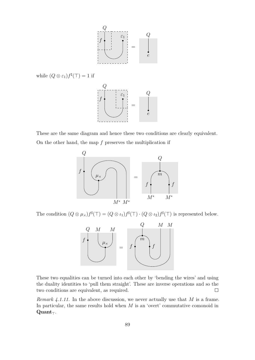

while  $(Q \otimes \varepsilon_1) f^{\sharp}(\top) = 1$  if



These are the same diagram and hence these two conditions are clearly equivalent. On the other hand, the map *f* preserves the multiplication if



The condition  $(Q \otimes \mu_{\times})f^{\sharp}(\top) = (Q \otimes \iota_1)f^{\sharp}(\top) \cdot (Q \otimes \iota_2)f^{\sharp}(\top)$  is represented below.



These two equalities can be turned into each other by 'bending the wires' and using the duality identities to 'pull them straight'. These are inverse operations and so the two conditions are equivalent, as required.  $\Box$ 

*Remark 4.1.11.* In the above discussion, we never actually use that *M* is a frame. In particular, the same results hold when *M* is an 'overt' commutative comonoid in  $\mathbf{Quant}_{\top}$ .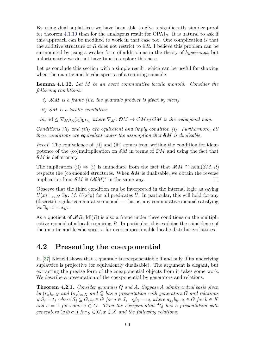By using dual suplattices we have been able to give a significantly simpler proof for theorem [4.1.10](#page-97-0) than for the analogous result for OPAI*R*. It is natural to ask if this approach can be modified to work in that case too. One complication is that the additive structure of *R* does not restrict to S*R*. I believe this problem can be surmounted by using a weaker form of addition as in the theory of *hyperrings*, but unfortunately we do not have time to explore this here.

Let us conclude this section with a simple result, which can be useful for showing when the quantic and localic spectra of a semiring coincide.

<span id="page-99-0"></span>**Lemma 4.1.12.** *Let M be an overt commutative localic monoid. Consider the following conditions:*

- *i)* M*M is a frame (i.e. the quantale product is given by meet)*
- *ii)* S*M is a localic semilattice*
- *iii)* id  $\leq \nabla_M \mu_\times(\iota_1)_{\mu_\times}$ , where  $\nabla_M : \mathcal{O}M \to \mathcal{O}M \oplus \mathcal{O}M$  *is the codiagonal map.*

*Conditions (ii) and (iii) are equivalent and imply condition (i). Furthermore, all three conditions are equivalent under the assumption that* S*M is dualisable.*

*Proof.* The equivalence of (ii) and (iii) comes from writing the condition for idempotence of the (co)multiplication on S*M* in terms of O*M* and using the fact that S*M* is deflationary.

The implication (ii)  $\Rightarrow$  (i) is immediate from the fact that  $\mathcal{M}M \cong \text{hom}(\mathcal{S}M,\Omega)$ respects the (co)monoid structures. When S*M* is dualisable, we obtain the reverse implication from  $\mathcal{S}M \cong (\mathcal{M}M)^*$  in the same way.  $\Box$ 

Observe that the third condition can be interpreted in the internal logic as saying  $U(x) \vdash_{x \in M} \exists y \colon M$ .  $U(x^2y)$  for all predicates *U*. In particular, this will hold for any (discrete) regular commutative monoid — that is, any commutative monoid satisfying  $∀x ∃y. x = xyx.$ 

As a quotient of  $MR$ , Idl $(R)$  is also a frame under these conditions on the multiplicative monoid of a localic semiring *R*. In particular, this explains the coincidence of the quantic and localic spectra for overt approximable localic distributive lattices.

#### **4.2 Presenting the coexponential**

In [\[37\]](#page-108-2) Niefield shows that a quantale is coexponentiable if and only if its underlying suplattice is projective (or equivalently dualisable). The argument is elegant, but extracting the precise form of the coexponential objects from it takes some work. We describe a presentation of the coexponential by generators and relations.

<span id="page-99-1"></span>**Theorem 4.2.1.** *Consider quantales Q and A. Suppose A admits a dual basis given by*  $(r_x)_{x \in X}$  *and*  $(\sigma_x)_{x \in X}$  *and Q has a presentation with generators G and relations*  $\bigvee S_j = t_j$  where  $S_j \subseteq G, t_j \in G$  for  $j \in J$ ,  $a_k b_k = c_k$  where  $a_k, b_k, c_k \in G$  for  $k \in K$ *and*  $e = 1$  *for some*  $e \in G$ *. Then the coexponential* <sup>*A*</sup>*Q has a presentation with generators*  $(q \oslash \sigma_x)$  *for*  $q \in G, x \in X$  *and the following relations:*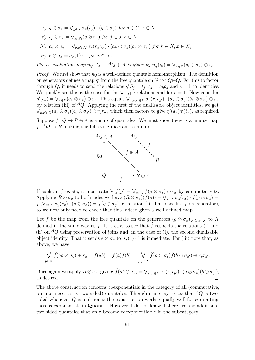*i*)  $g \oslash \sigma_x = \bigvee_{y \in X} \sigma_x(r_y) \cdot (g \oslash \sigma_y)$  for  $g \in G, x \in X$ , *ii*)  $t_j \oslash \sigma_x = \bigvee_{s \in S_j} (s \oslash \sigma_x)$  *for*  $j \in J, x \in X$ *,* iii)  $c_k \oslash \sigma_x = \bigvee_{y,y' \in X} \sigma_x(r_yr_{y'}) \cdot (a_k \oslash \sigma_y)(b_k \oslash \sigma_{y'})$  for  $k \in K, x \in X$ ,  $iv)$   $e \oslash \sigma_x = \sigma_x(1) \cdot 1$  *for*  $x \in X$ *.* 

The co-evaluation map  $\eta_Q \colon Q \to {}^A Q \oplus A$  is given by  $\eta_Q(g_i) = \bigvee_{x \in X} (g_i \otimes \sigma_x) \oplus r_x$ .

*Proof.* We first show that  $\eta_Q$  is a well-defined quantale homomorphism. The definition on generators defines a map  $\eta'$  from the free quantale on *G* to <sup>*A*</sup> $Q \oplus Q$ . For this to factor through *Q*, it needs to send the relations  $\sqrt{S_j} = t_j$ ,  $c_k = a_k b_k$  and  $e = 1$  to identities. We quickly see this is the case for the  $\vee$ -type relations and for  $e = 1$ . Now consider  $\eta'(c_k) = \bigvee_{x \in X} (c_k \oslash \sigma_x) \oplus r_x$ . This equals  $\bigvee_{x,y,y' \in X} \sigma_x(r_yr_{y'}) \cdot (a_k \oslash \sigma_y)(b_k \oslash \sigma_{y'}) \oplus r_x$ by relation (iii) of  ${}^A Q$ . Applying the first of the dualisable object identities, we get  $\bigvee_{y,y'\in X}(a_k\oslash \sigma_y)(b_k\oslash \sigma_{y'})\oplus r_yr_{y'}$ , which then factors to give  $\eta'(a_k)\eta'(b_k)$ , as required.

Suppose  $f: Q \to R \oplus A$  is a map of quantales. We must show there is a unique map  $\overline{f}$ :  ${}^A Q \rightarrow R$  making the following diagram commute.



If such an  $\overline{f}$  exists, it must satisfy  $f(g) = \bigvee_{x \in X} \overline{f}(g \oslash \sigma_x) \oplus r_x$  by commutativity. Applying  $R \otimes \sigma_y$  to both sides we have  $(R \otimes \sigma_y)(f(g)) = \bigvee_{x \in X} \sigma_y(r_x) \cdot \overline{f(g \otimes \sigma_x)} =$  $\overline{f}(\bigvee_{x \in X} \sigma_y(r_x) \cdot (g \oslash \sigma_x)) = \overline{f}(g \oslash \sigma_y)$  by relation (i). This specifies  $\overline{f}$  on generators, so we now only need to check that this indeed gives a well-defined map.

Let  $\hat{f}$  be the map from the free quantale on the generators  $(g \oslash \sigma_x)_{g \in G, x \in X}$  to R defined in the same way as  $\overline{f}$ . It is easy to see that  $\hat{f}$  respects the relations (i) and (ii) on  ${}^{\mathcal{A}}Q$  using preservation of joins and, in the case of (i), the second dualisable object identity. That it sends  $e \oslash \sigma_x$  to  $\sigma_x(1) \cdot 1$  is immediate. For (iii) note that, as above, we have

$$
\bigvee_{y\in X}\widehat{f}(ab\oslash \sigma_y)\oplus r_y=f(ab)=f(a)f(b)=\bigvee_{y,y'\in X}\widehat{f}(a\oslash \sigma_y)\widehat{f}(b\oslash \sigma_{y'})\oplus r_yr_{y'}.
$$

Once again we apply  $R \otimes \sigma_x$ , giving  $f(ab \otimes \sigma_x) = \bigvee_{y,y' \in X} \sigma_x(r_y r_{y'}) \cdot (a \otimes \sigma_y)(b \otimes \sigma_{y'})$ , as desired.

The above construction concerns coexponentials in the category of all (commutative, but not necessarily two-sided) quantales. Though it is easy to see that  ${}^A Q$  is twosided whenever *Q* is and hence the construction works equally well for computing these coexponentials in  $\mathbf{Quant}_{\tau}$ . However, I do not know if there are any additional two-sided quantales that only become coexponentiable in the subcategory.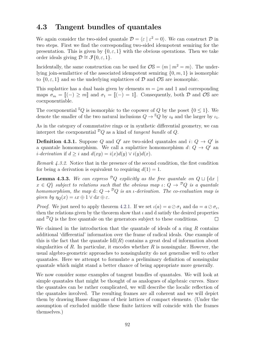## **4.3 Tangent bundles of quantales**

We again consider the two-sided quantale  $\mathcal{D} = \langle \varepsilon | \varepsilon^2 = 0 \rangle$ . We can construct  $\mathcal{D}$  in two steps. First we find the corresponding two-sided idempotent semiring for the presentation. This is given by  $\{0, \varepsilon, 1\}$  with the obvious operations. Then we take order ideals giving  $\mathcal{D} \cong \mathcal{J}\{0,\varepsilon,1\}.$ 

Incidentally, the same construction can be used for  $\mathcal{O}\mathbb{S} = \langle m | m^2 = m \rangle$ . The underlying join-semilattice of the associated idempotent semiring {0*, m,* 1} is isomorphic to  $\{0, \varepsilon, 1\}$  and so the underlying suplattices of  $\mathcal D$  and  $\mathcal O$ S are isomorphic.

This suplattice has a dual basis given by elements  $m = \sqrt{m}$  and 1 and corresponding maps  $\sigma_m = [(-) \geq m]$  and  $\sigma_1 = [(-) = 1]$ . Consequently, both  $\mathcal D$  and  $\mathcal O$ S are coexponentiable.

The coexponential  ${}^{\mathcal{S}}Q$  is isomorphic to the copower of *Q* by the poset  $\{0 \leq 1\}$ . We denote the smaller of the two natural inclusions  $Q \to {}^S Q$  by  $\iota_0$  and the larger by  $\iota_1$ .

As in the category of commutative rings or in synthetic differential geometry, we can interpret the coexponential  ${}^{\mathcal{D}}Q$  as a kind of *tangent bundle* of *Q*.

**Definition 4.3.1.** Suppose *Q* and *Q*<sup> $\prime$ </sup> are two-sided quantales and *i*:  $Q \rightarrow Q'$  is a quantale homomorphism. We call a suplattice homomorphism  $d: Q \rightarrow Q'$  and *i***-derivation** if  $d > i$  and  $d(xy) = i(x)d(y) \vee i(y)d(x)$ .

*Remark 4.3.2.* Notice that in the presence of the second condition, the first condition for being a derivation is equivalent to requiring  $d(1) = 1$ .

**Lemma 4.3.3.** We can express  ${}^{\mathcal{D}}Q$  explicitly as the free quantale on  $Q \sqcup \{dx \mid \mathcal{E}\}$  $x \in Q$  *subject to relations such that the obvious map*  $\iota: Q \to {^{\mathcal{D}}Q}$  *is a quantale homomorphism, the map* d:  $Q \rightarrow$ <sup>*D*</sup> $Q$  *is an <i>ι*-derivation. The co-evaluation map is *given by*  $\eta_{\mathcal{O}}(x) = \iota x \oplus 1 \vee dx \oplus \varepsilon$ .

*Proof.* We just need to apply theorem [4.2.1.](#page-99-1) If we set  $\iota(a) = a \oslash \sigma_1$  and  $da = a \oslash \sigma_{\varepsilon}$ , then the relations given by the theorem show that  $\iota$  and d satisfy the desired properties and  ${}^{\mathcal{D}}Q$  is the free quantale on the generators subject to these conditions.  $\Box$ 

We claimed in the introduction that the quantale of ideals of a ring *R* contains additional 'differential' information over the frame of radical ideals. One example of this is the fact that the quantale  $\text{Id}(R)$  contains a great deal of information about singularities of *R*. In particular, it encodes whether *R* is nonsingular. However, the usual algebro-geometric approaches to nonsingularity do not generalise well to other quantales. Here we attempt to formulate a preliminary definition of nonsingular quantale which might stand a better chance of being appropriate more generally.

We now consider some examples of tangent bundles of quantales. We will look at simple quantales that might be thought of as analogues of algebraic curves. Since the quantales can be rather complicated, we will describe the localic reflection of the quantales involved. The resulting frames are all coherent and we will depict them by drawing Hasse diagrams of their lattices of compact elements. (Under the assumption of excluded middle these finite lattices will coincide with the frames themselves.)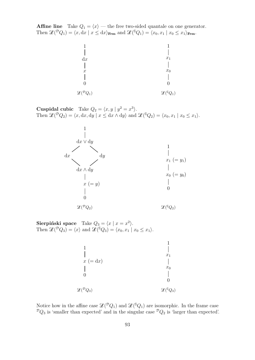<span id="page-102-0"></span>**Affine line** Take  $Q_1 = \langle x \rangle$  — the free two-sided quantale on one generator. Then  $\mathscr{L}(\mathcal{P}Q_1) = \langle x, dx \mid x \leq dx \rangle$  Frm and  $\mathscr{L}(\mathcal{P}Q_1) = \langle x_0, x_1 \mid x_0 \leq x_1 \rangle$  Frm.



**Cuspidal cubic** Take  $Q_2 = \langle x, y | y^2 = x^3 \rangle$ . Then  $\mathscr{L}(\mathcal{P}Q_2) = \langle x, dx, dy \mid x \leq dx \wedge dy \rangle$  and  $\mathscr{L}(\mathcal{P}Q_2) = \langle x_0, x_1 \mid x_0 \leq x_1 \rangle$ .



**Sierpiński space** Take  $Q_3 = \langle x | x = x^2 \rangle$ . Then  $\mathscr{L}(\mathcal{P}Q_3) = \langle x \rangle$  and  $\mathscr{L}(\mathcal{P}Q_3) = \langle x_0, x_1 | x_0 \leq x_1 \rangle$ .

|                                    | $x_1$                    |
|------------------------------------|--------------------------|
| $x (= dx)$                         |                          |
|                                    | $x_0$                    |
|                                    |                          |
|                                    |                          |
| $\mathscr{L}({}^{\mathcal{D}}Q_3)$ | $\mathscr{L}({}^{S}Q_3)$ |
|                                    |                          |

Notice how in the affine case  $\mathscr{L}({}^{\mathcal{D}}Q_1)$  and  $\mathscr{L}({}^{\mathcal{S}}Q_1)$  are isomorphic. In the frame case  ${}^{\mathcal{D}}Q_3$  is 'smaller than expected' and in the singular case  ${}^{\mathcal{D}}Q_2$  is 'larger than expected'.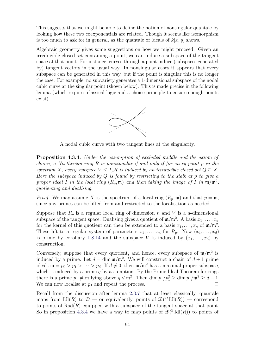This suggests that we might be able to define the notion of nonsingular quantale by looking how these two coexponentials are related. Though it seems like isomorphism is too much to ask for in general, as the quantale of ideals of  $k[x, y]$  shows.

Algebraic geometry gives some suggestions on how we might proceed. Given an irreducible closed set containing a point, we can induce a subspace of the tangent space at that point. For instance, curves through a point induce (subspaces generated by) tangent vectors in the usual way. In nonsingular cases it appears that every subspace can be generated in this way, but if the point is singular this is no longer the case. For example, no subvariety generates a 1-dimensional subspace of the nodal cubic curve at the singular point (shown below). This is made precise in the following lemma (which requires classical logic and a choice principle to ensure enough points exist).



A nodal cubic curve with two tangent lines at the singularity.

<span id="page-103-0"></span>**Proposition 4.3.4.** *Under the assumption of excluded middle and the axiom of choice, a Noetherian ring R is nonsingular if and only if for every point p in the spectrum X, every subspace*  $V \leq T_p R$  *is induced by an irreducible closed set*  $Q \subseteq X$ *. Here the subspace induced by Q is found by restricting to the stalk at p to give a proper ideal I in the local ring*  $(R_p, \mathfrak{m})$  *and then taking the image of I in*  $\mathfrak{m}/\mathfrak{m}^2$ , *quotienting and dualising.*

*Proof.* We may assume *X* is the spectrum of a local ring  $(R_p, \mathfrak{m})$  and that  $p = \mathfrak{m}$ , since any primes can be lifted from and restricted to the localisation as needed.

Suppose that  $R_p$  is a regular local ring of dimension *n* and *V* is a *d*-dimensional subspace of the tangent space. Dualising gives a quotient of  $\mathfrak{m}/\mathfrak{m}^2$ . A basis  $\overline{x}_1, \ldots, \overline{x}_d$ for the kernel of this quotient can then be extended to a basis  $\overline{x}_1, \ldots, \overline{x}_n$  of  $\mathfrak{m}/\mathfrak{m}^2$ . These lift to a regular system of parameters  $x_1, \ldots, x_n$  for  $R_p$ . Now  $(x_1, \ldots, x_d)$ is prime by corollary [1.8.14](#page-57-0) and the subspace *V* is induced by  $(x_1, \ldots, x_d)$  by construction.

Conversely, suppose that every quotient, and hence, every subspace of  $m/m^2$  is induced by a prime. Let  $d = \dim \mathfrak{m}/\mathfrak{m}^2$ . We will construct a chain of  $d+1$  prime ideals  $\mathfrak{m} = p_0 > p_1 > \cdots > p_d$ . If  $d \neq 0$ , then  $\mathfrak{m}/\mathfrak{m}^2$  has a maximal proper subspace, which is induced by a prime *q* by assumption. By the Prime Ideal Theorem for rings there is a prime  $p_1 \neq \mathfrak{m}$  lying above  $q \vee \mathfrak{m}^2$ . Then  $\dim p_1/p_1^2 \geq \dim p_1/\mathfrak{m}^2 \geq d-1$ . We can now localise at  $p_1$  and repeat the process.

Recall from the discussion after lemma [2.3.7](#page-69-0) that at least classically, quantale maps from  $\text{Idl}(R)$  to  $\mathcal{D}$  — or equivalently, points of  $\mathscr{L}(\mathcal{D} \text{Idl}(R))$  — correspond to points of  $Rad(R)$  equipped with a subspace of the tangent space at that point. So in proposition [4.3.4](#page-103-0) we have a way to map points of  $\mathscr{L}({}^{\mathbb{S}}\text{Idl}(R))$  to points of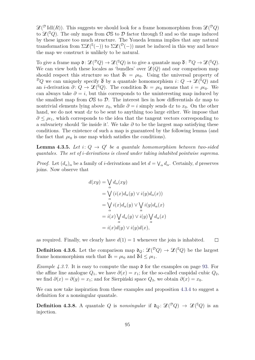$\mathscr{L}(\mathcal{P} \text{Id}(R))$ . This suggests we should look for a frame homomorphism from  $\mathscr{L}(\mathcal{P} Q)$ to  $\mathscr{L}({}^{\mathbb{S}}Q)$ . The only maps from  $\mathcal{O}\mathbb{S}$  to  $\mathcal{D}$  factor through  $\Omega$  and so the maps induced by these ignore too much structure. The Yoneda lemma implies that any natural transformation from  $\Sigma \mathcal{L}^{s}(-)$  to  $\Sigma \mathcal{L}^{p}(-)$  must be induced in this way and hence the map we construct is unlikely to be natural.

To give a frame map  $\mathfrak{d}: \mathscr{L}({}^{\mathcal{D}}Q) \to \mathscr{L}({}^{\mathbb{S}}Q)$  is to give a quantale map  $\overline{\mathfrak{d}}: {}^{\mathcal{D}}Q \to \mathscr{L}({}^{\mathbb{S}}Q)$ . We can view both these locales as 'bundles' over  $\mathcal{L}(Q)$  and our comparison map should respect this structure so that  $\bar{\mathfrak{d}}\iota = \rho \iota_0$ . Using the universal property of  ${}^{\mathcal{D}}Q$  we can uniquely specify  $\bar{\mathfrak{d}}$  by a quantale homomorphism  $i: Q \to \mathscr{L}({}^{\mathbb{S}}Q)$  and an *i*-derivation  $\partial: Q \to \mathscr{L}^{\{S\}}_Q$ . The condition  $\overline{\mathfrak{d}}\iota = \rho \iota_0$  means that  $i = \rho \iota_0$ . We can always take  $\partial = i$ , but this corresponds to the uninteresting map induced by the smallest map from  $\mathcal{O}S$  to  $\mathcal{D}$ . The interest lies in how differentials dx map to nontrivial elements lying above  $x_0$ , while  $\partial = i$  simply sends dx to  $x_0$ . On the other hand, we do not want d*x* to be sent to anything too large either. We impose that  $\partial \leq \rho_{l_1}$ , which corresponds to the idea that the tangent vectors corresponding to a subvariety should 'lie inside it'. We take *∂* to be the largest map satisfying these conditions. The existence of such a map is guaranteed by the following lemma (and the fact that  $\rho_{l0}$  is one map which satisfies the conditions).

**Lemma 4.3.5.** Let  $i: Q \rightarrow Q'$  be a quantale homomorphism between two-sided *quantales. The set of i-derivations is closed under taking inhabited pointwise suprema.*

*Proof.* Let  $(d_{\alpha})_{\alpha}$  be a family of *i*-derivations and let  $d = \bigvee_{\alpha} d_{\alpha}$ . Certainly, *d* preserves joins. Now observe that

$$
d(xy) = \bigvee_{\alpha} d_{\alpha}(xy)
$$
  
=  $\bigvee_{\alpha} (i(x)d_{\alpha}(y) \vee i(y)d_{\alpha}(x))$   
=  $\bigvee_{\alpha} i(x)d_{\alpha}(y) \vee \bigvee_{\alpha} i(y)d_{\alpha}(x)$   
=  $i(x) \bigvee_{\alpha} d_{\alpha}(y) \vee i(y) \bigvee_{\alpha} d_{\alpha}(x)$   
=  $i(x)d(y) \vee i(y)d(x),$ 

as required. Finally, we clearly have  $d(1) = 1$  whenever the join is inhabited.  $\Box$ 

**Definition 4.3.6.** Let the comparison map  $\mathfrak{d}_Q$ :  $\mathscr{L}({}^{\mathcal{D}}Q) \to \mathscr{L}({}^{\mathcal{S}}Q)$  be the largest frame homomorphism such that  $\overline{\mathfrak{d}}\iota = \rho \iota_0$  and  $\overline{\mathfrak{d}}\mathfrak{d} \leq \rho \iota_1$ .

*Example 4.3.7.* It is easy to compute the map  $\mathfrak d$  for the examples on page [93.](#page-102-0) For the affine line analogue  $Q_1$ , we have  $\partial(x) = x_1$ ; for the so-called cuspidal cubic  $Q_2$ , we find  $\partial(x) = \partial(y) = x_1$ ; and for Sierpiński space  $Q_3$ , we obtain  $\partial(x) = x_0$ .

We can now take inspiration from these examples and proposition [4.3.4](#page-103-0) to suggest a definition for a nonsingular quantale.

**Definition 4.3.8.** A quantale Q is *nonsingular* if  $\mathfrak{d}_Q : \mathcal{L}(\mathcal{P}Q) \to \mathcal{L}(\mathcal{S}Q)$  is an injection.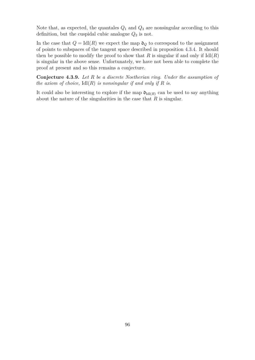Note that, as expected, the quantales  $Q_1$  and  $Q_3$  are nonsingular according to this definition, but the cuspidal cubic analogue  $Q_2$  is not.

In the case that  $Q = Id(R)$  we expect the map  $\mathfrak{d}_Q$  to correspond to the assignment of points to subspaces of the tangent space described in proposition [4.3.4.](#page-103-0) It should then be possible to modify the proof to show that  $R$  is singular if and only if  $IdI(R)$ is singular in the above sense. Unfortunately, we have not been able to complete the proof at present and so this remains a conjecture.

**Conjecture 4.3.9.** *Let R be a discrete Noetherian ring. Under the assumption of the axiom of choice,* Idl(*R*) *is nonsingular if and only if R is.*

It could also be interesting to explore if the map  $\mathfrak{d}_{\text{Idl}(R)}$  can be used to say anything about the nature of the singularities in the case that *R* is singular.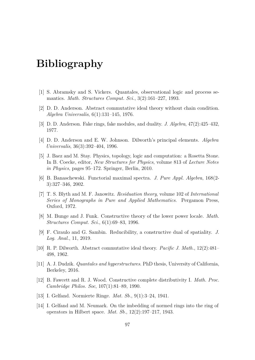# **Bibliography**

- [1] S. Abramsky and S. Vickers. Quantales, observational logic and process semantics. *Math. Structures Comput. Sci.*, 3(2):161–227, 1993.
- [2] D. D. Anderson. Abstract commutative ideal theory without chain condition. *Algebra Universalis*, 6(1):131–145, 1976.
- [3] D. D. Anderson. Fake rings, fake modules, and duality. *J. Algebra*, 47(2):425–432, 1977.
- [4] D. D. Anderson and E. W. Johnson. Dilworth's principal elements. *Algebra Universalis*, 36(3):392–404, 1996.
- [5] J. Baez and M. Stay. Physics, topology, logic and computation: a Rosetta Stone. In B. Coecke, editor, *New Structures for Physics*, volume 813 of *Lecture Notes in Physics*, pages 95–172. Springer, Berlin, 2010.
- [6] B. Banaschewski. Functorial maximal spectra. *J. Pure Appl. Algebra*, 168(2- 3):327–346, 2002.
- [7] T. S. Blyth and M. F. Janowitz. *Residuation theory*, volume 102 of *International Series of Monographs in Pure and Applied Mathematics*. Pergamon Press, Oxford, 1972.
- [8] M. Bunge and J. Funk. Constructive theory of the lower power locale. *Math. Structures Comput. Sci.*, 6(1):69–83, 1996.
- <span id="page-106-1"></span>[9] F. Ciraulo and G. Sambin. Reducibility, a constructive dual of spatiality. *J. Log. Anal.*, 11, 2019.
- [10] R. P. Dilworth. Abstract commutative ideal theory. *Pacific J. Math.*, 12(2):481– 498, 1962.
- <span id="page-106-0"></span>[11] A. J. Dudzik. *Quantales and hyperstructures*. PhD thesis, University of California, Berkeley, 2016.
- [12] B. Fawcett and R. J. Wood. Constructive complete distributivity I. *Math. Proc. Cambridge Philos. Soc*, 107(1):81–89, 1990.
- [13] I. Gelfand. Normierte Ringe. *Mat. Sb.*, 9(1):3–24, 1941.
- [14] I. Gelfand and M. Neumark. On the imbedding of normed rings into the ring of operators in Hilbert space. *Mat. Sb.*, 12(2):197–217, 1943.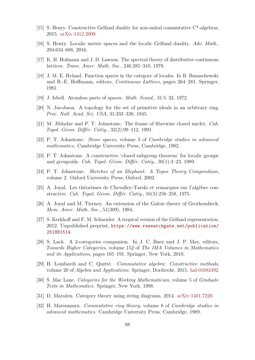- <span id="page-107-1"></span>[15] S. Henry. Constructive Gelfand duality for non-unital commutative C\*-algebras, 2015. [arXiv:1412.2009.](https://arxiv.org/abs/1412.2009)
- <span id="page-107-2"></span>[16] S. Henry. Localic metric spaces and the localic Gelfand duality. *Adv. Math.*, 294:634–688, 2016.
- [17] K. H. Hofmann and J. D. Lawson. The spectral theory of distributive continuous lattices. *Trans. Amer. Math. Soc.*, 246:285–310, 1978.
- [18] J. M. E. Hyland. Function spaces in the category of locales. In B. Banaschewski and R.-E. Hoffmann, editors, *Continuous Lattices*, pages 264–281. Springer, 1981.
- <span id="page-107-3"></span>[19] J. Isbell. Atomless parts of spaces. *Math. Scand.*, 31:5–32, 1972.
- [20] N. Jacobson. A topology for the set of primitive ideals in an arbitrary ring. *Proc. Natl. Acad. Sci. USA*, 31:333–338, 1945.
- [21] M. Jibladze and P. T. Johnstone. The frame of fibrewise closed nuclei. *Cah. Topol. Géom. Différ. Catég.*, 32(2):99–112, 1991.
- [22] P. T. Johnstone. *Stone spaces*, volume 3 of *Cambridge studies in advanced mathematics*. Cambridge University Press, Cambridge, 1982.
- <span id="page-107-0"></span>[23] P. T. Johnstone. A constructive 'closed subgroup theorem' for localic groups and groupoids. *Cah. Topol. Géom. Différ. Catég.*, 30(1):3–23, 1989.
- [24] P. T. Johnstone. *Sketches of an Elephant: A Topos Theory Compendium*, volume 2. Oxford University Press, Oxford, 2002.
- [25] A. Joyal. Les théorèmes de Chevalley-Tarski et remarques sur l'algèbre constructive. *Cah. Topol. Géom. Différ. Catég.*, 16(3):256–258, 1975.
- [26] A. Joyal and M. Tierney. An extension of the Galois theory of Grothendieck. *Mem. Amer. Math. Soc.*, 51(309), 1984.
- [27] S. Kerkhoff and F. M. Schneider. A tropical version of the Gelfand representation, 2012. Unpublished preprint, [https://www.researchgate.net/publication/](https://www.researchgate.net/publication/251881514) [251881514](https://www.researchgate.net/publication/251881514).
- [28] S. Lack. A 2-categories companion. In J. C. Baez and J. P. May, editors, *Towards Higher Categories*, volume 152 of *The IMA Volumes in Mathematics and its Applications*, pages 105–191. Springer, New York, 2010.
- [29] H. Lombardi and C. Quitté. *Commutative algebra: Constructive methods*, volume 20 of *Algebra and Applications*. Springer, Dordrecht, 2015. [hal-01682492.](https://hal.archives-ouvertes.fr/hal-01682492)
- [30] S. Mac Lane. *Categories for the Working Mathematician*, volume 5 of *Graduate Texts in Mathematics*. Springer, New York, 1998.
- [31] D. Marsden. Category theory using string diagrams, 2014. [arXiv:1401.7220.](https://arxiv.org/abs/1401.7220)
- [32] H. Matsumura. *Commutative ring theory*, volume 8 of *Cambridge studies in advanced mathematics*. Cambridge University Press, Cambridge, 1989.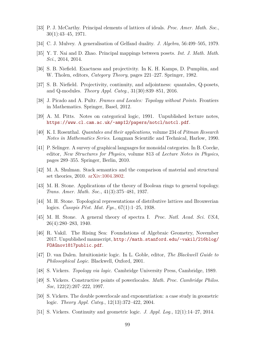- [33] P. J. McCarthy. Principal elements of lattices of ideals. *Proc. Amer. Math. Soc.*, 30(1):43–45, 1971.
- [34] C. J. Mulvey. A generalisation of Gelfand duality. *J. Algebra*, 56:499–505, 1979.
- [35] Y. T. Nai and D. Zhao. Principal mappings between posets. *Int. J. Math. Math. Sci.*, 2014, 2014.
- [36] S. B. Niefield. Exactness and projectivity. In K. H. Kamps, D. Pumplün, and W. Tholen, editors, *Category Theory*, pages 221–227. Springer, 1982.
- [37] S. B. Niefield. Projectivity, continuity, and adjointness: quantales, Q-posets, and Q-modules. *Theory Appl. Categ.*, 31(30):839–851, 2016.
- [38] J. Picado and A. Pultr. *Frames and Locales: Topology without Points*. Frontiers in Mathematics. Springer, Basel, 2012.
- [39] A. M. Pitts. Notes on categorical logic, 1991. Unpublished lecture notes, <https://www.cl.cam.ac.uk/~amp12/papers/notcl/notcl.pdf>.
- [40] K. I. Rosenthal. *Quantales and their applications*, volume 234 of *Pitman Research Notes in Mathematics Series*. Longman Scientific and Technical, Harlow, 1990.
- [41] P. Selinger. A survey of graphical languages for monoidal categories. In B. Coecke, editor, *New Structures for Physics*, volume 813 of *Lecture Notes in Physics*, pages 289–355. Springer, Berlin, 2010.
- [42] M. A. Shulman. Stack semantics and the comparison of material and structural set theories, 2010. [arXiv:1004.3802.](https://arxiv.org/abs/1004.3802)
- [43] M. H. Stone. Applications of the theory of Boolean rings to general topology. *Trans. Amer. Math. Soc.*, 41(3):375–481, 1937.
- [44] M. H. Stone. Topological representations of distributive lattices and Brouwerian logics. *Časopis Pěst. Mat. Fys.*, 67(1):1–25, 1938.
- [45] M. H. Stone. A general theory of spectra I. *Proc. Natl. Acad. Sci. USA*, 26(4):280–283, 1940.
- [46] R. Vakil. The Rising Sea: Foundations of Algebraic Geometry, November 2017. Unpublished manuscript, [http://math.stanford.edu/~vakil/216blog/](http://math.stanford.edu/~vakil/216blog/FOAGnov1817public.pdf) [FOAGnov1817public.pdf](http://math.stanford.edu/~vakil/216blog/FOAGnov1817public.pdf).
- [47] D. van Dalen. Intuitionistic logic. In L. Goble, editor, *The Blackwell Guide to Philosophical Logic*. Blackwell, Oxford, 2001.
- [48] S. Vickers. *Topology via logic*. Cambridge University Press, Cambridge, 1989.
- [49] S. Vickers. Constructive points of powerlocales. *Math. Proc. Cambridge Philos. Soc*, 122(2):207–222, 1997.
- [50] S. Vickers. The double powerlocale and exponentiation: a case study in geometric logic. *Theory Appl. Categ.*, 12(13):372–422, 2004.
- [51] S. Vickers. Continuity and geometric logic. *J. Appl. Log.*, 12(1):14–27, 2014.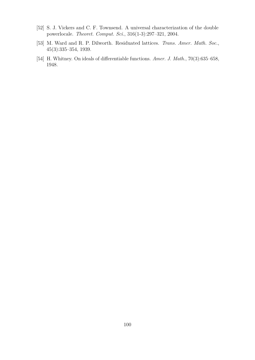- [52] S. J. Vickers and C. F. Townsend. A universal characterization of the double powerlocale. *Theoret. Comput. Sci.*, 316(1-3):297–321, 2004.
- [53] M. Ward and R. P. Dilworth. Residuated lattices. *Trans. Amer. Math. Soc.*, 45(3):335–354, 1939.
- [54] H. Whitney. On ideals of differentiable functions. *Amer. J. Math.*, 70(3):635–658, 1948.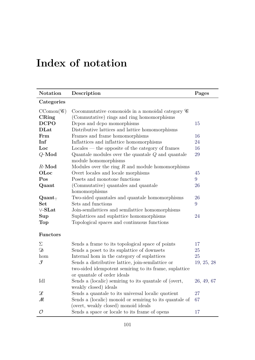## **Index of notation**

| <b>Notation</b>         | Description                                                                    | Pages      |
|-------------------------|--------------------------------------------------------------------------------|------------|
| Categories              |                                                                                |            |
| $CComon(\mathcal{C})$   | Cocommutative comonoids in a monoidal category $\mathscr C$                    |            |
| CRing                   | (Commutative) rings and ring homomorphisms                                     |            |
| <b>DCPO</b>             | Depos and depo momorphisms                                                     | 15         |
| <b>DLat</b>             | Distributive lattices and lattice homomorphisms                                |            |
| Frm                     | Frames and frame homomorphisms                                                 | 16         |
| Inf                     | Inflattices and inflattice homomorphisms                                       | 24         |
| Loc                     | $\text{Locales}$ — the opposite of the category of frames                      | 16         |
| $Q$ -Mod                | Quantale modules over the quantale $Q$ and quantale                            | 29         |
|                         | module homomorphisms                                                           |            |
| $R$ -Mod                | Modules over the ring $R$ and module homomorphisms                             |            |
| OLoc                    | Overt locales and locale morphisms                                             | 45         |
| Pos                     | Posets and monotone functions                                                  | 9          |
| Quant                   | (Commutative) quantales and quantale                                           | 26         |
|                         | homomorphisms                                                                  |            |
| $\mathrm{Quant}_{\top}$ | Two-sided quantales and quantale homomorphisms                                 | 26         |
| <b>Set</b>              | Sets and functions                                                             | 9          |
| $\vee$ -SLat            | Join-semilattices and semilattice homomorphisms                                |            |
| $\sup$                  | Suplattices and suplattice homomorphisms                                       | 24         |
| Top                     | Topological spaces and continuous functions                                    |            |
| <b>Functors</b>         |                                                                                |            |
| Σ                       | Sends a frame to its topological space of points                               | 17         |
| Ŋ                       | Sends a poset to its suplattice of downsets                                    | 25         |
| hom                     | Internal hom in the category of suplattices                                    | 25         |
| $\mathcal{F}% _{0}$     | Sends a distributive lattice, join-semilattice or                              | 19, 25, 28 |
|                         | two-sided idempotent semiring to its frame, suplattice                         |            |
|                         | or quantale of order ideals                                                    |            |
| Idl                     | Sends a (localic) semiring to its quantale of (overt,<br>weakly closed) ideals | 26, 49, 67 |
| $\mathscr{L}$           | Sends a quantale to its universal localic quotient                             | 27         |
| М                       | Sends a (localic) monoid or semiring to its quantale of                        | 67         |
|                         | (overt, weakly closed) monoid ideals                                           |            |
| $\mathcal{O}$           | Sends a space or locale to its frame of opens                                  | 17         |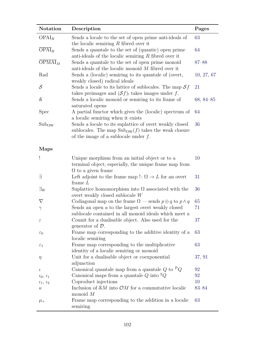| Notation            | Description                                                                                                                                                                  | Pages         |
|---------------------|------------------------------------------------------------------------------------------------------------------------------------------------------------------------------|---------------|
| OPAI <sub>R</sub>   | Sends a locale to the set of open prime anti-ideals of<br>the localic semiring $R$ fibred over it                                                                            | 63            |
| $\overline{OPAI}_R$ | Sends a quantale to the set of (quantic) open prime<br>anti-ideals of the localic semiring $R$ fibred over it                                                                | 64            |
| $OPMAI_M$           | Sends a quantale to the set of open prime monoid<br>anti-ideals of the localic monoid $M$ fibred over it                                                                     | $87 - 88$     |
| Rad                 | Sends a (localic) semiring to its quantale of (overt,<br>weakly closed) radical ideals                                                                                       | 10, 27, 67    |
| $\mathcal{S}$       | Sends a locale to its lattice of sublocales. The map $Sf$<br>takes preimages and $(Sf)$ , takes images under f.                                                              | 21            |
| $\mathcal{S}_{0}$   | Sends a localic monoid or semiring to its frame of<br>saturated opens                                                                                                        | $68, 84 - 85$ |
| <b>Spec</b>         | A partial functor which gives the (localic) spectrum of<br>a localic semiring when it exists                                                                                 | 64            |
| $Sub_{OW}$          | Sends a locale to its suplattice of overt weakly closed<br>sublocales. The map $\text{Sub}_{\text{OW}}(f)$ takes the weak closure<br>of the image of a sublocale under $f$ . | 36            |
| <b>Maps</b>         |                                                                                                                                                                              |               |
| Ţ                   | Unique morphism from an initial object or to a<br>terminal object; especially, the unique frame map from<br>$\Omega$ to a given frame                                        | 10            |
| Ε                   | Left adjoint to the frame map !: $\Omega \rightarrow L$ for an overt<br>frame $L$                                                                                            | 31            |
| $\exists_W$         | Suplattice homomorphism into $\Omega$ associated with the<br>overt weakly closed sublocale $W$                                                                               | 36            |
| $\nabla$            | Codiagonal map on the frame $\Omega$ — sends $p \oplus q$ to $p \wedge q$                                                                                                    | 65            |
| $\gamma$            | Sends an open $a$ to the largest overt weakly closed<br>sublocale contained in all monoid ideals which meet a                                                                | 71            |
| $\varepsilon$       | Counit for a dualisable object. Also used for the<br>generator of $\mathcal{D}$ .                                                                                            | 37            |
| $\varepsilon_0$     | Frame map corresponding to the additive identity of a<br>localic semiring                                                                                                    | 63            |
| $\varepsilon_1$     | Frame map corresponding to the multiplicative<br>identity of a localic semiring or monoid                                                                                    | 63            |
| $\eta$              | Unit for a dualisable object or coexponential<br>adjunction                                                                                                                  | 37, 91        |
| $\iota$             | Canonical quantale map from a quantale Q to ${}^{\mathcal{D}}Q$                                                                                                              | 92            |
| $\iota_0, \iota_1$  | Canonical maps from a quantale $Q$ into ${}^{\mathbb{S}}Q$                                                                                                                   | 92            |
| $\iota_1, \iota_2$  | Coproduct injections                                                                                                                                                         | 10            |
| $\kappa$            | Inclusion of $\mathcal{S}M$ into $\mathcal{O}M$ for a commutative localic<br>monoid $M$                                                                                      | $83 - 84$     |
| $\mu_{+}$           | Frame map corresponding to the addition in a localic<br>semiring                                                                                                             | 63            |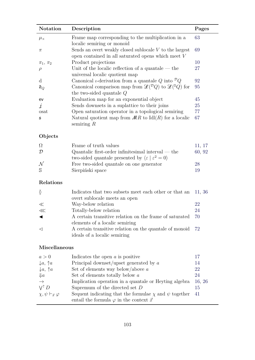| <b>Notation</b>  | Description                                                                                                                                  | Pages  |  |
|------------------|----------------------------------------------------------------------------------------------------------------------------------------------|--------|--|
| $\mu_{\times}$   | Frame map corresponding to the multiplication in a<br>localic semiring or monoid                                                             | 63     |  |
| $\pi$            | Sends an overt weakly closed sublocale $V$ to the largest<br>open contained in all saturated opens which meet $V$                            | 69     |  |
| $\pi_1, \pi_2$   | Product projections                                                                                                                          | 10     |  |
| $\rho$           | Unit of the localic reflection of a quantale $-$ the<br>universal localic quotient map                                                       | 27     |  |
| $\mathbf d$      | Canonical <i>t</i> -derivation from a quantale Q into ${}^{\mathcal{D}}Q$                                                                    | 92     |  |
| $\mathfrak{d}_Q$ | Canonical comparison map from $\mathscr{L}(\mathcal{D}_Q)$ to $\mathscr{L}(\mathcal{S}_Q)$ for<br>the two-sided quantale $Q$                 | 95     |  |
| ev               | Evaluation map for an exponential object                                                                                                     | 45     |  |
| $\dot{1}$        | Sends downsets in a suplattice to their joins                                                                                                | 25     |  |
| osat             | Open saturation operator in a topological semiring                                                                                           | 77     |  |
| $\mathfrak s$    | Natural quotient map from $MR$ to $Idl(R)$ for a localic<br>semiring $R$                                                                     | 67     |  |
| Objects          |                                                                                                                                              |        |  |
| $\Omega$         | Frame of truth values                                                                                                                        | 11, 17 |  |
| $\mathcal{D}$    | Quantalic first-order infinitesimal interval — the $\,$<br>two-sided quantale presented by $\langle \varepsilon   \varepsilon^2 = 0 \rangle$ | 60, 92 |  |
| ${\cal N}$       | Free two-sided quantale on one generator                                                                                                     | 28     |  |
| S                | Sierpiński space                                                                                                                             | 19     |  |
| Relations        |                                                                                                                                              |        |  |
| $\check{\Omega}$ | Indicates that two subsets meet each other or that an<br>overt sublocale meets an open                                                       | 11, 36 |  |
| $\ll$            | Way-below relation                                                                                                                           | 22     |  |
| $\ll$            | Totally-below relation                                                                                                                       | 24     |  |
|                  | A certain transitive relation on the frame of saturated<br>elements of a localic semiring                                                    | 70     |  |
| ◁                | A certain transitive relation on the quantale of monoid<br>ideals of a localic semiring                                                      | 72     |  |
| Miscellaneous    |                                                                                                                                              |        |  |

| a>0                                   | Indicates the open $a$ is positive                              |        |
|---------------------------------------|-----------------------------------------------------------------|--------|
| $\downarrow a, \uparrow a$            | Principal downset/upset generated by $a$                        | 14     |
| $\downarrow a, \uparrow a$            | Set of elements way below/above $a$                             | 22     |
| $\downarrow a$                        | Set of elements totally below $a$                               | 24     |
| $\rightarrow$                         | Implication operation in a quantale or Heyting algebra          | 16, 26 |
| $V^{\uparrow} D$                      | Supremum of the directed set $D$                                | 15     |
| $\chi, \psi \vdash_{\vec{x}} \varphi$ | Sequent indicating that the formulae $\chi$ and $\psi$ together | -41    |
|                                       | entail the formula $\varphi$ in the context $\vec{x}$           |        |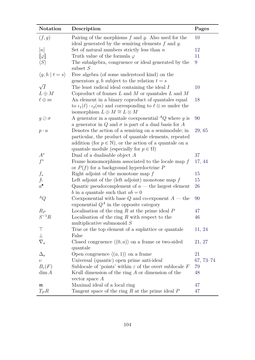| Notation                        | Description                                                                         | Pages      |
|---------------------------------|-------------------------------------------------------------------------------------|------------|
| (f,g)                           | Pairing of the morphisms $f$ and $g$ . Also used for the                            | 10         |
|                                 | ideal generated by the semiring elements $f$ and $g$ .                              |            |
| [n]                             | Set of natural numbers strictly less than $n$                                       | 12         |
| $\llbracket \varphi \rrbracket$ | Truth value of the formula $\varphi$                                                | 11         |
| $\langle S \rangle$             | The subalgebra, congruence or ideal generated by the                                | 9          |
|                                 | subset $S$                                                                          |            |
| $\langle g, h   t = s \rangle$  | Free algebra (of some understood kind) on the                                       |            |
|                                 | generators g, h subject to the relation $t = s$                                     |            |
| $\sqrt{I}$                      | The least radical ideal containing the ideal I                                      | 10         |
| $L \oplus M$                    | Coproduct of frames $L$ and $M$ or quantales $L$ and $M$                            |            |
| $\ell \oplus m$                 | An element in a binary coproduct of quantales equal                                 | 18         |
|                                 | to $\iota_1(\ell) \cdot \iota_2(m)$ and corresponding to $\ell \otimes m$ under the |            |
|                                 | isomorphism $L \oplus M \cong L \otimes M$                                          |            |
| $g\oslash\sigma$                | A generator in a quantale coexponential ${}^{\text{A}}Q$ where g is                 | 90         |
|                                 | a generator in Q and $\sigma$ is part of a dual basis for A                         |            |
| $p \cdot a$                     | Denotes the action of a semiring on a semimodule; in                                | 29, 65     |
|                                 | particular, the product of quantale elements, repeated                              |            |
|                                 | addition (for $p \in \mathbb{N}$ ), or the action of a quantale on a                |            |
|                                 | quantale module (especially for $p \in \Omega$ )                                    |            |
| $A^*$                           | Dual of a dualisable object $A$                                                     | 37         |
| $f^*$                           | Frame homomorphism associated to the locale map $f$                                 | 17, 44     |
|                                 | or $P(f)$ for a background hyperdoctrine P                                          |            |
| $f_\ast$                        | Right adjoint of the monotone map $f$                                               | 15         |
| $\frac{f_!}{a^{\bullet}}$       | Left adjoint of the (left adjoint) monotone map $f$                                 | 15         |
|                                 | Quantic pseudocomplement of $a$ — the largest element                               | 26         |
|                                 | b in a quantale such that $ab = 0$                                                  |            |
| ${^AQ}$                         | Convergence Constantial with base $Q$ and co-exponent $A$ — the                     | 90         |
|                                 | exponential $Q^A$ in the opposite category                                          |            |
| $R_P$                           | Localisation of the ring $R$ at the prime ideal $P$                                 | 47         |
| $S^{-1}R$                       | Localisation of the ring $R$ with respect to the                                    | 46         |
|                                 | multiplicative submonoid $S$                                                        |            |
| $\top$                          | True or the top element of a suplattice or quantale                                 | 11, 24     |
| $\perp$                         | False                                                                               |            |
| $\nabla_a$                      | Closed congruence $\langle (0, a) \rangle$ on a frame or two-sided                  | 21, 27     |
|                                 | quantale                                                                            |            |
| $\Delta_a$                      | Open congruence $\langle (a,1) \rangle$ on a frame                                  | 21         |
| $\upsilon$                      | Universal (quantic) open prime anti-ideal                                           | $67,73-74$ |
| $B_{\varepsilon}(F)$            | Sublocale of 'points' within $\varepsilon$ of the overt sublocale F                 | 79         |
| $\dim A$                        | Krull dimension of the ring $A$ or dimension of the                                 | 48         |
|                                 | vector space $A$                                                                    |            |
| $\mathfrak m$                   | Maximal ideal of a local ring                                                       | 47         |
| $T_P R$                         | Tangent space of the ring $R$ at the prime ideal $P$                                | 47         |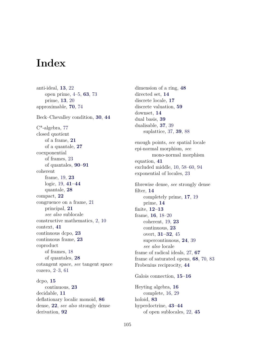## **Index**

anti-ideal, **[13](#page-22-0)**, [22](#page-31-0) open prime, [4–](#page-13-0)[5,](#page-14-0) **[63](#page-72-0)**, [73](#page-82-0) prime, **[13](#page-22-0)**, [20](#page-29-0) approximable, **[70](#page-79-0)**, [74](#page-83-0) Beck–Chevalley condition, **[30](#page-39-0)**, **[44](#page-53-0)** C\*-algebra, [77](#page-86-0) closed quotient of a frame, **[21](#page-30-0)** of a quantale, **[27](#page-36-0)** coexponential of frames, [23](#page-32-0) of quantales, **[90–](#page-99-0)[91](#page-100-0)** coherent frame, [19,](#page-28-0) **[23](#page-32-0)** logic, [19,](#page-28-0) **[41–](#page-50-0)[44](#page-53-0)** quantale, **[28](#page-37-0)** compact, **[22](#page-31-0)** congruence on a frame, [21](#page-30-0) principal, **[21](#page-30-0)** *see also* sublocale constructive mathematics, [2,](#page-11-0) [10](#page-19-0) context, **[41](#page-50-0)** continuous dcpo, **[23](#page-32-0)** continuous frame, **[23](#page-32-0)** coproduct of frames, [18](#page-27-0) of quantales, **[28](#page-37-0)** cotangent space, *see* tangent space cozero, [2–](#page-11-0)[3,](#page-12-0) [61](#page-70-0) dcpo, **[15](#page-24-0)** continuous, **[23](#page-32-0)** decidable, **[11](#page-20-0)** deflationary localic monoid, **[86](#page-95-0)**

dense, **[22](#page-31-0)**, *see also* strongly dense

derivation, **[92](#page-101-0)**

dimension of a ring, **[48](#page-57-0)** directed set, **[14](#page-23-0)** discrete locale, **[17](#page-26-0)** discrete valuation, **[59](#page-68-0)** downset, **[14](#page-23-0)** dual basis, **[39](#page-48-0)** dualisable, **[37](#page-46-0)**, [39](#page-48-0) suplattice, [37,](#page-46-0) **[39](#page-48-0)**, [88](#page-97-0) enough points, *see* spatial locale epi-normal morphism, *see* mono-normal morphism equation, **[41](#page-50-0)** excluded middle, [10,](#page-19-0) [58–](#page-67-0)[60,](#page-69-0) [94](#page-103-0) exponential of locales, [23](#page-32-0) fibrewise dense, *see* strongly dense filter, **[14](#page-23-0)** completely prime, **[17](#page-26-0)**, [19](#page-28-0) prime, **[14](#page-23-0)** finite, **[12](#page-21-0)[–13](#page-22-0)** frame, **[16](#page-25-0)**, [18](#page-27-0)[–20](#page-29-0) coherent, [19,](#page-28-0) **[23](#page-32-0)** continuous, **[23](#page-32-0)** overt, **[31](#page-40-0)[–32](#page-41-0)**, [45](#page-54-0) supercontinuous, **[24](#page-33-0)**, [39](#page-48-0) *see also* locale frame of radical ideals, [27,](#page-36-0) **[67](#page-76-0)** frame of saturated opens, **[68](#page-77-0)**, [70,](#page-79-0) [83](#page-92-0) Frobenius reciprocity, **[44](#page-53-0)** Galois connection, **[15](#page-24-0)[–16](#page-25-0)** Heyting algebra, **[16](#page-25-0)** complete, [16,](#page-25-0) [29](#page-38-0) holoid, **[83](#page-92-0)** hyperdoctrine, **[43–](#page-52-0)[44](#page-53-0)** of open sublocales, [22,](#page-31-0) **[45](#page-54-0)**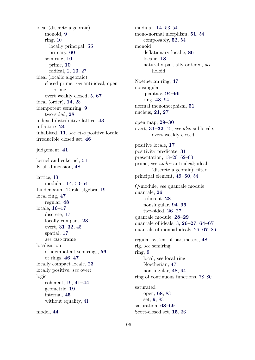ideal (discrete algebraic) monoid, **[9](#page-18-0)** ring, [10](#page-19-0) locally principal, **[55](#page-64-0)** primary, **[60](#page-69-0)** semiring, **[10](#page-19-0)** prime, **[10](#page-19-0)** radical, [2,](#page-11-0) **[10](#page-19-0)**, [27](#page-36-0) ideal (localic algebraic) closed prime, *see* anti-ideal, open prime overt weakly closed, [5,](#page-14-0) **[67](#page-76-0)** ideal (order), **[14](#page-23-0)**, [28](#page-37-0) idempotent semiring, **[9](#page-18-0)** two-sided, **[28](#page-37-0)** indexed distributive lattice, **[43](#page-52-0)** inflattice, **[24](#page-33-0)** inhabited, **[11](#page-20-0)**, *see also* positive locale irreducible closed set, **[46](#page-55-0)** judgement, **[41](#page-50-0)** kernel and cokernel, **[51](#page-60-0)** Krull dimension, **[48](#page-57-0)** lattice, [13](#page-22-0) modular, **[14](#page-23-0)**, [53–](#page-62-0)[54](#page-63-0) Lindenbaum–Tarski algebra, [19](#page-28-0) local ring, **[47](#page-56-0)** regular, **[48](#page-57-0)** locale, **[16–](#page-25-0)[17](#page-26-0)** discrete, **[17](#page-26-0)** locally compact, **[23](#page-32-0)** overt, **[31](#page-40-0)[–32](#page-41-0)**, [45](#page-54-0) spatial, **[17](#page-26-0)** *see also* frame localisation of idempotent semirings, **[56](#page-65-0)** of rings, **[46](#page-55-0)[–47](#page-56-0)** locally compact locale, **[23](#page-32-0)** locally positive, *see* overt logic coherent, [19,](#page-28-0) **[41](#page-50-0)[–44](#page-53-0)** geometric, **[19](#page-28-0)** internal, **[45](#page-54-0)** without equality, [41](#page-50-0) model, **[44](#page-53-0)**

modular, **[14](#page-23-0)**, [53](#page-62-0)[–54](#page-63-0) mono-normal morphism, **[51](#page-60-0)**, [54](#page-63-0) composably, **[52](#page-61-0)**, [54](#page-63-0) monoid deflationary localic, **[86](#page-95-0)** localic, **[18](#page-27-0)** naturally partially ordered, *see* holoid Noetherian ring, **[47](#page-56-0)** nonsingular quantale, **[94](#page-103-0)[–96](#page-105-0)** ring, **[48](#page-57-0)**, [94](#page-103-0) normal monomorphism, **[51](#page-60-0)** nucleus, **[21](#page-30-0)**, **[27](#page-36-0)** open map, **[29–](#page-38-0)[30](#page-39-0)** overt, **[31](#page-40-0)[–32](#page-41-0)**, [45,](#page-54-0) *see also* sublocale, overt weakly closed positive locale, **[17](#page-26-0)** positivity predicate, **[31](#page-40-0)** presentation, [18–](#page-27-0)[20,](#page-29-0) [62–](#page-71-0)[63](#page-72-0) prime, *see under* anti-ideal; ideal (discrete algebraic); filter principal element, **[49–](#page-58-0)[50](#page-59-0)**, [54](#page-63-0) *Q*-module, *see* quantale module quantale, **[26](#page-35-0)** coherent, **[28](#page-37-0)** nonsingular, **[94–](#page-103-0)[96](#page-105-0)** two-sided, **[26–](#page-35-0)[27](#page-36-0)** quantale module, **[28–](#page-37-0)[29](#page-38-0)** quantale of ideals, [3,](#page-12-0) **[26](#page-35-0)[–27](#page-36-0)**, **[64–](#page-73-0)[67](#page-76-0)** quantale of monoid ideals, [26,](#page-35-0) **[67](#page-76-0)**, [86](#page-95-0) regular system of parameters, **[48](#page-57-0)** rig, *see* semiring ring, **[9](#page-18-0)** local, *see* local ring Noetherian, **[47](#page-56-0)** nonsingular, **[48](#page-57-0)**, [94](#page-103-0) ring of continuous functions, [78](#page-87-0)[–80](#page-89-0) saturated open, **[68](#page-77-0)**, [83](#page-92-0) set, **[9](#page-18-0)**, [83](#page-92-0) saturation, **[68](#page-77-0)[–69](#page-78-0)** Scott-closed set, **[15](#page-24-0)**, [36](#page-45-0)